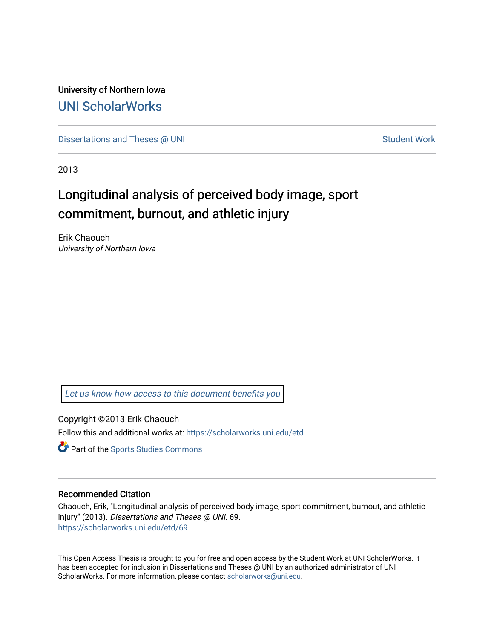University of Northern Iowa [UNI ScholarWorks](https://scholarworks.uni.edu/) 

[Dissertations and Theses @ UNI](https://scholarworks.uni.edu/etd) Student Work

2013

# Longitudinal analysis of perceived body image, sport commitment, burnout, and athletic injury

Erik Chaouch University of Northern Iowa

[Let us know how access to this document benefits you](https://scholarworks.uni.edu/feedback_form.html) 

Copyright ©2013 Erik Chaouch

Follow this and additional works at: [https://scholarworks.uni.edu/etd](https://scholarworks.uni.edu/etd?utm_source=scholarworks.uni.edu%2Fetd%2F69&utm_medium=PDF&utm_campaign=PDFCoverPages) 

**Part of the Sports Studies Commons** 

# Recommended Citation

Chaouch, Erik, "Longitudinal analysis of perceived body image, sport commitment, burnout, and athletic injury" (2013). Dissertations and Theses @ UNI. 69. [https://scholarworks.uni.edu/etd/69](https://scholarworks.uni.edu/etd/69?utm_source=scholarworks.uni.edu%2Fetd%2F69&utm_medium=PDF&utm_campaign=PDFCoverPages) 

This Open Access Thesis is brought to you for free and open access by the Student Work at UNI ScholarWorks. It has been accepted for inclusion in Dissertations and Theses @ UNI by an authorized administrator of UNI ScholarWorks. For more information, please contact [scholarworks@uni.edu](mailto:scholarworks@uni.edu).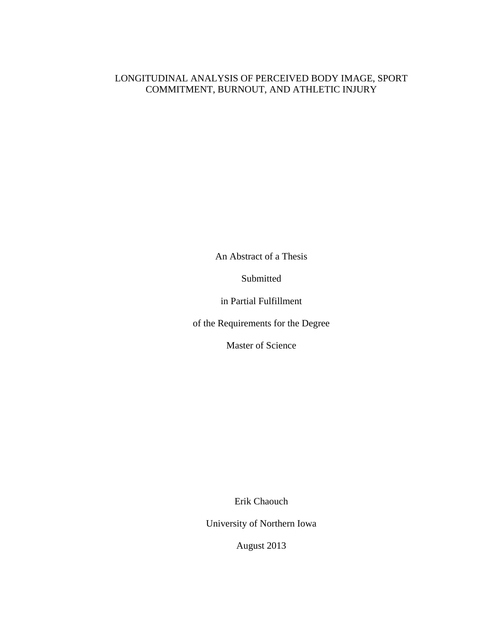# LONGITUDINAL ANALYSIS OF PERCEIVED BODY IMAGE, SPORT COMMITMENT, BURNOUT, AND ATHLETIC INJURY

An Abstract of a Thesis

Submitted

in Partial Fulfillment

of the Requirements for the Degree

Master of Science

Erik Chaouch

University of Northern Iowa

August 2013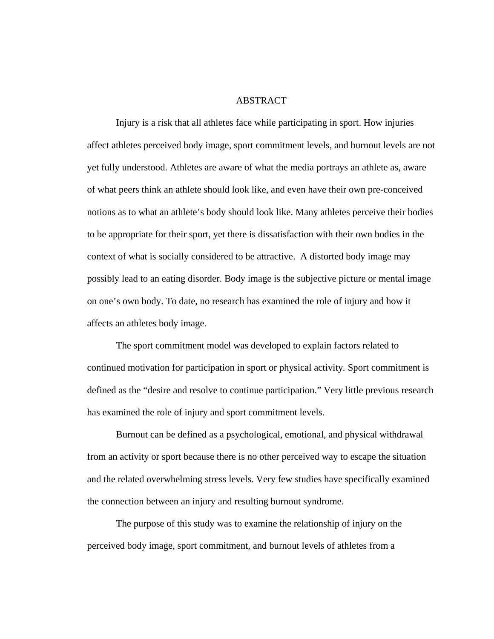## ABSTRACT

Injury is a risk that all athletes face while participating in sport. How injuries affect athletes perceived body image, sport commitment levels, and burnout levels are not yet fully understood. Athletes are aware of what the media portrays an athlete as, aware of what peers think an athlete should look like, and even have their own pre-conceived notions as to what an athlete's body should look like. Many athletes perceive their bodies to be appropriate for their sport, yet there is dissatisfaction with their own bodies in the context of what is socially considered to be attractive. A distorted body image may possibly lead to an eating disorder. Body image is the subjective picture or mental image on one's own body. To date, no research has examined the role of injury and how it affects an athletes body image.

The sport commitment model was developed to explain factors related to continued motivation for participation in sport or physical activity*.* Sport commitment is defined as the "desire and resolve to continue participation." Very little previous research has examined the role of injury and sport commitment levels.

Burnout can be defined as a psychological, emotional, and physical withdrawal from an activity or sport because there is no other perceived way to escape the situation and the related overwhelming stress levels. Very few studies have specifically examined the connection between an injury and resulting burnout syndrome.

The purpose of this study was to examine the relationship of injury on the perceived body image, sport commitment, and burnout levels of athletes from a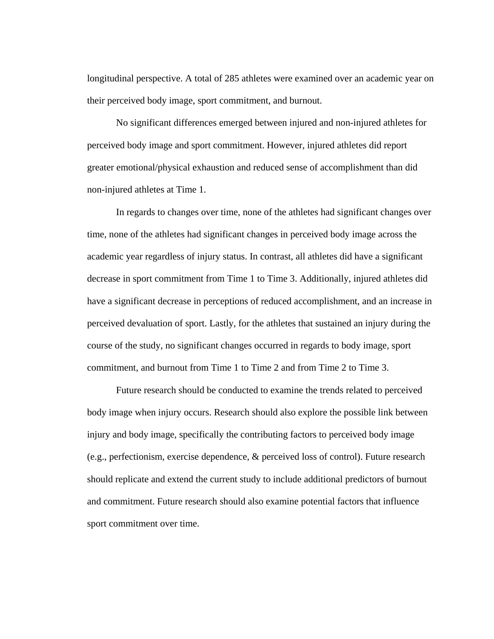longitudinal perspective. A total of 285 athletes were examined over an academic year on their perceived body image, sport commitment, and burnout.

No significant differences emerged between injured and non-injured athletes for perceived body image and sport commitment. However, injured athletes did report greater emotional/physical exhaustion and reduced sense of accomplishment than did non-injured athletes at Time 1.

 In regards to changes over time, none of the athletes had significant changes over time, none of the athletes had significant changes in perceived body image across the academic year regardless of injury status. In contrast, all athletes did have a significant decrease in sport commitment from Time 1 to Time 3. Additionally, injured athletes did have a significant decrease in perceptions of reduced accomplishment, and an increase in perceived devaluation of sport. Lastly, for the athletes that sustained an injury during the course of the study, no significant changes occurred in regards to body image, sport commitment, and burnout from Time 1 to Time 2 and from Time 2 to Time 3.

 Future research should be conducted to examine the trends related to perceived body image when injury occurs. Research should also explore the possible link between injury and body image, specifically the contributing factors to perceived body image (e.g., perfectionism, exercise dependence, & perceived loss of control). Future research should replicate and extend the current study to include additional predictors of burnout and commitment. Future research should also examine potential factors that influence sport commitment over time.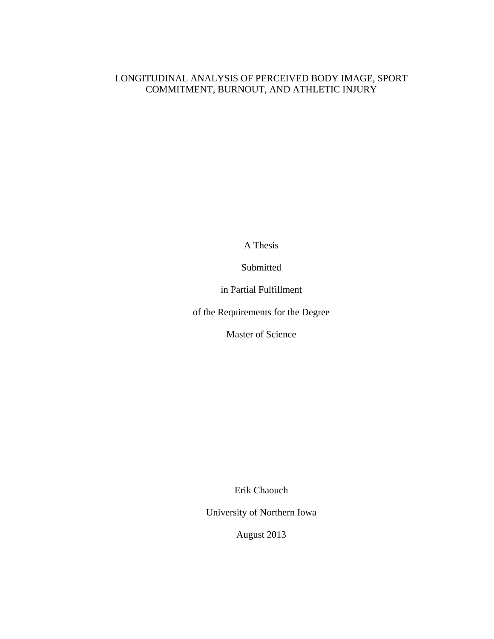# LONGITUDINAL ANALYSIS OF PERCEIVED BODY IMAGE, SPORT COMMITMENT, BURNOUT, AND ATHLETIC INJURY

A Thesis

Submitted

in Partial Fulfillment

of the Requirements for the Degree

Master of Science

Erik Chaouch

University of Northern Iowa

August 2013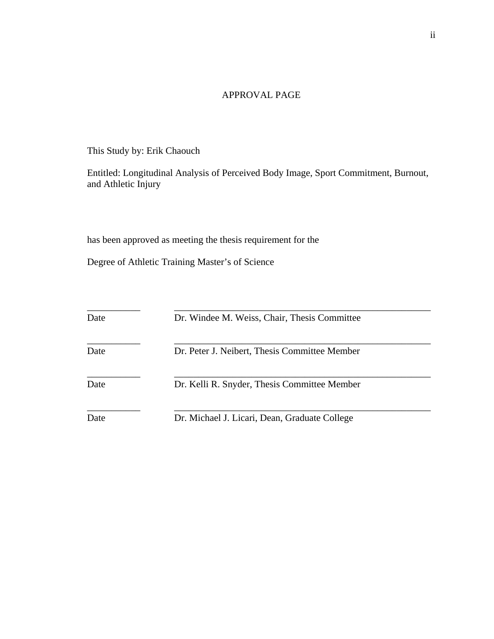# APPROVAL PAGE

This Study by: Erik Chaouch

Entitled: Longitudinal Analysis of Perceived Body Image, Sport Commitment, Burnout, and Athletic Injury

has been approved as meeting the thesis requirement for the

Degree of Athletic Training Master's of Science

| Date | Dr. Windee M. Weiss, Chair, Thesis Committee  |
|------|-----------------------------------------------|
| Date | Dr. Peter J. Neibert, Thesis Committee Member |
| Date | Dr. Kelli R. Snyder, Thesis Committee Member  |
| Date | Dr. Michael J. Licari, Dean, Graduate College |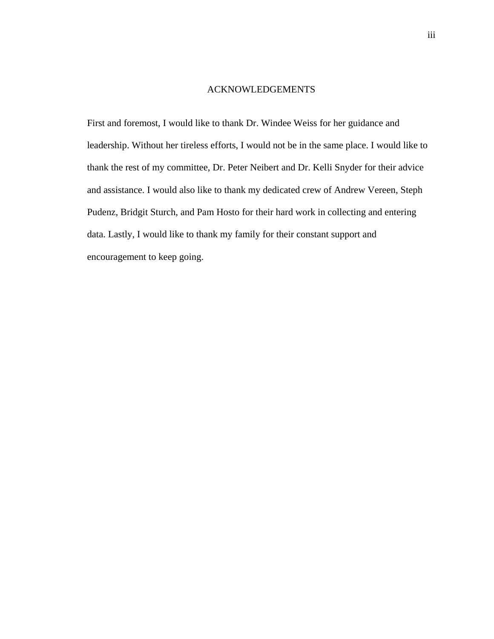# ACKNOWLEDGEMENTS

First and foremost, I would like to thank Dr. Windee Weiss for her guidance and leadership. Without her tireless efforts, I would not be in the same place. I would like to thank the rest of my committee, Dr. Peter Neibert and Dr. Kelli Snyder for their advice and assistance. I would also like to thank my dedicated crew of Andrew Vereen, Steph Pudenz, Bridgit Sturch, and Pam Hosto for their hard work in collecting and entering data. Lastly, I would like to thank my family for their constant support and encouragement to keep going.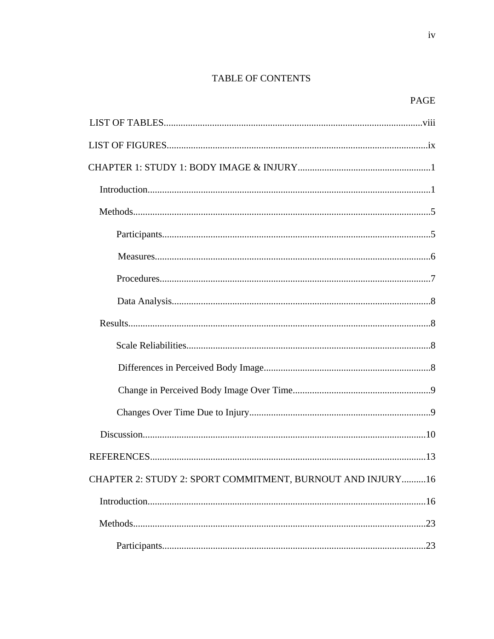# TABLE OF CONTENTS

 $\rm iv$ 

| CHAPTER 2: STUDY 2: SPORT COMMITMENT, BURNOUT AND INJURY16 |
|------------------------------------------------------------|
|                                                            |
|                                                            |
|                                                            |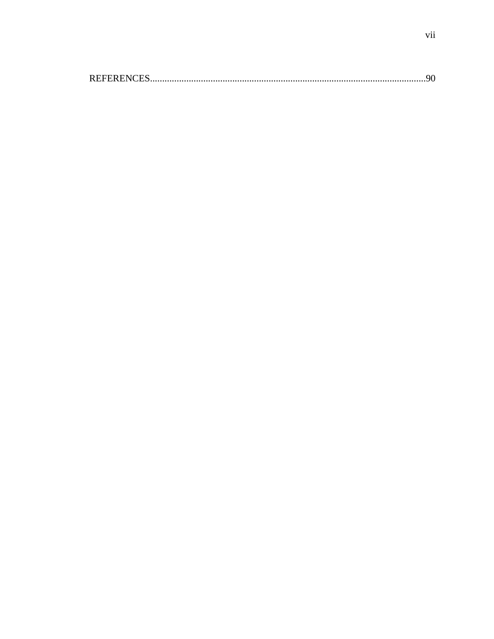|--|--|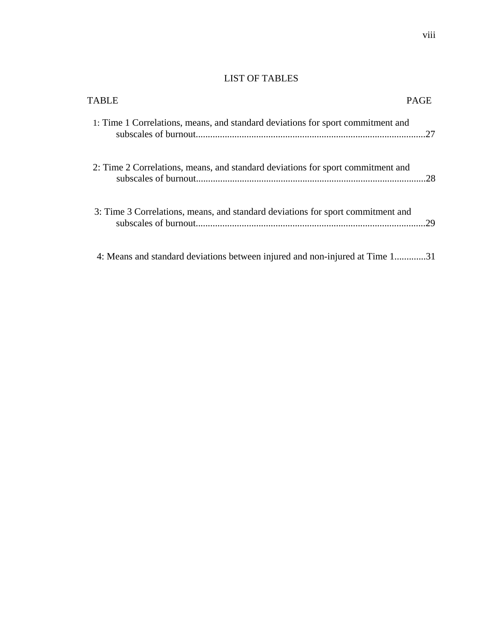# LIST OF TABLES

| <b>TABLE</b>                                                                    |     |
|---------------------------------------------------------------------------------|-----|
| 1: Time 1 Correlations, means, and standard deviations for sport commitment and | 27  |
| 2: Time 2 Correlations, means, and standard deviations for sport commitment and | .28 |
| 3: Time 3 Correlations, means, and standard deviations for sport commitment and | 29  |
| 4: Means and standard deviations between injured and non-injured at Time 131    |     |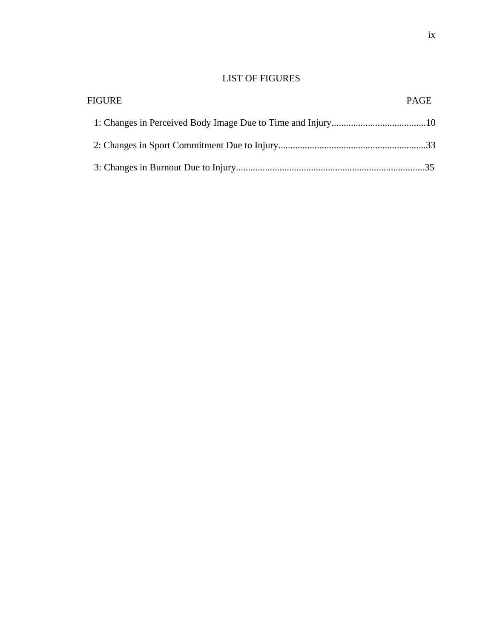# LIST OF FIGURES

| FIGURE |  |
|--------|--|
|        |  |
|        |  |
|        |  |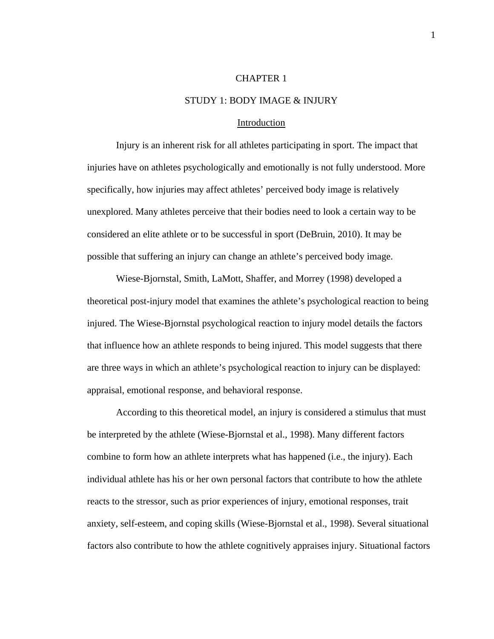#### CHAPTER 1

## STUDY 1: BODY IMAGE & INJURY

#### Introduction

Injury is an inherent risk for all athletes participating in sport. The impact that injuries have on athletes psychologically and emotionally is not fully understood. More specifically, how injuries may affect athletes' perceived body image is relatively unexplored. Many athletes perceive that their bodies need to look a certain way to be considered an elite athlete or to be successful in sport (DeBruin, 2010). It may be possible that suffering an injury can change an athlete's perceived body image.

Wiese-Bjornstal, Smith, LaMott, Shaffer, and Morrey (1998) developed a theoretical post-injury model that examines the athlete's psychological reaction to being injured. The Wiese-Bjornstal psychological reaction to injury model details the factors that influence how an athlete responds to being injured. This model suggests that there are three ways in which an athlete's psychological reaction to injury can be displayed: appraisal, emotional response, and behavioral response.

According to this theoretical model, an injury is considered a stimulus that must be interpreted by the athlete (Wiese-Bjornstal et al., 1998). Many different factors combine to form how an athlete interprets what has happened (i.e., the injury). Each individual athlete has his or her own personal factors that contribute to how the athlete reacts to the stressor, such as prior experiences of injury, emotional responses, trait anxiety, self-esteem, and coping skills (Wiese-Bjornstal et al., 1998). Several situational factors also contribute to how the athlete cognitively appraises injury. Situational factors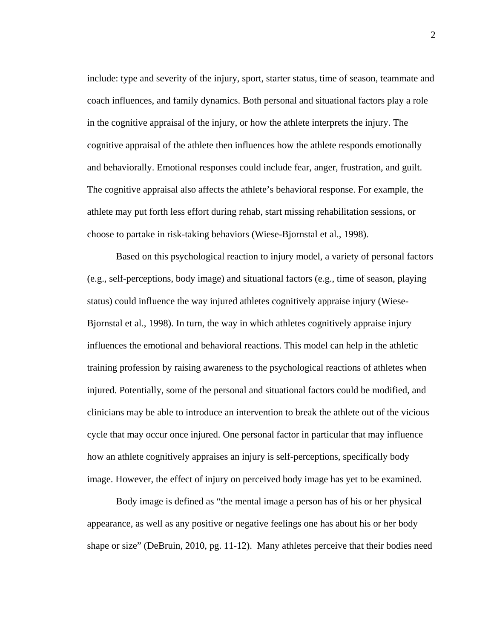include: type and severity of the injury, sport, starter status, time of season, teammate and coach influences, and family dynamics. Both personal and situational factors play a role in the cognitive appraisal of the injury, or how the athlete interprets the injury. The cognitive appraisal of the athlete then influences how the athlete responds emotionally and behaviorally. Emotional responses could include fear, anger, frustration, and guilt. The cognitive appraisal also affects the athlete's behavioral response. For example, the athlete may put forth less effort during rehab, start missing rehabilitation sessions, or choose to partake in risk-taking behaviors (Wiese-Bjornstal et al., 1998).

Based on this psychological reaction to injury model, a variety of personal factors (e.g., self-perceptions, body image) and situational factors (e.g., time of season, playing status) could influence the way injured athletes cognitively appraise injury (Wiese-Bjornstal et al., 1998). In turn, the way in which athletes cognitively appraise injury influences the emotional and behavioral reactions. This model can help in the athletic training profession by raising awareness to the psychological reactions of athletes when injured. Potentially, some of the personal and situational factors could be modified, and clinicians may be able to introduce an intervention to break the athlete out of the vicious cycle that may occur once injured. One personal factor in particular that may influence how an athlete cognitively appraises an injury is self-perceptions, specifically body image. However, the effect of injury on perceived body image has yet to be examined.

Body image is defined as "the mental image a person has of his or her physical appearance, as well as any positive or negative feelings one has about his or her body shape or size" (DeBruin, 2010, pg. 11-12). Many athletes perceive that their bodies need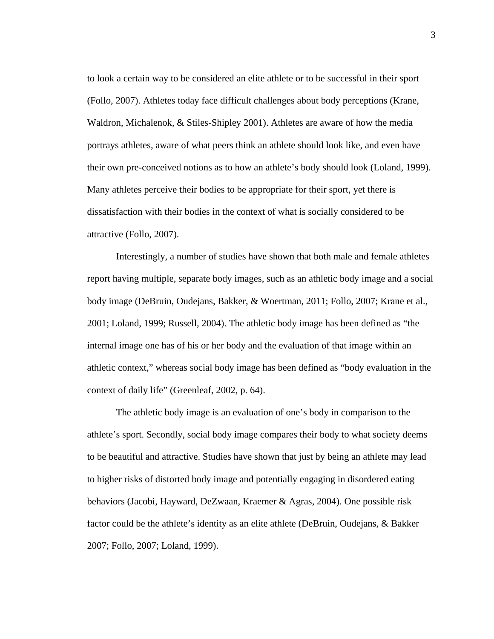to look a certain way to be considered an elite athlete or to be successful in their sport (Follo, 2007). Athletes today face difficult challenges about body perceptions (Krane, Waldron, Michalenok, & Stiles-Shipley 2001). Athletes are aware of how the media portrays athletes, aware of what peers think an athlete should look like, and even have their own pre-conceived notions as to how an athlete's body should look (Loland, 1999). Many athletes perceive their bodies to be appropriate for their sport, yet there is dissatisfaction with their bodies in the context of what is socially considered to be attractive (Follo, 2007).

Interestingly, a number of studies have shown that both male and female athletes report having multiple, separate body images, such as an athletic body image and a social body image (DeBruin, Oudejans, Bakker, & Woertman, 2011; Follo, 2007; Krane et al., 2001; Loland, 1999; Russell, 2004). The athletic body image has been defined as "the internal image one has of his or her body and the evaluation of that image within an athletic context," whereas social body image has been defined as "body evaluation in the context of daily life" (Greenleaf, 2002, p. 64).

The athletic body image is an evaluation of one's body in comparison to the athlete's sport. Secondly, social body image compares their body to what society deems to be beautiful and attractive. Studies have shown that just by being an athlete may lead to higher risks of distorted body image and potentially engaging in disordered eating behaviors (Jacobi, Hayward, DeZwaan, Kraemer & Agras, 2004). One possible risk factor could be the athlete's identity as an elite athlete (DeBruin, Oudejans, & Bakker 2007; Follo, 2007; Loland, 1999).

3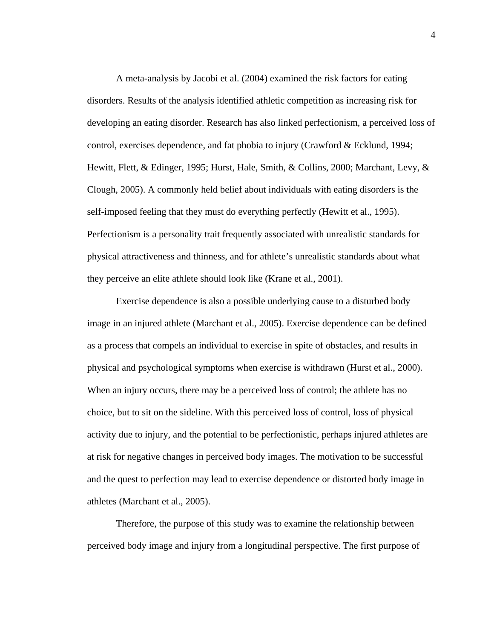A meta-analysis by Jacobi et al. (2004) examined the risk factors for eating disorders. Results of the analysis identified athletic competition as increasing risk for developing an eating disorder. Research has also linked perfectionism, a perceived loss of control, exercises dependence, and fat phobia to injury (Crawford & Ecklund, 1994; Hewitt, Flett, & Edinger, 1995; Hurst, Hale, Smith, & Collins, 2000; Marchant, Levy, & Clough, 2005). A commonly held belief about individuals with eating disorders is the self-imposed feeling that they must do everything perfectly (Hewitt et al., 1995). Perfectionism is a personality trait frequently associated with unrealistic standards for physical attractiveness and thinness, and for athlete's unrealistic standards about what they perceive an elite athlete should look like (Krane et al., 2001).

 Exercise dependence is also a possible underlying cause to a disturbed body image in an injured athlete (Marchant et al., 2005). Exercise dependence can be defined as a process that compels an individual to exercise in spite of obstacles, and results in physical and psychological symptoms when exercise is withdrawn (Hurst et al., 2000). When an injury occurs, there may be a perceived loss of control; the athlete has no choice, but to sit on the sideline. With this perceived loss of control, loss of physical activity due to injury, and the potential to be perfectionistic, perhaps injured athletes are at risk for negative changes in perceived body images. The motivation to be successful and the quest to perfection may lead to exercise dependence or distorted body image in athletes (Marchant et al., 2005).

Therefore, the purpose of this study was to examine the relationship between perceived body image and injury from a longitudinal perspective. The first purpose of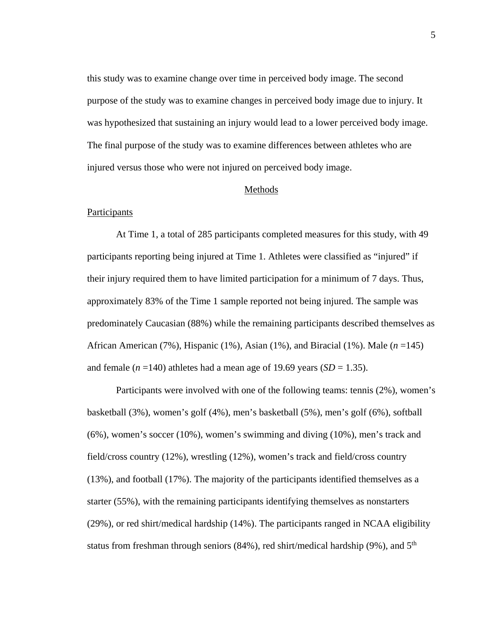this study was to examine change over time in perceived body image. The second purpose of the study was to examine changes in perceived body image due to injury. It was hypothesized that sustaining an injury would lead to a lower perceived body image. The final purpose of the study was to examine differences between athletes who are injured versus those who were not injured on perceived body image.

## Methods

## Participants

At Time 1, a total of 285 participants completed measures for this study, with 49 participants reporting being injured at Time 1. Athletes were classified as "injured" if their injury required them to have limited participation for a minimum of 7 days. Thus, approximately 83% of the Time 1 sample reported not being injured. The sample was predominately Caucasian (88%) while the remaining participants described themselves as African American (7%), Hispanic (1%), Asian (1%), and Biracial (1%). Male (*n* =145) and female  $(n = 140)$  athletes had a mean age of 19.69 years  $(SD = 1.35)$ .

 Participants were involved with one of the following teams: tennis (2%), women's basketball (3%), women's golf (4%), men's basketball (5%), men's golf (6%), softball (6%), women's soccer (10%), women's swimming and diving (10%), men's track and field/cross country (12%), wrestling (12%), women's track and field/cross country (13%), and football (17%). The majority of the participants identified themselves as a starter (55%), with the remaining participants identifying themselves as nonstarters (29%), or red shirt/medical hardship (14%). The participants ranged in NCAA eligibility status from freshman through seniors  $(84%)$ , red shirt/medical hardship  $(9%)$ , and  $5<sup>th</sup>$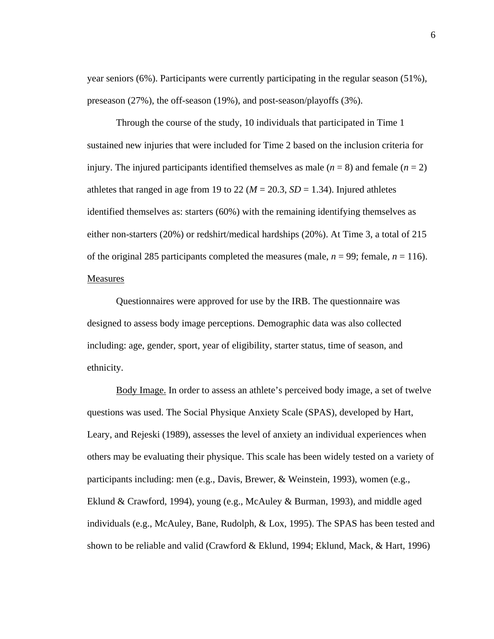year seniors (6%). Participants were currently participating in the regular season (51%), preseason (27%), the off-season (19%), and post-season/playoffs (3%).

 Through the course of the study, 10 individuals that participated in Time 1 sustained new injuries that were included for Time 2 based on the inclusion criteria for injury. The injured participants identified themselves as male  $(n = 8)$  and female  $(n = 2)$ athletes that ranged in age from 19 to 22 ( $M = 20.3$ ,  $SD = 1.34$ ). Injured athletes identified themselves as: starters (60%) with the remaining identifying themselves as either non-starters (20%) or redshirt/medical hardships (20%). At Time 3, a total of 215 of the original 285 participants completed the measures (male,  $n = 99$ ; female,  $n = 116$ ). **Measures** 

Questionnaires were approved for use by the IRB. The questionnaire was designed to assess body image perceptions. Demographic data was also collected including: age, gender, sport, year of eligibility, starter status, time of season, and ethnicity.

Body Image. In order to assess an athlete's perceived body image, a set of twelve questions was used. The Social Physique Anxiety Scale (SPAS), developed by Hart, Leary, and Rejeski (1989), assesses the level of anxiety an individual experiences when others may be evaluating their physique. This scale has been widely tested on a variety of participants including: men (e.g., Davis, Brewer, & Weinstein, 1993), women (e.g., Eklund & Crawford, 1994), young (e.g., McAuley & Burman, 1993), and middle aged individuals (e.g., McAuley, Bane, Rudolph, & Lox, 1995). The SPAS has been tested and shown to be reliable and valid (Crawford & Eklund, 1994; Eklund, Mack, & Hart, 1996)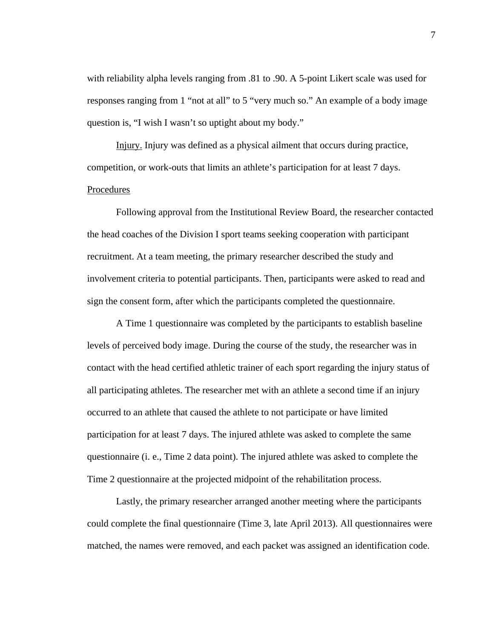with reliability alpha levels ranging from .81 to .90. A 5-point Likert scale was used for responses ranging from 1 "not at all" to 5 "very much so." An example of a body image question is, "I wish I wasn't so uptight about my body."

Injury. Injury was defined as a physical ailment that occurs during practice, competition, or work-outs that limits an athlete's participation for at least 7 days. Procedures

 Following approval from the Institutional Review Board, the researcher contacted the head coaches of the Division I sport teams seeking cooperation with participant recruitment. At a team meeting, the primary researcher described the study and involvement criteria to potential participants. Then, participants were asked to read and sign the consent form, after which the participants completed the questionnaire.

A Time 1 questionnaire was completed by the participants to establish baseline levels of perceived body image. During the course of the study, the researcher was in contact with the head certified athletic trainer of each sport regarding the injury status of all participating athletes. The researcher met with an athlete a second time if an injury occurred to an athlete that caused the athlete to not participate or have limited participation for at least 7 days. The injured athlete was asked to complete the same questionnaire (i. e., Time 2 data point). The injured athlete was asked to complete the Time 2 questionnaire at the projected midpoint of the rehabilitation process.

Lastly, the primary researcher arranged another meeting where the participants could complete the final questionnaire (Time 3, late April 2013). All questionnaires were matched, the names were removed, and each packet was assigned an identification code.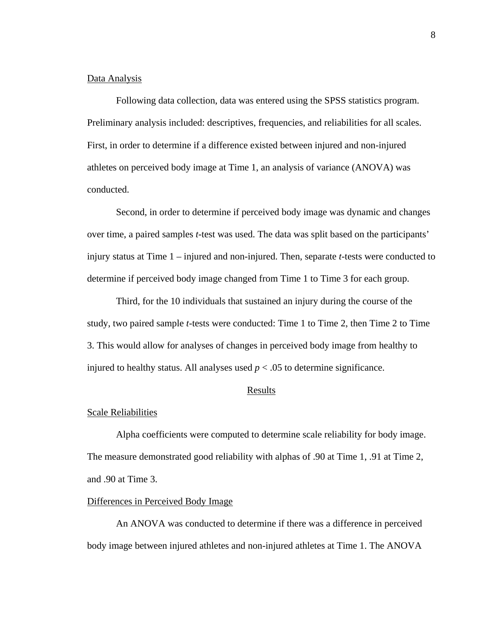### Data Analysis

Following data collection, data was entered using the SPSS statistics program. Preliminary analysis included: descriptives, frequencies, and reliabilities for all scales. First, in order to determine if a difference existed between injured and non-injured athletes on perceived body image at Time 1, an analysis of variance (ANOVA) was conducted.

Second, in order to determine if perceived body image was dynamic and changes over time, a paired samples *t*-test was used. The data was split based on the participants' injury status at Time 1 – injured and non-injured. Then, separate *t*-tests were conducted to determine if perceived body image changed from Time 1 to Time 3 for each group.

Third, for the 10 individuals that sustained an injury during the course of the study, two paired sample *t*-tests were conducted: Time 1 to Time 2, then Time 2 to Time 3. This would allow for analyses of changes in perceived body image from healthy to injured to healthy status. All analyses used  $p < .05$  to determine significance.

# Results

# Scale Reliabilities

Alpha coefficients were computed to determine scale reliability for body image. The measure demonstrated good reliability with alphas of .90 at Time 1, .91 at Time 2, and .90 at Time 3.

## Differences in Perceived Body Image

 An ANOVA was conducted to determine if there was a difference in perceived body image between injured athletes and non-injured athletes at Time 1. The ANOVA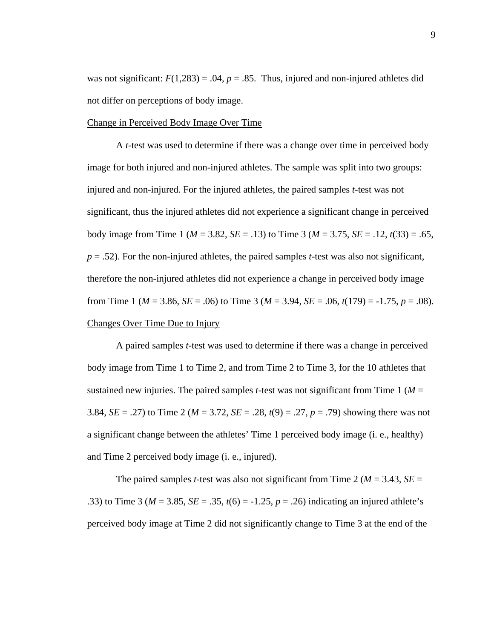was not significant:  $F(1,283) = .04$ ,  $p = .85$ . Thus, injured and non-injured athletes did not differ on perceptions of body image.

#### Change in Perceived Body Image Over Time

 A *t*-test was used to determine if there was a change over time in perceived body image for both injured and non-injured athletes. The sample was split into two groups: injured and non-injured. For the injured athletes, the paired samples *t*-test was not significant, thus the injured athletes did not experience a significant change in perceived body image from Time 1 (*M* = 3.82, *SE* = .13) to Time 3 (*M* = 3.75, *SE* = .12, *t*(33) = .65, *p* = .52). For the non-injured athletes, the paired samples *t*-test was also not significant, therefore the non-injured athletes did not experience a change in perceived body image from Time 1 (*M* = 3.86, *SE* = .06) to Time 3 (*M* = 3.94, *SE* = .06, *t*(179) = -1.75, *p* = .08). Changes Over Time Due to Injury

 A paired samples *t*-test was used to determine if there was a change in perceived body image from Time 1 to Time 2, and from Time 2 to Time 3, for the 10 athletes that sustained new injuries. The paired samples *t*-test was not significant from Time 1 ( $M =$ 3.84, *SE* = .27) to Time 2 (*M* = 3.72, *SE* = .28, *t*(9) = .27, *p* = .79) showing there was not a significant change between the athletes' Time 1 perceived body image (i. e., healthy) and Time 2 perceived body image (i. e., injured).

The paired samples *t*-test was also not significant from Time 2 ( $M = 3.43$ ,  $SE =$ .33) to Time 3 ( $M = 3.85$ ,  $SE = .35$ ,  $t(6) = -1.25$ ,  $p = .26$ ) indicating an injured athlete's perceived body image at Time 2 did not significantly change to Time 3 at the end of the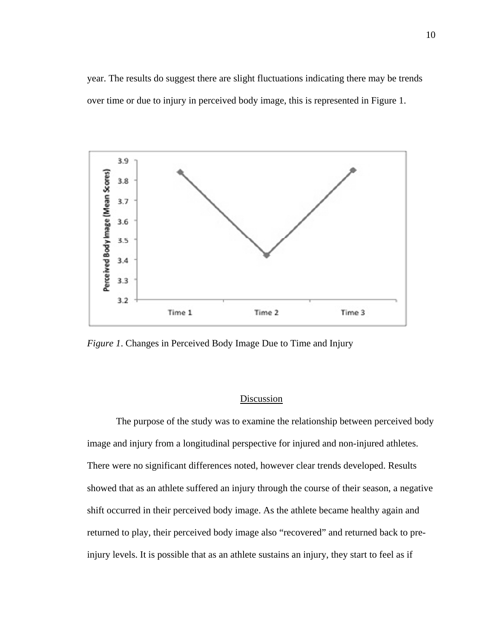year. The results do suggest there are slight fluctuations indicating there may be trends over time or due to injury in perceived body image, this is represented in Figure 1.



*Figure 1*. Changes in Perceived Body Image Due to Time and Injury

# **Discussion**

The purpose of the study was to examine the relationship between perceived body image and injury from a longitudinal perspective for injured and non-injured athletes. There were no significant differences noted, however clear trends developed. Results showed that as an athlete suffered an injury through the course of their season, a negative shift occurred in their perceived body image. As the athlete became healthy again and returned to play, their perceived body image also "recovered" and returned back to preinjury levels. It is possible that as an athlete sustains an injury, they start to feel as if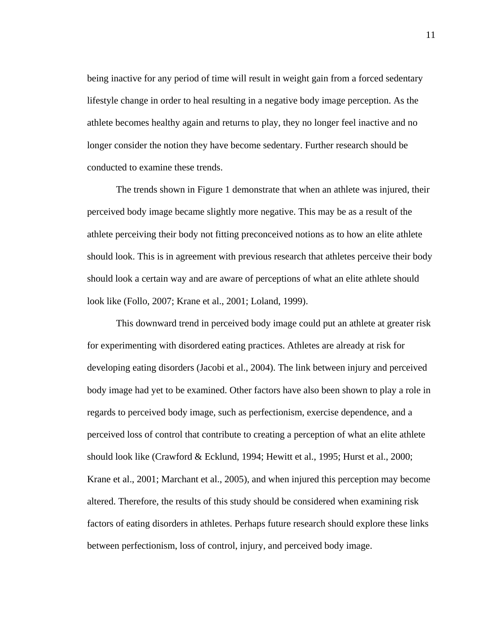being inactive for any period of time will result in weight gain from a forced sedentary lifestyle change in order to heal resulting in a negative body image perception. As the athlete becomes healthy again and returns to play, they no longer feel inactive and no longer consider the notion they have become sedentary. Further research should be conducted to examine these trends.

The trends shown in Figure 1 demonstrate that when an athlete was injured, their perceived body image became slightly more negative. This may be as a result of the athlete perceiving their body not fitting preconceived notions as to how an elite athlete should look. This is in agreement with previous research that athletes perceive their body should look a certain way and are aware of perceptions of what an elite athlete should look like (Follo, 2007; Krane et al., 2001; Loland, 1999).

This downward trend in perceived body image could put an athlete at greater risk for experimenting with disordered eating practices. Athletes are already at risk for developing eating disorders (Jacobi et al., 2004). The link between injury and perceived body image had yet to be examined. Other factors have also been shown to play a role in regards to perceived body image, such as perfectionism, exercise dependence, and a perceived loss of control that contribute to creating a perception of what an elite athlete should look like (Crawford & Ecklund, 1994; Hewitt et al., 1995; Hurst et al., 2000; Krane et al., 2001; Marchant et al., 2005), and when injured this perception may become altered. Therefore, the results of this study should be considered when examining risk factors of eating disorders in athletes. Perhaps future research should explore these links between perfectionism, loss of control, injury, and perceived body image.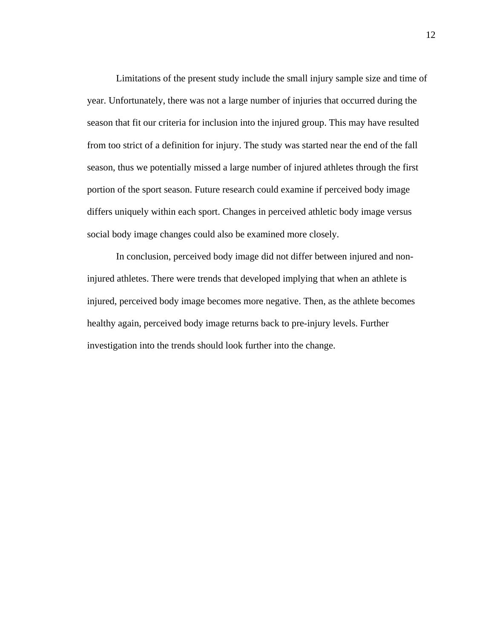Limitations of the present study include the small injury sample size and time of year. Unfortunately, there was not a large number of injuries that occurred during the season that fit our criteria for inclusion into the injured group. This may have resulted from too strict of a definition for injury. The study was started near the end of the fall season, thus we potentially missed a large number of injured athletes through the first portion of the sport season. Future research could examine if perceived body image differs uniquely within each sport. Changes in perceived athletic body image versus social body image changes could also be examined more closely.

In conclusion, perceived body image did not differ between injured and noninjured athletes. There were trends that developed implying that when an athlete is injured, perceived body image becomes more negative. Then, as the athlete becomes healthy again, perceived body image returns back to pre-injury levels. Further investigation into the trends should look further into the change.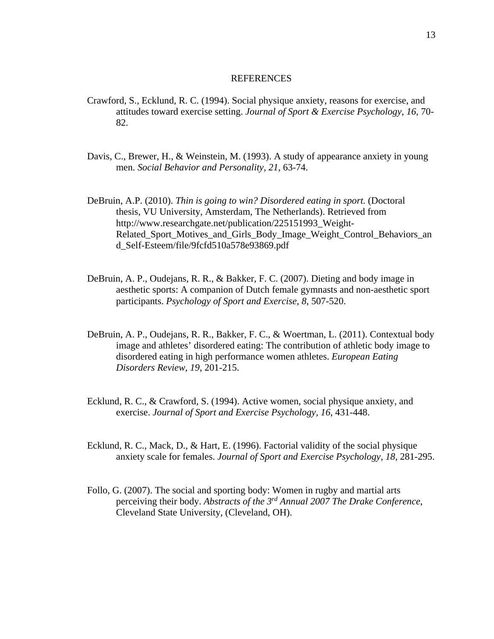#### REFERENCES

- Crawford, S., Ecklund, R. C. (1994). Social physique anxiety, reasons for exercise, and attitudes toward exercise setting. *Journal of Sport & Exercise Psychology, 16*, 70- 82.
- Davis, C., Brewer, H., & Weinstein, M. (1993). A study of appearance anxiety in young men. *Social Behavior and Personality, 21*, 63-74.
- DeBruin, A.P. (2010). *Thin is going to win? Disordered eating in sport.* (Doctoral thesis, VU University, Amsterdam, The Netherlands). Retrieved from http://www.researchgate.net/publication/225151993\_Weight-Related\_Sport\_Motives\_and\_Girls\_Body\_Image\_Weight\_Control\_Behaviors\_an d\_Self-Esteem/file/9fcfd510a578e93869.pdf
- DeBruin, A. P., Oudejans, R. R., & Bakker, F. C. (2007). Dieting and body image in aesthetic sports: A companion of Dutch female gymnasts and non-aesthetic sport participants. *Psychology of Sport and Exercise, 8*, 507-520.
- DeBruin, A. P., Oudejans, R. R., Bakker, F. C., & Woertman, L. (2011). Contextual body image and athletes' disordered eating: The contribution of athletic body image to disordered eating in high performance women athletes. *European Eating Disorders Review, 19*, 201-215.
- Ecklund, R. C., & Crawford, S. (1994). Active women, social physique anxiety, and exercise. *Journal of Sport and Exercise Psychology, 16*, 431-448.
- Ecklund, R. C., Mack, D., & Hart, E. (1996). Factorial validity of the social physique anxiety scale for females. *Journal of Sport and Exercise Psychology, 18*, 281-295.
- Follo, G. (2007). The social and sporting body: Women in rugby and martial arts perceiving their body. *Abstracts of the 3rd Annual 2007 The Drake Conference*, Cleveland State University, (Cleveland, OH).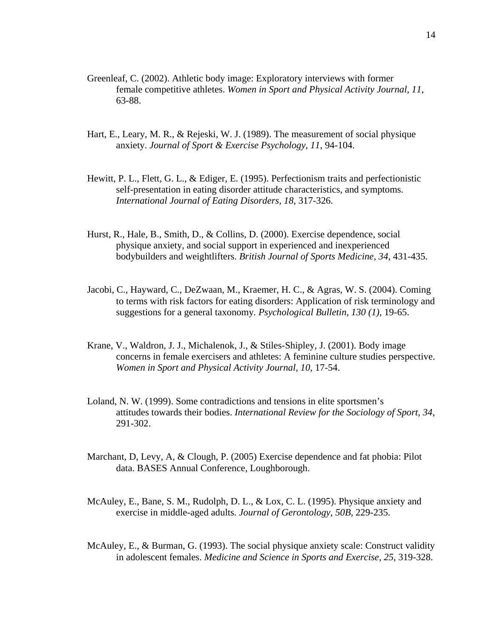- Greenleaf, C. (2002). Athletic body image: Exploratory interviews with former female competitive athletes. *Women in Sport and Physical Activity Journal, 11*, 63-88.
- Hart, E., Leary, M. R., & Rejeski, W. J. (1989). The measurement of social physique anxiety. *Journal of Sport & Exercise Psychology, 11*, 94-104.
- Hewitt, P. L., Flett, G. L., & Ediger, E. (1995). Perfectionism traits and perfectionistic self-presentation in eating disorder attitude characteristics, and symptoms. *International Journal of Eating Disorders, 18,* 317-326.
- Hurst, R., Hale, B., Smith, D., & Collins, D. (2000). Exercise dependence, social physique anxiety, and social support in experienced and inexperienced bodybuilders and weightlifters. *British Journal of Sports Medicine, 34*, 431-435.
- Jacobi, C., Hayward, C., DeZwaan, M., Kraemer, H. C., & Agras, W. S. (2004). Coming to terms with risk factors for eating disorders: Application of risk terminology and suggestions for a general taxonomy*. Psychological Bulletin, 130 (1),* 19-65.
- Krane, V., Waldron, J. J., Michalenok, J., & Stiles-Shipley, J. (2001). Body image concerns in female exercisers and athletes: A feminine culture studies perspective. *Women in Sport and Physical Activity Journal, 10*, 17-54.
- Loland, N. W. (1999). Some contradictions and tensions in elite sportsmen's attitudes towards their bodies. *International Review for the Sociology of Sport, 34*, 291-302.
- Marchant, D, Levy, A, & Clough, P. (2005) Exercise dependence and fat phobia: Pilot data. BASES Annual Conference, Loughborough.
- McAuley, E., Bane, S. M., Rudolph, D. L., & Lox, C. L. (1995). Physique anxiety and exercise in middle-aged adults*. Journal of Gerontology, 50B*, 229-235.
- McAuley, E., & Burman, G. (1993). The social physique anxiety scale: Construct validity in adolescent females. *Medicine and Science in Sports and Exercise, 25*, 319-328.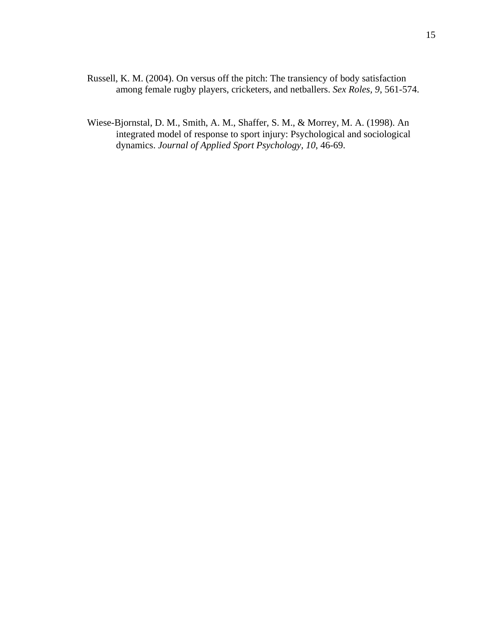- Russell, K. M. (2004). On versus off the pitch: The transiency of body satisfaction among female rugby players, cricketers, and netballers. *Sex Roles, 9*, 561-574.
- Wiese-Bjornstal, D. M., Smith, A. M., Shaffer, S. M., & Morrey, M. A. (1998). An integrated model of response to sport injury: Psychological and sociological dynamics. *Journal of Applied Sport Psychology, 10*, 46-69.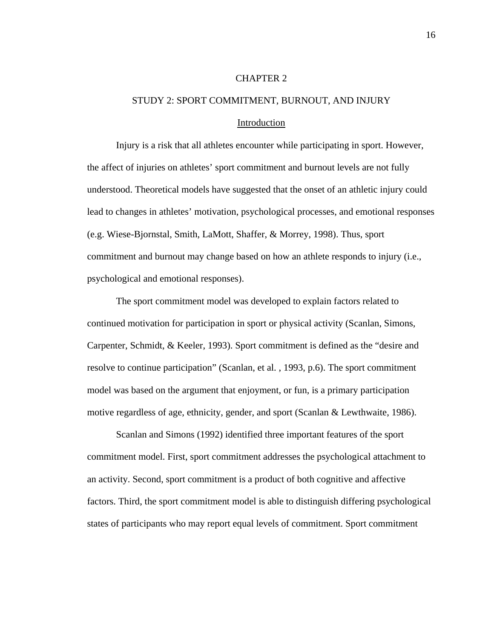#### CHAPTER 2

# STUDY 2: SPORT COMMITMENT, BURNOUT, AND INJURY

#### Introduction

Injury is a risk that all athletes encounter while participating in sport. However, the affect of injuries on athletes' sport commitment and burnout levels are not fully understood. Theoretical models have suggested that the onset of an athletic injury could lead to changes in athletes' motivation, psychological processes, and emotional responses (e.g. Wiese-Bjornstal, Smith, LaMott, Shaffer, & Morrey, 1998). Thus, sport commitment and burnout may change based on how an athlete responds to injury (i.e., psychological and emotional responses).

The sport commitment model was developed to explain factors related to continued motivation for participation in sport or physical activity (Scanlan, Simons, Carpenter, Schmidt, & Keeler, 1993). Sport commitment is defined as the "desire and resolve to continue participation" (Scanlan, et al. , 1993, p.6). The sport commitment model was based on the argument that enjoyment, or fun, is a primary participation motive regardless of age, ethnicity, gender, and sport (Scanlan & Lewthwaite, 1986).

Scanlan and Simons (1992) identified three important features of the sport commitment model. First, sport commitment addresses the psychological attachment to an activity. Second, sport commitment is a product of both cognitive and affective factors. Third, the sport commitment model is able to distinguish differing psychological states of participants who may report equal levels of commitment. Sport commitment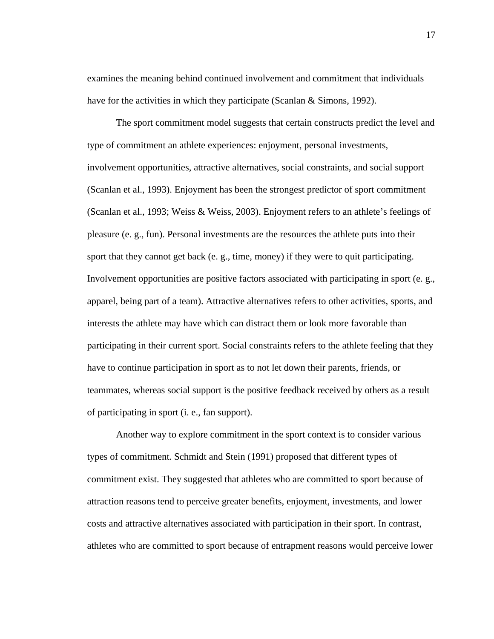examines the meaning behind continued involvement and commitment that individuals have for the activities in which they participate (Scanlan & Simons, 1992).

The sport commitment model suggests that certain constructs predict the level and type of commitment an athlete experiences: enjoyment, personal investments, involvement opportunities, attractive alternatives, social constraints, and social support (Scanlan et al., 1993). Enjoyment has been the strongest predictor of sport commitment (Scanlan et al., 1993; Weiss & Weiss, 2003). Enjoyment refers to an athlete's feelings of pleasure (e. g., fun). Personal investments are the resources the athlete puts into their sport that they cannot get back (e. g., time, money) if they were to quit participating. Involvement opportunities are positive factors associated with participating in sport (e. g., apparel, being part of a team). Attractive alternatives refers to other activities, sports, and interests the athlete may have which can distract them or look more favorable than participating in their current sport. Social constraints refers to the athlete feeling that they have to continue participation in sport as to not let down their parents, friends, or teammates, whereas social support is the positive feedback received by others as a result of participating in sport (i. e., fan support).

Another way to explore commitment in the sport context is to consider various types of commitment. Schmidt and Stein (1991) proposed that different types of commitment exist. They suggested that athletes who are committed to sport because of attraction reasons tend to perceive greater benefits, enjoyment, investments, and lower costs and attractive alternatives associated with participation in their sport. In contrast, athletes who are committed to sport because of entrapment reasons would perceive lower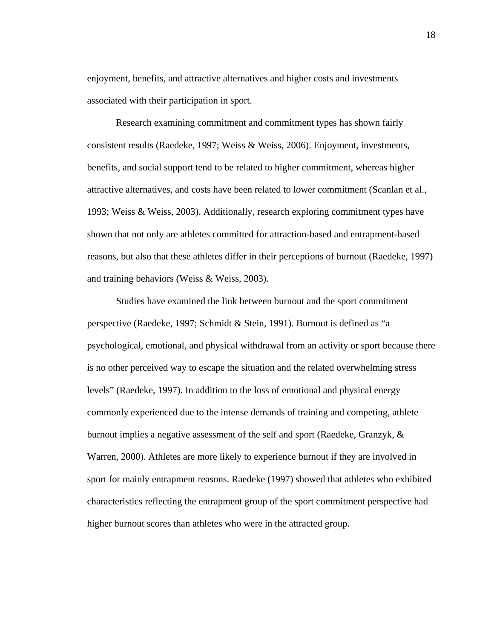enjoyment, benefits, and attractive alternatives and higher costs and investments associated with their participation in sport.

Research examining commitment and commitment types has shown fairly consistent results (Raedeke, 1997; Weiss & Weiss, 2006). Enjoyment, investments, benefits, and social support tend to be related to higher commitment, whereas higher attractive alternatives, and costs have been related to lower commitment (Scanlan et al., 1993; Weiss & Weiss, 2003). Additionally, research exploring commitment types have shown that not only are athletes committed for attraction-based and entrapment-based reasons, but also that these athletes differ in their perceptions of burnout (Raedeke, 1997) and training behaviors (Weiss & Weiss, 2003).

Studies have examined the link between burnout and the sport commitment perspective (Raedeke, 1997; Schmidt & Stein, 1991). Burnout is defined as "a psychological, emotional, and physical withdrawal from an activity or sport because there is no other perceived way to escape the situation and the related overwhelming stress levels" (Raedeke, 1997). In addition to the loss of emotional and physical energy commonly experienced due to the intense demands of training and competing, athlete burnout implies a negative assessment of the self and sport (Raedeke, Granzyk, & Warren, 2000). Athletes are more likely to experience burnout if they are involved in sport for mainly entrapment reasons. Raedeke (1997) showed that athletes who exhibited characteristics reflecting the entrapment group of the sport commitment perspective had higher burnout scores than athletes who were in the attracted group.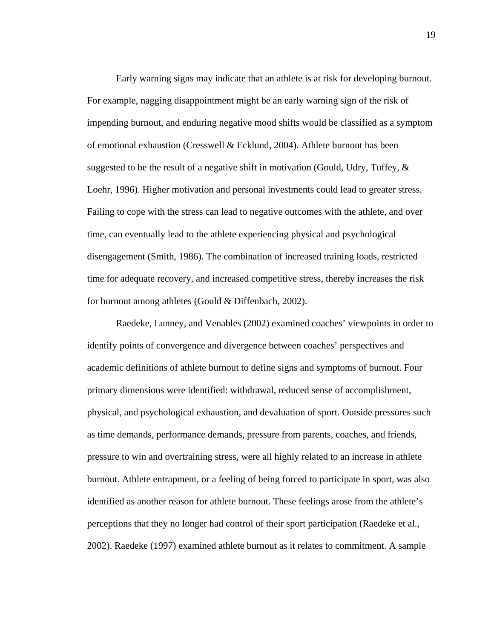Early warning signs may indicate that an athlete is at risk for developing burnout. For example, nagging disappointment might be an early warning sign of the risk of impending burnout, and enduring negative mood shifts would be classified as a symptom of emotional exhaustion (Cresswell & Ecklund, 2004). Athlete burnout has been suggested to be the result of a negative shift in motivation (Gould, Udry, Tuffey,  $\&$ Loehr, 1996). Higher motivation and personal investments could lead to greater stress. Failing to cope with the stress can lead to negative outcomes with the athlete, and over time, can eventually lead to the athlete experiencing physical and psychological disengagement (Smith, 1986). The combination of increased training loads, restricted time for adequate recovery, and increased competitive stress, thereby increases the risk for burnout among athletes (Gould & Diffenbach, 2002).

Raedeke, Lunney, and Venables (2002) examined coaches' viewpoints in order to identify points of convergence and divergence between coaches' perspectives and academic definitions of athlete burnout to define signs and symptoms of burnout. Four primary dimensions were identified: withdrawal, reduced sense of accomplishment, physical, and psychological exhaustion, and devaluation of sport. Outside pressures such as time demands, performance demands, pressure from parents, coaches, and friends, pressure to win and overtraining stress, were all highly related to an increase in athlete burnout. Athlete entrapment, or a feeling of being forced to participate in sport, was also identified as another reason for athlete burnout. These feelings arose from the athlete's perceptions that they no longer had control of their sport participation (Raedeke et al., 2002). Raedeke (1997) examined athlete burnout as it relates to commitment. A sample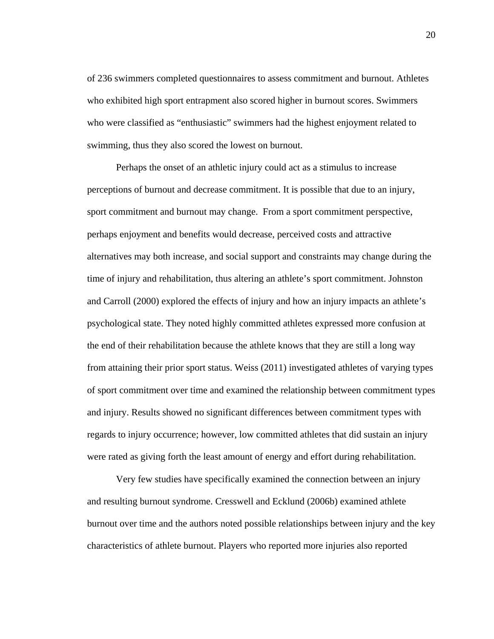of 236 swimmers completed questionnaires to assess commitment and burnout. Athletes who exhibited high sport entrapment also scored higher in burnout scores. Swimmers who were classified as "enthusiastic" swimmers had the highest enjoyment related to swimming, thus they also scored the lowest on burnout.

Perhaps the onset of an athletic injury could act as a stimulus to increase perceptions of burnout and decrease commitment. It is possible that due to an injury, sport commitment and burnout may change. From a sport commitment perspective, perhaps enjoyment and benefits would decrease, perceived costs and attractive alternatives may both increase, and social support and constraints may change during the time of injury and rehabilitation, thus altering an athlete's sport commitment. Johnston and Carroll (2000) explored the effects of injury and how an injury impacts an athlete's psychological state. They noted highly committed athletes expressed more confusion at the end of their rehabilitation because the athlete knows that they are still a long way from attaining their prior sport status. Weiss (2011) investigated athletes of varying types of sport commitment over time and examined the relationship between commitment types and injury. Results showed no significant differences between commitment types with regards to injury occurrence; however, low committed athletes that did sustain an injury were rated as giving forth the least amount of energy and effort during rehabilitation.

Very few studies have specifically examined the connection between an injury and resulting burnout syndrome. Cresswell and Ecklund (2006b) examined athlete burnout over time and the authors noted possible relationships between injury and the key characteristics of athlete burnout. Players who reported more injuries also reported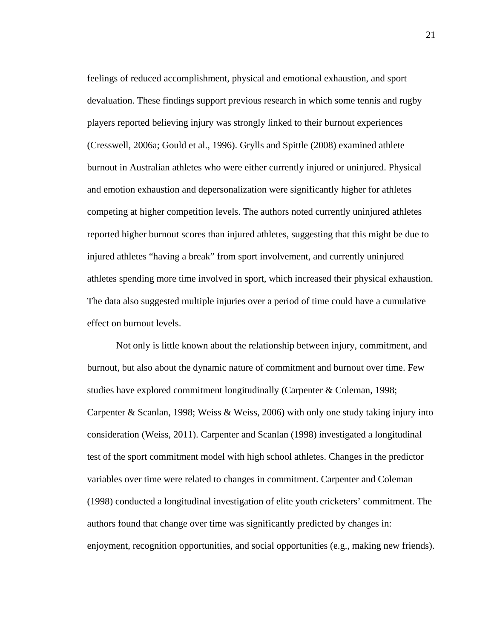feelings of reduced accomplishment, physical and emotional exhaustion, and sport devaluation. These findings support previous research in which some tennis and rugby players reported believing injury was strongly linked to their burnout experiences (Cresswell, 2006a; Gould et al., 1996). Grylls and Spittle (2008) examined athlete burnout in Australian athletes who were either currently injured or uninjured. Physical and emotion exhaustion and depersonalization were significantly higher for athletes competing at higher competition levels. The authors noted currently uninjured athletes reported higher burnout scores than injured athletes, suggesting that this might be due to injured athletes "having a break" from sport involvement, and currently uninjured athletes spending more time involved in sport, which increased their physical exhaustion. The data also suggested multiple injuries over a period of time could have a cumulative effect on burnout levels.

Not only is little known about the relationship between injury, commitment, and burnout, but also about the dynamic nature of commitment and burnout over time. Few studies have explored commitment longitudinally (Carpenter & Coleman, 1998; Carpenter & Scanlan, 1998; Weiss & Weiss, 2006) with only one study taking injury into consideration (Weiss, 2011). Carpenter and Scanlan (1998) investigated a longitudinal test of the sport commitment model with high school athletes. Changes in the predictor variables over time were related to changes in commitment. Carpenter and Coleman (1998) conducted a longitudinal investigation of elite youth cricketers' commitment. The authors found that change over time was significantly predicted by changes in: enjoyment, recognition opportunities, and social opportunities (e.g., making new friends).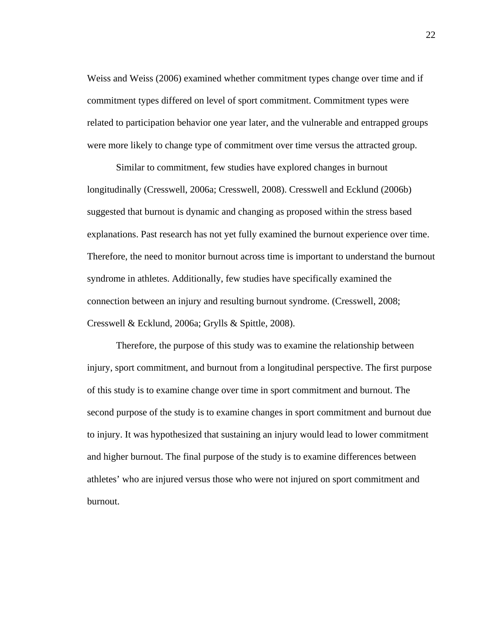Weiss and Weiss (2006) examined whether commitment types change over time and if commitment types differed on level of sport commitment. Commitment types were related to participation behavior one year later, and the vulnerable and entrapped groups were more likely to change type of commitment over time versus the attracted group.

Similar to commitment, few studies have explored changes in burnout longitudinally (Cresswell, 2006a; Cresswell, 2008). Cresswell and Ecklund (2006b) suggested that burnout is dynamic and changing as proposed within the stress based explanations. Past research has not yet fully examined the burnout experience over time. Therefore, the need to monitor burnout across time is important to understand the burnout syndrome in athletes. Additionally, few studies have specifically examined the connection between an injury and resulting burnout syndrome. (Cresswell, 2008; Cresswell & Ecklund, 2006a; Grylls & Spittle, 2008).

Therefore, the purpose of this study was to examine the relationship between injury, sport commitment, and burnout from a longitudinal perspective. The first purpose of this study is to examine change over time in sport commitment and burnout. The second purpose of the study is to examine changes in sport commitment and burnout due to injury. It was hypothesized that sustaining an injury would lead to lower commitment and higher burnout. The final purpose of the study is to examine differences between athletes' who are injured versus those who were not injured on sport commitment and burnout.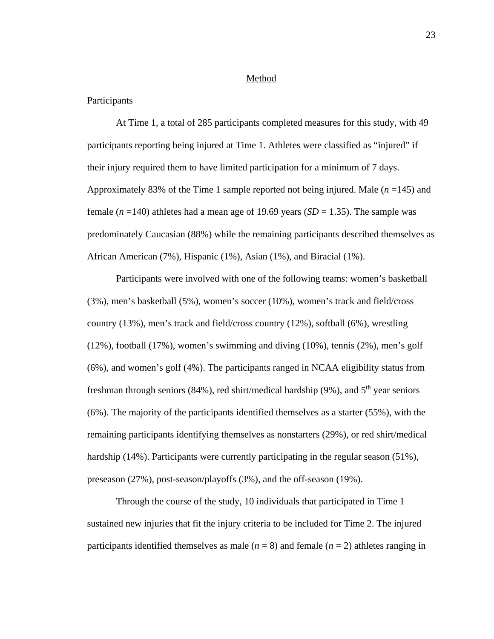#### Method

## **Participants**

At Time 1, a total of 285 participants completed measures for this study, with 49 participants reporting being injured at Time 1. Athletes were classified as "injured" if their injury required them to have limited participation for a minimum of 7 days. Approximately 83% of the Time 1 sample reported not being injured. Male (*n* =145) and female  $(n=140)$  athletes had a mean age of 19.69 years  $(SD = 1.35)$ . The sample was predominately Caucasian (88%) while the remaining participants described themselves as African American (7%), Hispanic (1%), Asian (1%), and Biracial (1%).

 Participants were involved with one of the following teams: women's basketball (3%), men's basketball (5%), women's soccer (10%), women's track and field/cross country (13%), men's track and field/cross country (12%), softball (6%), wrestling (12%), football (17%), women's swimming and diving (10%), tennis (2%), men's golf (6%), and women's golf (4%). The participants ranged in NCAA eligibility status from freshman through seniors (84%), red shirt/medical hardship (9%), and  $5<sup>th</sup>$  year seniors (6%). The majority of the participants identified themselves as a starter (55%), with the remaining participants identifying themselves as nonstarters (29%), or red shirt/medical hardship (14%). Participants were currently participating in the regular season (51%), preseason (27%), post-season/playoffs (3%), and the off-season (19%).

 Through the course of the study, 10 individuals that participated in Time 1 sustained new injuries that fit the injury criteria to be included for Time 2. The injured participants identified themselves as male  $(n = 8)$  and female  $(n = 2)$  athletes ranging in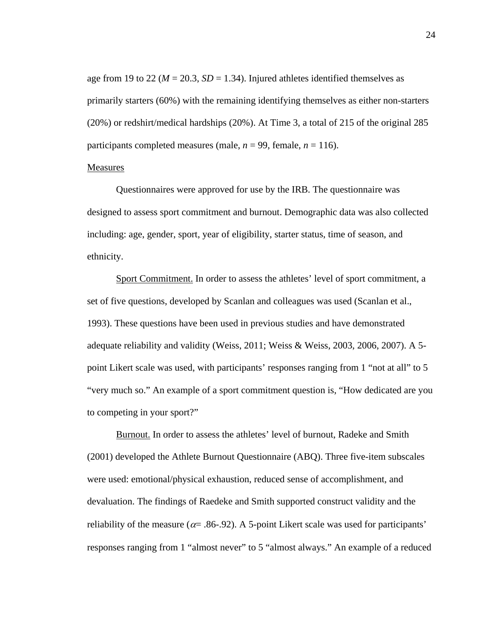age from 19 to 22 ( $M = 20.3$ ,  $SD = 1.34$ ). Injured athletes identified themselves as primarily starters (60%) with the remaining identifying themselves as either non-starters (20%) or redshirt/medical hardships (20%). At Time 3, a total of 215 of the original 285 participants completed measures (male,  $n = 99$ , female,  $n = 116$ ).

## Measures

Questionnaires were approved for use by the IRB. The questionnaire was designed to assess sport commitment and burnout. Demographic data was also collected including: age, gender, sport, year of eligibility, starter status, time of season, and ethnicity.

Sport Commitment. In order to assess the athletes' level of sport commitment, a set of five questions, developed by Scanlan and colleagues was used (Scanlan et al., 1993). These questions have been used in previous studies and have demonstrated adequate reliability and validity (Weiss, 2011; Weiss & Weiss, 2003, 2006, 2007). A 5 point Likert scale was used, with participants' responses ranging from 1 "not at all" to 5 "very much so." An example of a sport commitment question is, "How dedicated are you to competing in your sport?"

Burnout. In order to assess the athletes' level of burnout, Radeke and Smith (2001) developed the Athlete Burnout Questionnaire (ABQ). Three five-item subscales were used: emotional/physical exhaustion, reduced sense of accomplishment, and devaluation. The findings of Raedeke and Smith supported construct validity and the reliability of the measure ( $\alpha$  = .86-.92). A 5-point Likert scale was used for participants' responses ranging from 1 "almost never" to 5 "almost always." An example of a reduced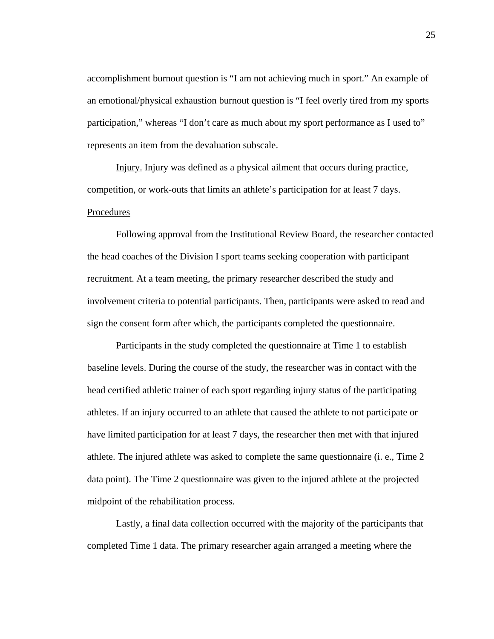accomplishment burnout question is "I am not achieving much in sport." An example of an emotional/physical exhaustion burnout question is "I feel overly tired from my sports participation," whereas "I don't care as much about my sport performance as I used to" represents an item from the devaluation subscale.

Injury. Injury was defined as a physical ailment that occurs during practice, competition, or work-outs that limits an athlete's participation for at least 7 days. Procedures

 Following approval from the Institutional Review Board, the researcher contacted the head coaches of the Division I sport teams seeking cooperation with participant recruitment. At a team meeting, the primary researcher described the study and involvement criteria to potential participants. Then, participants were asked to read and sign the consent form after which, the participants completed the questionnaire.

Participants in the study completed the questionnaire at Time 1 to establish baseline levels. During the course of the study, the researcher was in contact with the head certified athletic trainer of each sport regarding injury status of the participating athletes. If an injury occurred to an athlete that caused the athlete to not participate or have limited participation for at least 7 days, the researcher then met with that injured athlete. The injured athlete was asked to complete the same questionnaire (i. e., Time 2 data point). The Time 2 questionnaire was given to the injured athlete at the projected midpoint of the rehabilitation process.

Lastly, a final data collection occurred with the majority of the participants that completed Time 1 data. The primary researcher again arranged a meeting where the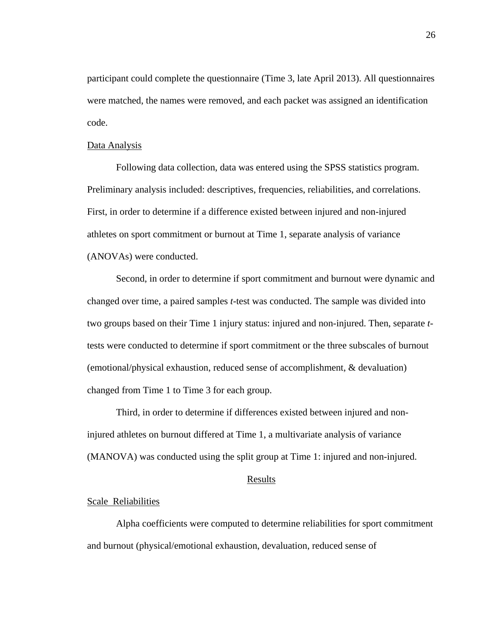participant could complete the questionnaire (Time 3, late April 2013). All questionnaires were matched, the names were removed, and each packet was assigned an identification code.

## Data Analysis

Following data collection, data was entered using the SPSS statistics program. Preliminary analysis included: descriptives, frequencies, reliabilities, and correlations. First, in order to determine if a difference existed between injured and non-injured athletes on sport commitment or burnout at Time 1, separate analysis of variance (ANOVAs) were conducted.

Second, in order to determine if sport commitment and burnout were dynamic and changed over time, a paired samples *t*-test was conducted. The sample was divided into two groups based on their Time 1 injury status: injured and non-injured. Then, separate *t*tests were conducted to determine if sport commitment or the three subscales of burnout (emotional/physical exhaustion, reduced sense of accomplishment, & devaluation) changed from Time 1 to Time 3 for each group.

Third, in order to determine if differences existed between injured and noninjured athletes on burnout differed at Time 1, a multivariate analysis of variance (MANOVA) was conducted using the split group at Time 1: injured and non-injured.

# Results

## Scale Reliabilities

Alpha coefficients were computed to determine reliabilities for sport commitment and burnout (physical/emotional exhaustion, devaluation, reduced sense of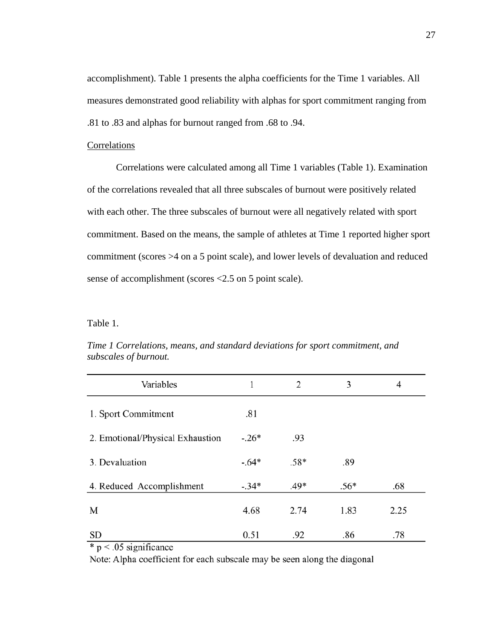accomplishment). Table 1 presents the alpha coefficients for the Time 1 variables. All measures demonstrated good reliability with alphas for sport commitment ranging from .81 to .83 and alphas for burnout ranged from .68 to .94.

## Correlations

Correlations were calculated among all Time 1 variables (Table 1). Examination of the correlations revealed that all three subscales of burnout were positively related with each other. The three subscales of burnout were all negatively related with sport commitment. Based on the means, the sample of athletes at Time 1 reported higher sport commitment (scores >4 on a 5 point scale), and lower levels of devaluation and reduced sense of accomplishment (scores <2.5 on 5 point scale).

Table 1.

| Variables                        |         | 2      | 3      | 4    |
|----------------------------------|---------|--------|--------|------|
| 1. Sport Commitment              | .81     |        |        |      |
| 2. Emotional/Physical Exhaustion | $-.26*$ | .93    |        |      |
| 3. Devaluation                   | $-.64*$ | $.58*$ | .89    |      |
| 4. Reduced Accomplishment        | $-.34*$ | $.49*$ | $.56*$ | .68  |
| M                                | 4.68    | 2.74   | 1.83   | 2.25 |
| <b>SD</b>                        | 0.51    | .92    | .86    | .78  |

*Time 1 Correlations, means, and standard deviations for sport commitment, and subscales of burnout.* 

 $*$  p < .05 significance

Note: Alpha coefficient for each subscale may be seen along the diagonal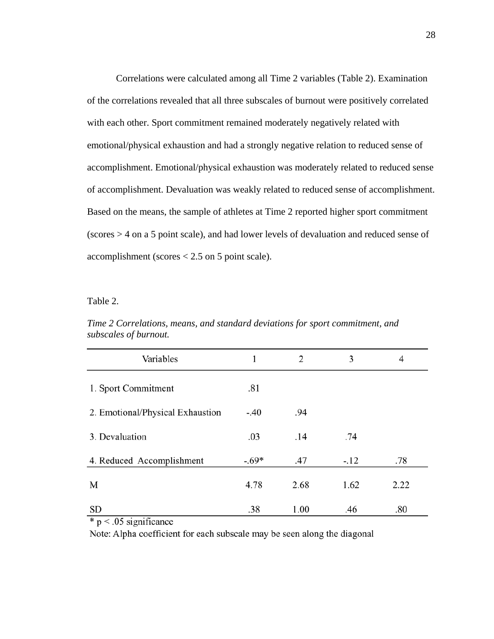Correlations were calculated among all Time 2 variables (Table 2). Examination of the correlations revealed that all three subscales of burnout were positively correlated with each other. Sport commitment remained moderately negatively related with emotional/physical exhaustion and had a strongly negative relation to reduced sense of accomplishment. Emotional/physical exhaustion was moderately related to reduced sense of accomplishment. Devaluation was weakly related to reduced sense of accomplishment. Based on the means, the sample of athletes at Time 2 reported higher sport commitment (scores > 4 on a 5 point scale), and had lower levels of devaluation and reduced sense of accomplishment (scores < 2.5 on 5 point scale).

Table 2.

| Variables                        | 1       | 2    | 3      | 4    |
|----------------------------------|---------|------|--------|------|
| 1. Sport Commitment              | .81     |      |        |      |
| 2. Emotional/Physical Exhaustion | $-.40$  | .94  |        |      |
| 3. Devaluation                   | .03     | .14  | .74    |      |
| 4. Reduced Accomplishment        | $-.69*$ | .47  | $-.12$ | .78  |
| M                                | 4.78    | 2.68 | 1.62   | 2.22 |
| <b>SD</b>                        | .38     | 1.00 | .46    | .80  |

*Time 2 Correlations, means, and standard deviations for sport commitment, and subscales of burnout.* 

 $p < 0.05$  significance

Note: Alpha coefficient for each subscale may be seen along the diagonal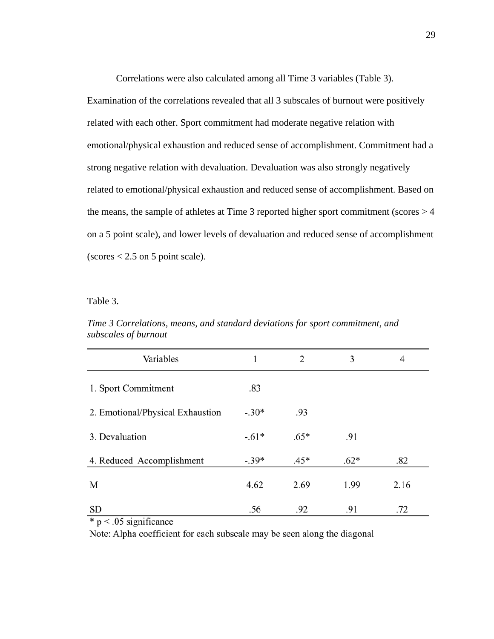Correlations were also calculated among all Time 3 variables (Table 3).

Examination of the correlations revealed that all 3 subscales of burnout were positively related with each other. Sport commitment had moderate negative relation with emotional/physical exhaustion and reduced sense of accomplishment. Commitment had a strong negative relation with devaluation. Devaluation was also strongly negatively related to emotional/physical exhaustion and reduced sense of accomplishment. Based on the means, the sample of athletes at Time 3 reported higher sport commitment (scores > 4 on a 5 point scale), and lower levels of devaluation and reduced sense of accomplishment  $(scores < 2.5$  on 5 point scale).

Table 3.

| Variables                        |         | 2      | 3      | 4    |
|----------------------------------|---------|--------|--------|------|
| 1. Sport Commitment              | .83     |        |        |      |
| 2. Emotional/Physical Exhaustion | $-.30*$ | .93    |        |      |
| 3. Devaluation                   | $-.61*$ | $.65*$ | .91    |      |
| 4. Reduced Accomplishment        | $-.39*$ | $.45*$ | $.62*$ | .82  |
| M                                | 4.62    | 2.69   | 1.99   | 2.16 |
| <b>SD</b>                        | .56     | .92    | .91    | .72  |

*Time 3 Correlations, means, and standard deviations for sport commitment, and subscales of burnout* 

 $*$  p < .05 significance

Note: Alpha coefficient for each subscale may be seen along the diagonal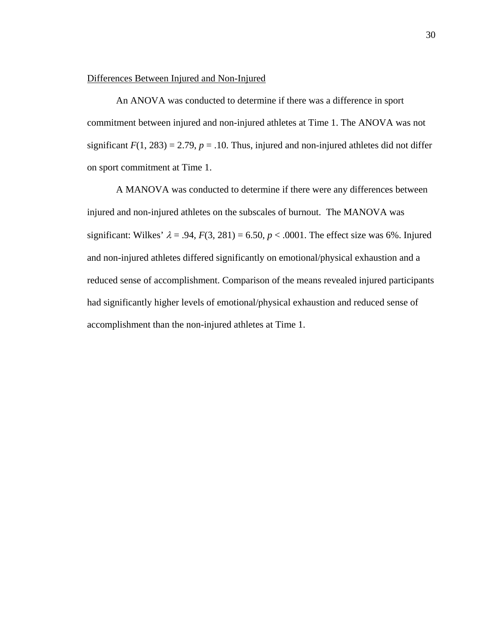# Differences Between Injured and Non-Injured

 An ANOVA was conducted to determine if there was a difference in sport commitment between injured and non-injured athletes at Time 1. The ANOVA was not significant  $F(1, 283) = 2.79$ ,  $p = .10$ . Thus, injured and non-injured athletes did not differ on sport commitment at Time 1.

 A MANOVA was conducted to determine if there were any differences between injured and non-injured athletes on the subscales of burnout. The MANOVA was significant: Wilkes'  $\lambda = .94$ ,  $F(3, 281) = 6.50$ ,  $p < .0001$ . The effect size was 6%. Injured and non-injured athletes differed significantly on emotional/physical exhaustion and a reduced sense of accomplishment. Comparison of the means revealed injured participants had significantly higher levels of emotional/physical exhaustion and reduced sense of accomplishment than the non-injured athletes at Time 1.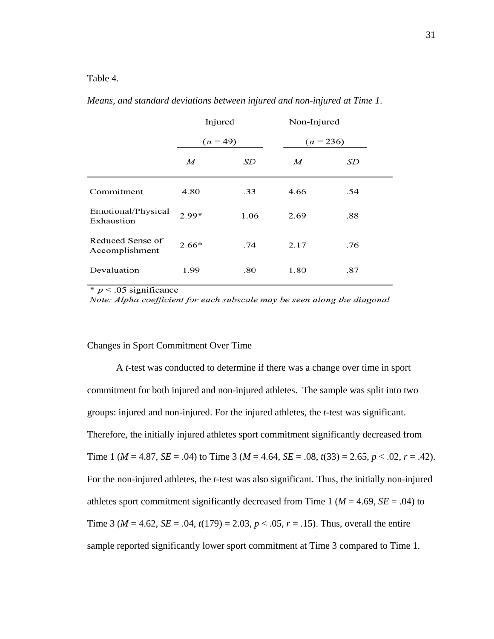Table 4.

|                                    | Injured          |      | Non-Injured |     |  |
|------------------------------------|------------------|------|-------------|-----|--|
|                                    | $(n = 49)$       |      | $(n = 236)$ |     |  |
|                                    | $\boldsymbol{M}$ | SD   | M           | SD  |  |
| Commitment                         | 4.80             | .33  | 4.66        | .54 |  |
| Emotional/Physical<br>Exhaustion   | $2.99*$          | 1.06 | 2.69        | .88 |  |
| Reduced Sense of<br>Accomplishment | $2.66*$          | .74  | 2.17        | .76 |  |
| Devaluation                        | 1.99             | .80  | 1.80        | .87 |  |

*Means, and standard deviations between injured and non-injured at Time 1*.

 $\ast p < .05$  significance

Note: Alpha coefficient for each subscale may be seen along the diagonal

# Changes in Sport Commitment Over Time

 A *t*-test was conducted to determine if there was a change over time in sport commitment for both injured and non-injured athletes. The sample was split into two groups: injured and non-injured. For the injured athletes, the *t*-test was significant. Therefore, the initially injured athletes sport commitment significantly decreased from Time 1 ( $M = 4.87$ ,  $SE = .04$ ) to Time 3 ( $M = 4.64$ ,  $SE = .08$ ,  $t(33) = 2.65$ ,  $p < .02$ ,  $r = .42$ ). For the non-injured athletes, the *t*-test was also significant. Thus, the initially non-injured athletes sport commitment significantly decreased from Time 1 ( $M = 4.69$ ,  $SE = .04$ ) to Time 3 ( $M = 4.62$ ,  $SE = .04$ ,  $t(179) = 2.03$ ,  $p < .05$ ,  $r = .15$ ). Thus, overall the entire sample reported significantly lower sport commitment at Time 3 compared to Time 1.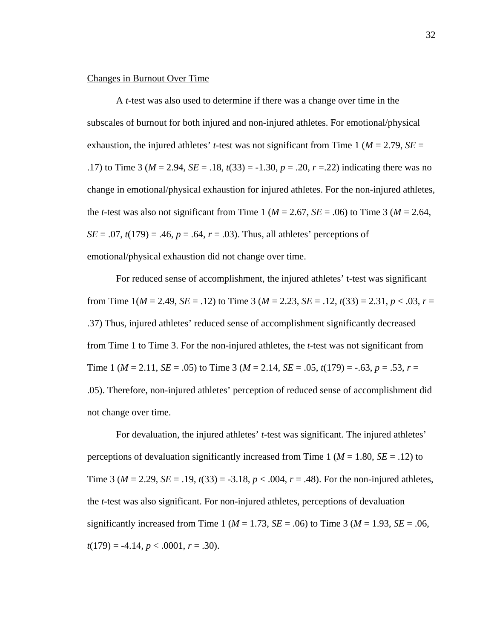#### Changes in Burnout Over Time

A *t*-test was also used to determine if there was a change over time in the subscales of burnout for both injured and non-injured athletes. For emotional/physical exhaustion, the injured athletes' *t*-test was not significant from Time 1 ( $M = 2.79$ ,  $SE =$ .17) to Time 3 (*M* = 2.94, *SE* = .18, *t*(33) = -1.30, *p* = .20, *r* =.22) indicating there was no change in emotional/physical exhaustion for injured athletes. For the non-injured athletes, the *t*-test was also not significant from Time 1 ( $M = 2.67$ ,  $SE = .06$ ) to Time 3 ( $M = 2.64$ , *SE* = .07,  $t(179)$  = .46,  $p = .64$ ,  $r = .03$ ). Thus, all athletes' perceptions of emotional/physical exhaustion did not change over time.

For reduced sense of accomplishment, the injured athletes' t-test was significant from Time  $1(M = 2.49, SE = .12)$  to Time 3 ( $M = 2.23, SE = .12, t(33) = 2.31, p < .03, r =$ .37) Thus, injured athletes' reduced sense of accomplishment significantly decreased from Time 1 to Time 3. For the non-injured athletes, the *t*-test was not significant from Time 1 ( $M = 2.11$ ,  $SE = .05$ ) to Time 3 ( $M = 2.14$ ,  $SE = .05$ ,  $t(179) = -.63$ ,  $p = .53$ ,  $r =$ .05). Therefore, non-injured athletes' perception of reduced sense of accomplishment did not change over time.

For devaluation, the injured athletes' *t*-test was significant. The injured athletes' perceptions of devaluation significantly increased from Time 1 ( $M = 1.80$ ,  $SE = .12$ ) to Time 3 ( $M = 2.29$ ,  $SE = .19$ ,  $t(33) = -3.18$ ,  $p < .004$ ,  $r = .48$ ). For the non-injured athletes, the *t*-test was also significant. For non-injured athletes, perceptions of devaluation significantly increased from Time 1 ( $M = 1.73$ ,  $SE = .06$ ) to Time 3 ( $M = 1.93$ ,  $SE = .06$ ,  $t(179) = -4.14, p < .0001, r = .30$ .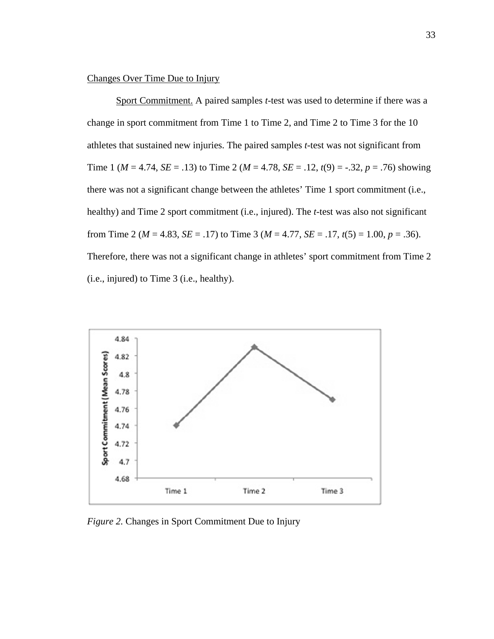# Changes Over Time Due to Injury

 Sport Commitment. A paired samples *t*-test was used to determine if there was a change in sport commitment from Time 1 to Time 2, and Time 2 to Time 3 for the 10 athletes that sustained new injuries. The paired samples *t*-test was not significant from Time 1 ( $M = 4.74$ ,  $SE = .13$ ) to Time 2 ( $M = 4.78$ ,  $SE = .12$ ,  $t(9) = .32$ ,  $p = .76$ ) showing there was not a significant change between the athletes' Time 1 sport commitment (i.e., healthy) and Time 2 sport commitment (i.e., injured). The *t*-test was also not significant from Time 2 ( $M = 4.83$ ,  $SE = .17$ ) to Time 3 ( $M = 4.77$ ,  $SE = .17$ ,  $t(5) = 1.00$ ,  $p = .36$ ). Therefore, there was not a significant change in athletes' sport commitment from Time 2 (i.e., injured) to Time 3 (i.e., healthy).



*Figure 2.* Changes in Sport Commitment Due to Injury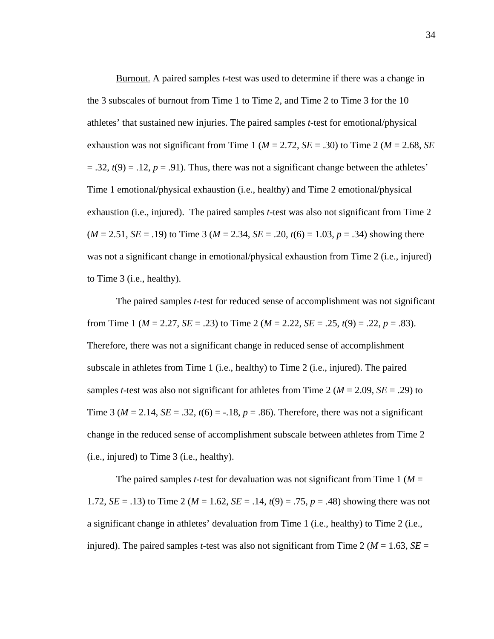Burnout. A paired samples *t*-test was used to determine if there was a change in the 3 subscales of burnout from Time 1 to Time 2, and Time 2 to Time 3 for the 10 athletes' that sustained new injuries. The paired samples *t*-test for emotional/physical exhaustion was not significant from Time 1 ( $M = 2.72$ ,  $SE = .30$ ) to Time 2 ( $M = 2.68$ , *SE*  $= .32, t(9) = .12, p = .91$ ). Thus, there was not a significant change between the athletes' Time 1 emotional/physical exhaustion (i.e., healthy) and Time 2 emotional/physical exhaustion (i.e., injured). The paired samples *t*-test was also not significant from Time 2  $(M = 2.51, SE = .19)$  to Time 3  $(M = 2.34, SE = .20, t(6) = 1.03, p = .34)$  showing there was not a significant change in emotional/physical exhaustion from Time 2 (i.e., injured) to Time 3 (i.e., healthy).

 The paired samples *t*-test for reduced sense of accomplishment was not significant from Time 1 ( $M = 2.27$ ,  $SE = .23$ ) to Time 2 ( $M = 2.22$ ,  $SE = .25$ ,  $t(9) = .22$ ,  $p = .83$ ). Therefore, there was not a significant change in reduced sense of accomplishment subscale in athletes from Time 1 (i.e., healthy) to Time 2 (i.e., injured). The paired samples *t*-test was also not significant for athletes from Time 2 ( $M = 2.09$ ,  $SE = .29$ ) to Time 3 ( $M = 2.14$ ,  $SE = .32$ ,  $t(6) = -.18$ ,  $p = .86$ ). Therefore, there was not a significant change in the reduced sense of accomplishment subscale between athletes from Time 2 (i.e., injured) to Time 3 (i.e., healthy).

The paired samples *t*-test for devaluation was not significant from Time 1 ( $M =$ 1.72, *SE* = .13) to Time 2 (*M* = 1.62, *SE* = .14,  $t(9)$  = .75,  $p = .48$ ) showing there was not a significant change in athletes' devaluation from Time 1 (i.e., healthy) to Time 2 (i.e., injured). The paired samples *t*-test was also not significant from Time 2 ( $M = 1.63$ ,  $SE =$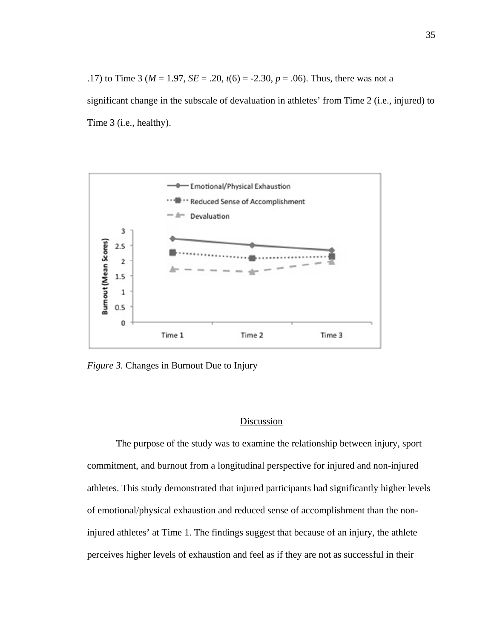.17) to Time 3 ( $M = 1.97$ ,  $SE = .20$ ,  $t(6) = -2.30$ ,  $p = .06$ ). Thus, there was not a significant change in the subscale of devaluation in athletes' from Time 2 (i.e., injured) to Time 3 (i.e., healthy).



*Figure 3.* Changes in Burnout Due to Injury

# Discussion

The purpose of the study was to examine the relationship between injury, sport commitment, and burnout from a longitudinal perspective for injured and non-injured athletes. This study demonstrated that injured participants had significantly higher levels of emotional/physical exhaustion and reduced sense of accomplishment than the noninjured athletes' at Time 1. The findings suggest that because of an injury, the athlete perceives higher levels of exhaustion and feel as if they are not as successful in their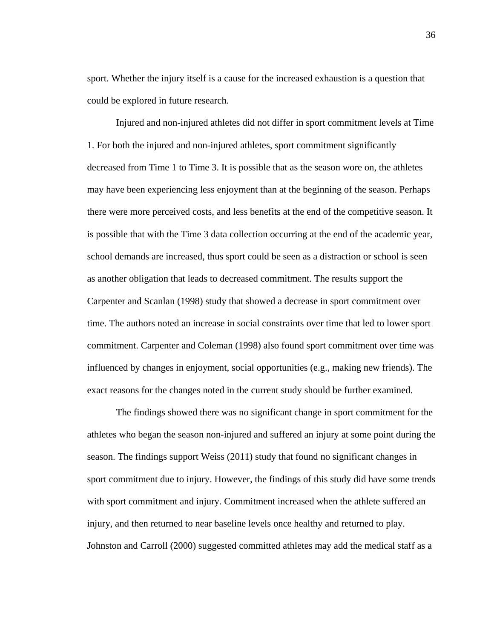sport. Whether the injury itself is a cause for the increased exhaustion is a question that could be explored in future research.

Injured and non-injured athletes did not differ in sport commitment levels at Time 1. For both the injured and non-injured athletes, sport commitment significantly decreased from Time 1 to Time 3. It is possible that as the season wore on, the athletes may have been experiencing less enjoyment than at the beginning of the season. Perhaps there were more perceived costs, and less benefits at the end of the competitive season. It is possible that with the Time 3 data collection occurring at the end of the academic year, school demands are increased, thus sport could be seen as a distraction or school is seen as another obligation that leads to decreased commitment. The results support the Carpenter and Scanlan (1998) study that showed a decrease in sport commitment over time. The authors noted an increase in social constraints over time that led to lower sport commitment. Carpenter and Coleman (1998) also found sport commitment over time was influenced by changes in enjoyment, social opportunities (e.g., making new friends). The exact reasons for the changes noted in the current study should be further examined.

The findings showed there was no significant change in sport commitment for the athletes who began the season non-injured and suffered an injury at some point during the season. The findings support Weiss (2011) study that found no significant changes in sport commitment due to injury. However, the findings of this study did have some trends with sport commitment and injury. Commitment increased when the athlete suffered an injury, and then returned to near baseline levels once healthy and returned to play. Johnston and Carroll (2000) suggested committed athletes may add the medical staff as a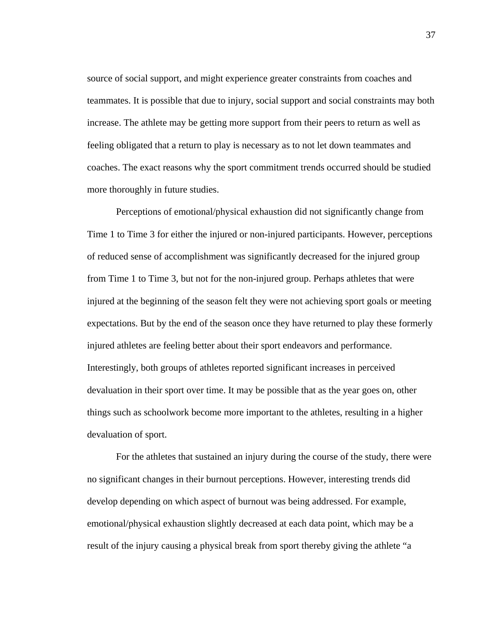source of social support, and might experience greater constraints from coaches and teammates. It is possible that due to injury, social support and social constraints may both increase. The athlete may be getting more support from their peers to return as well as feeling obligated that a return to play is necessary as to not let down teammates and coaches. The exact reasons why the sport commitment trends occurred should be studied more thoroughly in future studies.

Perceptions of emotional/physical exhaustion did not significantly change from Time 1 to Time 3 for either the injured or non-injured participants. However, perceptions of reduced sense of accomplishment was significantly decreased for the injured group from Time 1 to Time 3, but not for the non-injured group. Perhaps athletes that were injured at the beginning of the season felt they were not achieving sport goals or meeting expectations. But by the end of the season once they have returned to play these formerly injured athletes are feeling better about their sport endeavors and performance. Interestingly, both groups of athletes reported significant increases in perceived devaluation in their sport over time. It may be possible that as the year goes on, other things such as schoolwork become more important to the athletes, resulting in a higher devaluation of sport.

For the athletes that sustained an injury during the course of the study, there were no significant changes in their burnout perceptions. However, interesting trends did develop depending on which aspect of burnout was being addressed. For example, emotional/physical exhaustion slightly decreased at each data point, which may be a result of the injury causing a physical break from sport thereby giving the athlete "a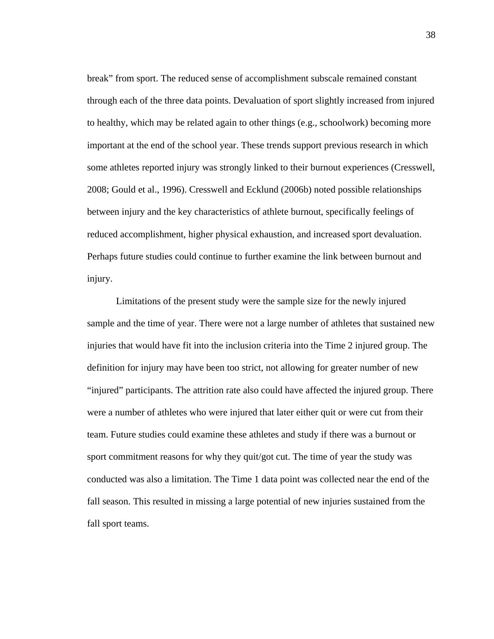break" from sport. The reduced sense of accomplishment subscale remained constant through each of the three data points. Devaluation of sport slightly increased from injured to healthy, which may be related again to other things (e.g., schoolwork) becoming more important at the end of the school year. These trends support previous research in which some athletes reported injury was strongly linked to their burnout experiences (Cresswell, 2008; Gould et al., 1996). Cresswell and Ecklund (2006b) noted possible relationships between injury and the key characteristics of athlete burnout, specifically feelings of reduced accomplishment, higher physical exhaustion, and increased sport devaluation. Perhaps future studies could continue to further examine the link between burnout and injury.

Limitations of the present study were the sample size for the newly injured sample and the time of year. There were not a large number of athletes that sustained new injuries that would have fit into the inclusion criteria into the Time 2 injured group. The definition for injury may have been too strict, not allowing for greater number of new "injured" participants. The attrition rate also could have affected the injured group. There were a number of athletes who were injured that later either quit or were cut from their team. Future studies could examine these athletes and study if there was a burnout or sport commitment reasons for why they quit/got cut. The time of year the study was conducted was also a limitation. The Time 1 data point was collected near the end of the fall season. This resulted in missing a large potential of new injuries sustained from the fall sport teams.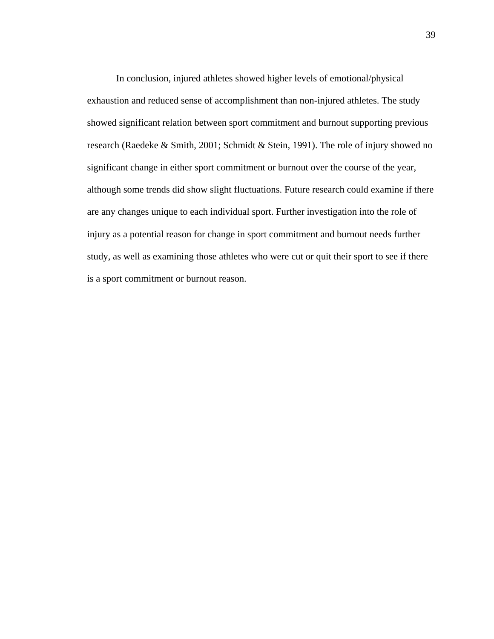In conclusion, injured athletes showed higher levels of emotional/physical exhaustion and reduced sense of accomplishment than non-injured athletes. The study showed significant relation between sport commitment and burnout supporting previous research (Raedeke & Smith, 2001; Schmidt & Stein, 1991). The role of injury showed no significant change in either sport commitment or burnout over the course of the year, although some trends did show slight fluctuations. Future research could examine if there are any changes unique to each individual sport. Further investigation into the role of injury as a potential reason for change in sport commitment and burnout needs further study, as well as examining those athletes who were cut or quit their sport to see if there is a sport commitment or burnout reason.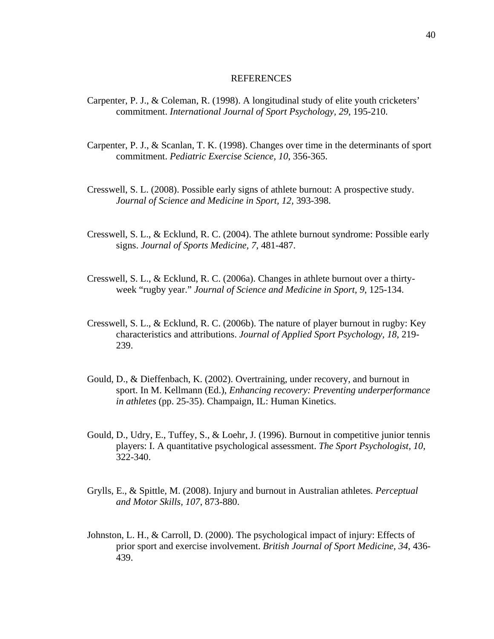#### REFERENCES

- Carpenter, P. J., & Coleman, R. (1998). A longitudinal study of elite youth cricketers' commitment. *International Journal of Sport Psychology, 29*, 195-210.
- Carpenter, P. J., & Scanlan, T. K. (1998). Changes over time in the determinants of sport commitment. *Pediatric Exercise Science, 10*, 356-365.
- Cresswell, S. L. (2008). Possible early signs of athlete burnout: A prospective study. *Journal of Science and Medicine in Sport, 12,* 393-398.
- Cresswell, S. L., & Ecklund, R. C. (2004). The athlete burnout syndrome: Possible early signs. *Journal of Sports Medicine, 7*, 481-487.
- Cresswell, S. L., & Ecklund, R. C. (2006a). Changes in athlete burnout over a thirtyweek "rugby year." *Journal of Science and Medicine in Sport, 9*, 125-134.
- Cresswell, S. L., & Ecklund, R. C. (2006b). The nature of player burnout in rugby: Key characteristics and attributions. *Journal of Applied Sport Psychology, 18*, 219- 239.
- Gould, D., & Dieffenbach, K. (2002). Overtraining, under recovery, and burnout in sport. In M. Kellmann (Ed.), *Enhancing recovery: Preventing underperformance in athletes* (pp. 25-35). Champaign, IL: Human Kinetics.
- Gould, D., Udry, E., Tuffey, S., & Loehr, J. (1996). Burnout in competitive junior tennis players: I. A quantitative psychological assessment. *The Sport Psychologist, 10*, 322-340.
- Grylls, E., & Spittle, M. (2008). Injury and burnout in Australian athletes*. Perceptual and Motor Skills, 107*, 873-880.
- Johnston, L. H., & Carroll, D. (2000). The psychological impact of injury: Effects of prior sport and exercise involvement. *British Journal of Sport Medicine, 34*, 436- 439.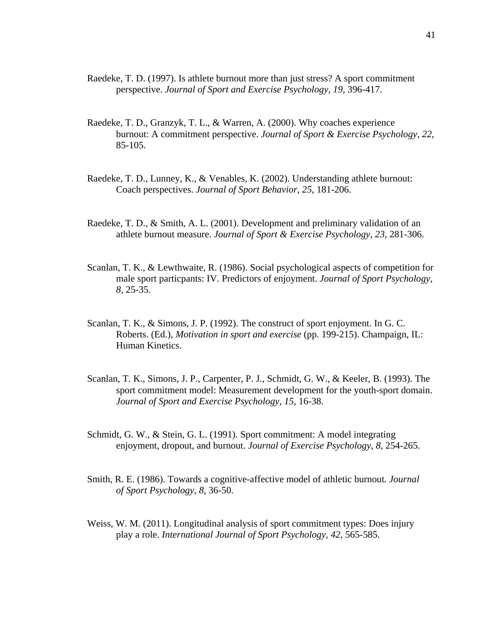- Raedeke, T. D. (1997). Is athlete burnout more than just stress? A sport commitment perspective. *Journal of Sport and Exercise Psychology, 19*, 396-417.
- Raedeke, T. D., Granzyk, T. L., & Warren, A. (2000). Why coaches experience burnout: A commitment perspective. *Journal of Sport & Exercise Psychology, 22*, 85-105.
- Raedeke, T. D., Lunney, K., & Venables, K. (2002). Understanding athlete burnout: Coach perspectives. *Journal of Sport Behavior, 25*, 181-206.
- Raedeke, T. D., & Smith, A. L. (2001). Development and preliminary validation of an athlete burnout measure. *Journal of Sport & Exercise Psychology, 23*, 281-306.
- Scanlan, T. K., & Lewthwaite, R. (1986). Social psychological aspects of competition for male sport particpants: IV. Predictors of enjoyment. *Journal of Sport Psychology, 8,* 25-35.
- Scanlan, T. K., & Simons, J. P. (1992). The construct of sport enjoyment. In G. C. Roberts. (Ed.), *Motivation in sport and exercise* (pp. 199-215). Champaign, IL: Human Kinetics.
- Scanlan, T. K., Simons, J. P., Carpenter, P. J., Schmidt, G. W., & Keeler, B. (1993). The sport commitment model: Measurement development for the youth-sport domain. *Journal of Sport and Exercise Psychology, 15*, 16-38.
- Schmidt, G. W., & Stein, G. L. (1991). Sport commitment: A model integrating enjoyment, dropout, and burnout. *Journal of Exercise Psychology, 8*, 254-265.
- Smith, R. E. (1986). Towards a cognitive-affective model of athletic burnout*. Journal of Sport Psychology, 8,* 36-50.
- Weiss, W. M. (2011). Longitudinal analysis of sport commitment types: Does injury play a role. *International Journal of Sport Psychology, 42*, 565-585.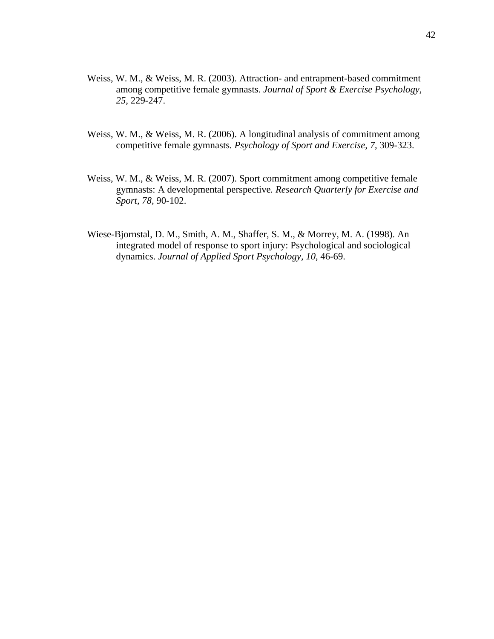- Weiss, W. M., & Weiss, M. R. (2003). Attraction- and entrapment-based commitment among competitive female gymnasts. *Journal of Sport & Exercise Psychology, 25,* 229-247.
- Weiss, W. M., & Weiss, M. R. (2006). A longitudinal analysis of commitment among competitive female gymnasts*. Psychology of Sport and Exercise, 7*, 309-323.
- Weiss, W. M., & Weiss, M. R. (2007). Sport commitment among competitive female gymnasts: A developmental perspective*. Research Quarterly for Exercise and Sport, 78,* 90-102.
- Wiese-Bjornstal, D. M., Smith, A. M., Shaffer, S. M., & Morrey, M. A. (1998). An integrated model of response to sport injury: Psychological and sociological dynamics. *Journal of Applied Sport Psychology, 10*, 46-69.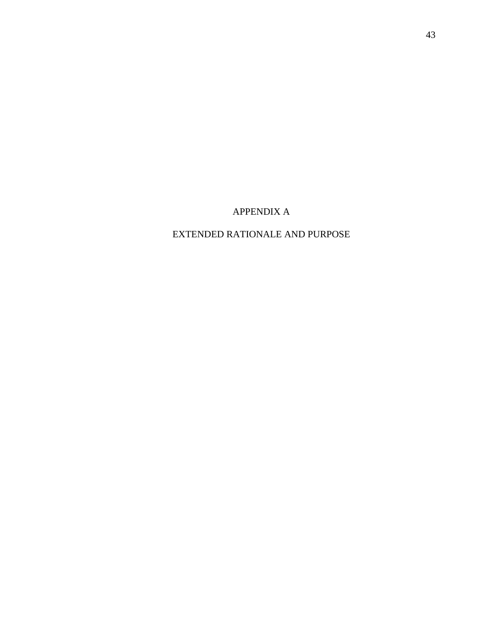APPENDIX A

EXTENDED RATIONALE AND PURPOSE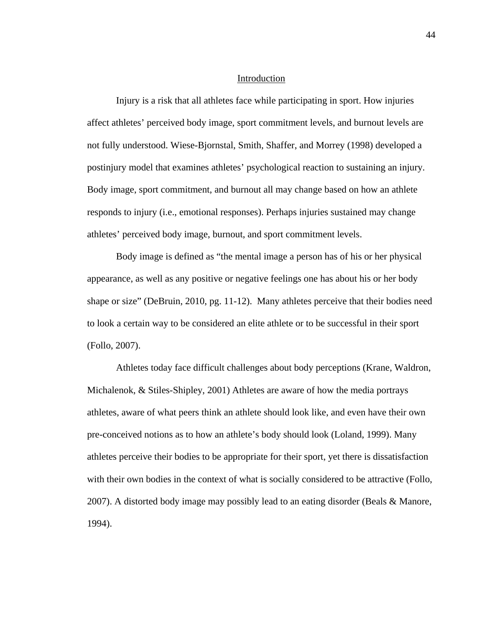#### Introduction

Injury is a risk that all athletes face while participating in sport. How injuries affect athletes' perceived body image, sport commitment levels, and burnout levels are not fully understood. Wiese-Bjornstal, Smith, Shaffer, and Morrey (1998) developed a postinjury model that examines athletes' psychological reaction to sustaining an injury. Body image, sport commitment, and burnout all may change based on how an athlete responds to injury (i.e., emotional responses). Perhaps injuries sustained may change athletes' perceived body image, burnout, and sport commitment levels.

Body image is defined as "the mental image a person has of his or her physical appearance, as well as any positive or negative feelings one has about his or her body shape or size" (DeBruin, 2010, pg. 11-12). Many athletes perceive that their bodies need to look a certain way to be considered an elite athlete or to be successful in their sport (Follo, 2007).

Athletes today face difficult challenges about body perceptions (Krane, Waldron, Michalenok, & Stiles-Shipley, 2001) Athletes are aware of how the media portrays athletes, aware of what peers think an athlete should look like, and even have their own pre-conceived notions as to how an athlete's body should look (Loland, 1999). Many athletes perceive their bodies to be appropriate for their sport, yet there is dissatisfaction with their own bodies in the context of what is socially considered to be attractive (Follo, 2007). A distorted body image may possibly lead to an eating disorder (Beals & Manore, 1994).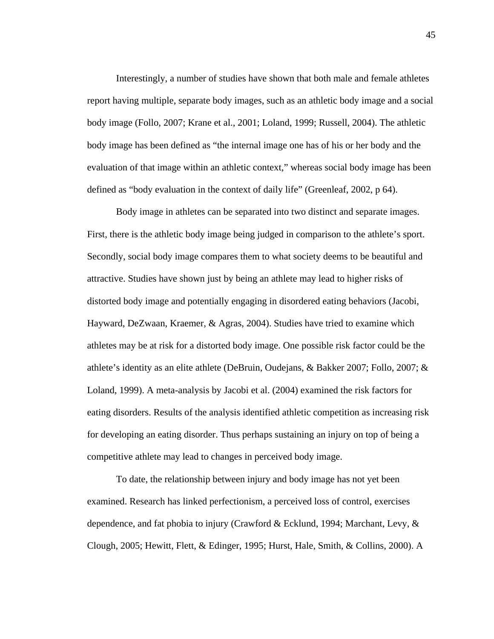Interestingly, a number of studies have shown that both male and female athletes report having multiple, separate body images, such as an athletic body image and a social body image (Follo, 2007; Krane et al., 2001; Loland, 1999; Russell, 2004). The athletic body image has been defined as "the internal image one has of his or her body and the evaluation of that image within an athletic context," whereas social body image has been defined as "body evaluation in the context of daily life" (Greenleaf, 2002, p 64).

Body image in athletes can be separated into two distinct and separate images. First, there is the athletic body image being judged in comparison to the athlete's sport. Secondly, social body image compares them to what society deems to be beautiful and attractive. Studies have shown just by being an athlete may lead to higher risks of distorted body image and potentially engaging in disordered eating behaviors (Jacobi, Hayward, DeZwaan, Kraemer, & Agras, 2004). Studies have tried to examine which athletes may be at risk for a distorted body image. One possible risk factor could be the athlete's identity as an elite athlete (DeBruin, Oudejans, & Bakker 2007; Follo, 2007; & Loland, 1999). A meta-analysis by Jacobi et al. (2004) examined the risk factors for eating disorders. Results of the analysis identified athletic competition as increasing risk for developing an eating disorder. Thus perhaps sustaining an injury on top of being a competitive athlete may lead to changes in perceived body image.

 To date, the relationship between injury and body image has not yet been examined. Research has linked perfectionism, a perceived loss of control, exercises dependence, and fat phobia to injury (Crawford & Ecklund, 1994; Marchant, Levy, & Clough, 2005; Hewitt, Flett, & Edinger, 1995; Hurst, Hale, Smith, & Collins, 2000). A

45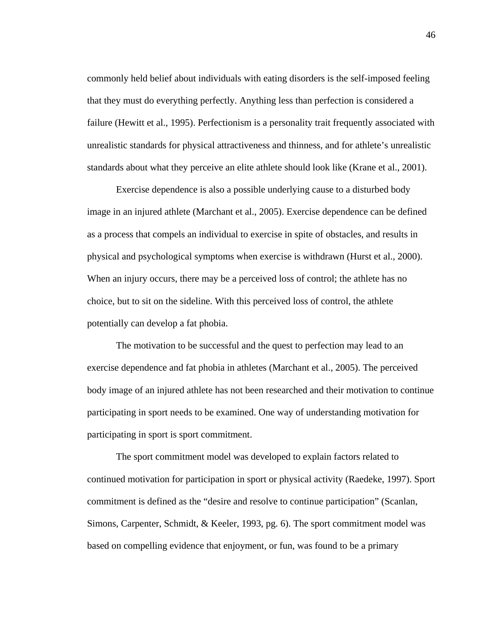commonly held belief about individuals with eating disorders is the self-imposed feeling that they must do everything perfectly. Anything less than perfection is considered a failure (Hewitt et al., 1995). Perfectionism is a personality trait frequently associated with unrealistic standards for physical attractiveness and thinness, and for athlete's unrealistic standards about what they perceive an elite athlete should look like (Krane et al., 2001).

 Exercise dependence is also a possible underlying cause to a disturbed body image in an injured athlete (Marchant et al., 2005). Exercise dependence can be defined as a process that compels an individual to exercise in spite of obstacles, and results in physical and psychological symptoms when exercise is withdrawn (Hurst et al., 2000). When an injury occurs, there may be a perceived loss of control; the athlete has no choice, but to sit on the sideline. With this perceived loss of control, the athlete potentially can develop a fat phobia.

 The motivation to be successful and the quest to perfection may lead to an exercise dependence and fat phobia in athletes (Marchant et al., 2005). The perceived body image of an injured athlete has not been researched and their motivation to continue participating in sport needs to be examined. One way of understanding motivation for participating in sport is sport commitment.

The sport commitment model was developed to explain factors related to continued motivation for participation in sport or physical activity (Raedeke, 1997). Sport commitment is defined as the "desire and resolve to continue participation" (Scanlan, Simons, Carpenter, Schmidt, & Keeler, 1993, pg. 6). The sport commitment model was based on compelling evidence that enjoyment, or fun, was found to be a primary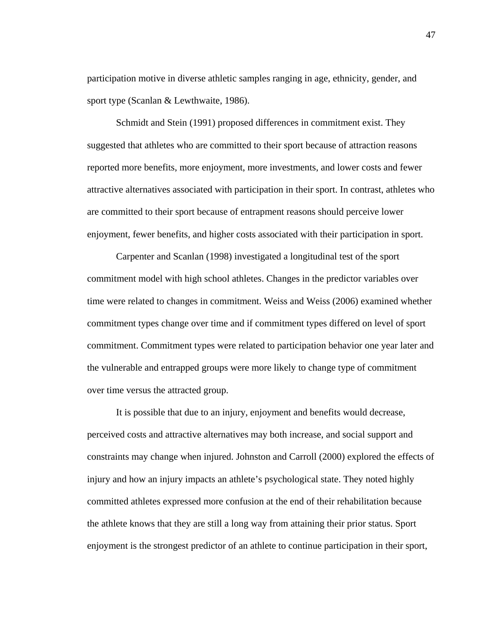participation motive in diverse athletic samples ranging in age, ethnicity, gender, and sport type (Scanlan & Lewthwaite, 1986).

Schmidt and Stein (1991) proposed differences in commitment exist. They suggested that athletes who are committed to their sport because of attraction reasons reported more benefits, more enjoyment, more investments, and lower costs and fewer attractive alternatives associated with participation in their sport. In contrast, athletes who are committed to their sport because of entrapment reasons should perceive lower enjoyment, fewer benefits, and higher costs associated with their participation in sport.

Carpenter and Scanlan (1998) investigated a longitudinal test of the sport commitment model with high school athletes. Changes in the predictor variables over time were related to changes in commitment. Weiss and Weiss (2006) examined whether commitment types change over time and if commitment types differed on level of sport commitment. Commitment types were related to participation behavior one year later and the vulnerable and entrapped groups were more likely to change type of commitment over time versus the attracted group.

It is possible that due to an injury, enjoyment and benefits would decrease, perceived costs and attractive alternatives may both increase, and social support and constraints may change when injured. Johnston and Carroll (2000) explored the effects of injury and how an injury impacts an athlete's psychological state. They noted highly committed athletes expressed more confusion at the end of their rehabilitation because the athlete knows that they are still a long way from attaining their prior status. Sport enjoyment is the strongest predictor of an athlete to continue participation in their sport,

47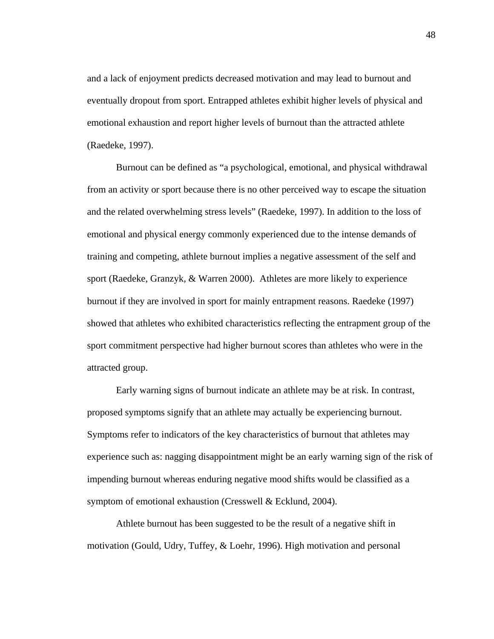and a lack of enjoyment predicts decreased motivation and may lead to burnout and eventually dropout from sport. Entrapped athletes exhibit higher levels of physical and emotional exhaustion and report higher levels of burnout than the attracted athlete (Raedeke, 1997).

Burnout can be defined as "a psychological, emotional, and physical withdrawal from an activity or sport because there is no other perceived way to escape the situation and the related overwhelming stress levels" (Raedeke, 1997). In addition to the loss of emotional and physical energy commonly experienced due to the intense demands of training and competing, athlete burnout implies a negative assessment of the self and sport (Raedeke, Granzyk, & Warren 2000). Athletes are more likely to experience burnout if they are involved in sport for mainly entrapment reasons. Raedeke (1997) showed that athletes who exhibited characteristics reflecting the entrapment group of the sport commitment perspective had higher burnout scores than athletes who were in the attracted group.

Early warning signs of burnout indicate an athlete may be at risk. In contrast, proposed symptoms signify that an athlete may actually be experiencing burnout. Symptoms refer to indicators of the key characteristics of burnout that athletes may experience such as: nagging disappointment might be an early warning sign of the risk of impending burnout whereas enduring negative mood shifts would be classified as a symptom of emotional exhaustion (Cresswell & Ecklund, 2004).

Athlete burnout has been suggested to be the result of a negative shift in motivation (Gould, Udry, Tuffey, & Loehr, 1996). High motivation and personal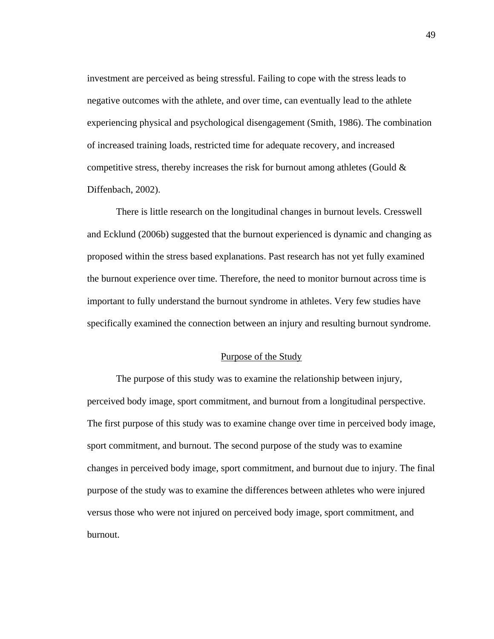investment are perceived as being stressful. Failing to cope with the stress leads to negative outcomes with the athlete, and over time, can eventually lead to the athlete experiencing physical and psychological disengagement (Smith, 1986). The combination of increased training loads, restricted time for adequate recovery, and increased competitive stress, thereby increases the risk for burnout among athletes (Gould  $\&$ Diffenbach, 2002).

There is little research on the longitudinal changes in burnout levels. Cresswell and Ecklund (2006b) suggested that the burnout experienced is dynamic and changing as proposed within the stress based explanations. Past research has not yet fully examined the burnout experience over time. Therefore, the need to monitor burnout across time is important to fully understand the burnout syndrome in athletes. Very few studies have specifically examined the connection between an injury and resulting burnout syndrome.

# Purpose of the Study

 The purpose of this study was to examine the relationship between injury, perceived body image, sport commitment, and burnout from a longitudinal perspective. The first purpose of this study was to examine change over time in perceived body image, sport commitment, and burnout. The second purpose of the study was to examine changes in perceived body image, sport commitment, and burnout due to injury. The final purpose of the study was to examine the differences between athletes who were injured versus those who were not injured on perceived body image, sport commitment, and burnout.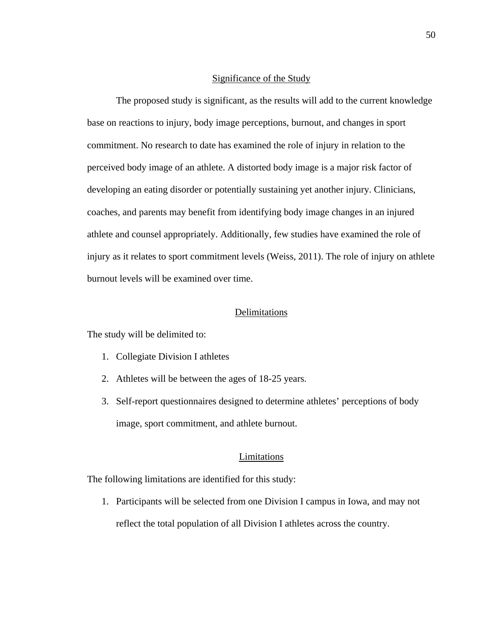#### Significance of the Study

The proposed study is significant, as the results will add to the current knowledge base on reactions to injury, body image perceptions, burnout, and changes in sport commitment. No research to date has examined the role of injury in relation to the perceived body image of an athlete. A distorted body image is a major risk factor of developing an eating disorder or potentially sustaining yet another injury. Clinicians, coaches, and parents may benefit from identifying body image changes in an injured athlete and counsel appropriately. Additionally, few studies have examined the role of injury as it relates to sport commitment levels (Weiss, 2011). The role of injury on athlete burnout levels will be examined over time.

## Delimitations

The study will be delimited to:

- 1. Collegiate Division I athletes
- 2. Athletes will be between the ages of 18-25 years.
- 3. Self-report questionnaires designed to determine athletes' perceptions of body image, sport commitment, and athlete burnout.

# Limitations

The following limitations are identified for this study:

1. Participants will be selected from one Division I campus in Iowa, and may not reflect the total population of all Division I athletes across the country.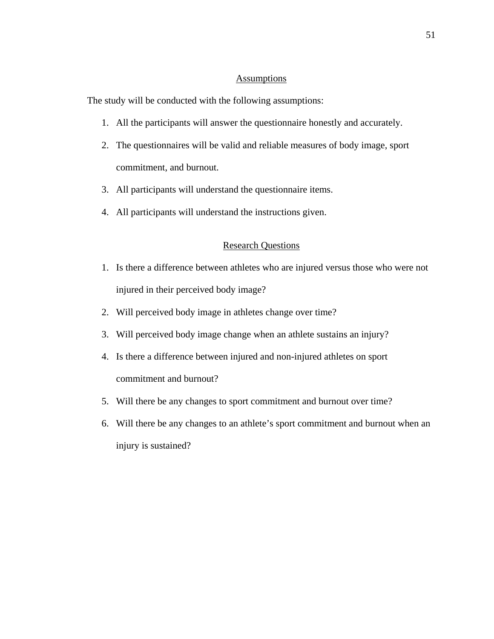## **Assumptions**

The study will be conducted with the following assumptions:

- 1. All the participants will answer the questionnaire honestly and accurately.
- 2. The questionnaires will be valid and reliable measures of body image, sport commitment, and burnout.
- 3. All participants will understand the questionnaire items.
- 4. All participants will understand the instructions given.

# Research Questions

- 1. Is there a difference between athletes who are injured versus those who were not injured in their perceived body image?
- 2. Will perceived body image in athletes change over time?
- 3. Will perceived body image change when an athlete sustains an injury?
- 4. Is there a difference between injured and non-injured athletes on sport commitment and burnout?
- 5. Will there be any changes to sport commitment and burnout over time?
- 6. Will there be any changes to an athlete's sport commitment and burnout when an injury is sustained?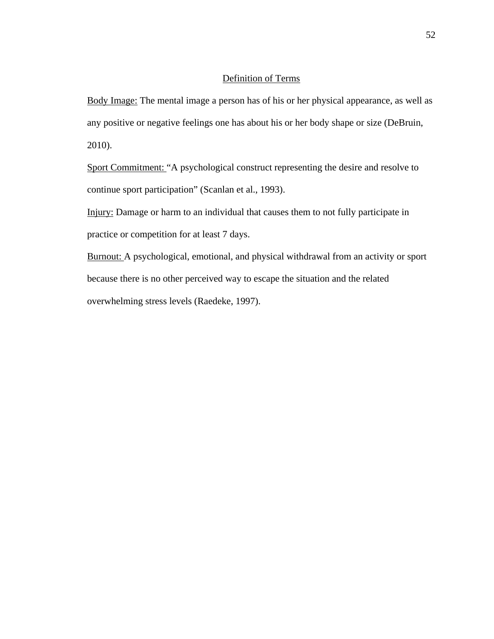# Definition of Terms

Body Image: The mental image a person has of his or her physical appearance, as well as any positive or negative feelings one has about his or her body shape or size (DeBruin, 2010).

Sport Commitment: "A psychological construct representing the desire and resolve to continue sport participation" (Scanlan et al., 1993).

Injury: Damage or harm to an individual that causes them to not fully participate in practice or competition for at least 7 days.

Burnout: A psychological, emotional, and physical withdrawal from an activity or sport because there is no other perceived way to escape the situation and the related overwhelming stress levels (Raedeke, 1997).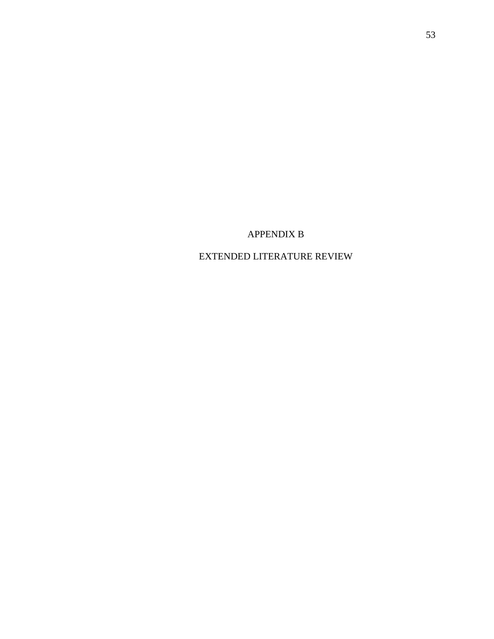# APPENDIX B

# EXTENDED LITERATURE REVIEW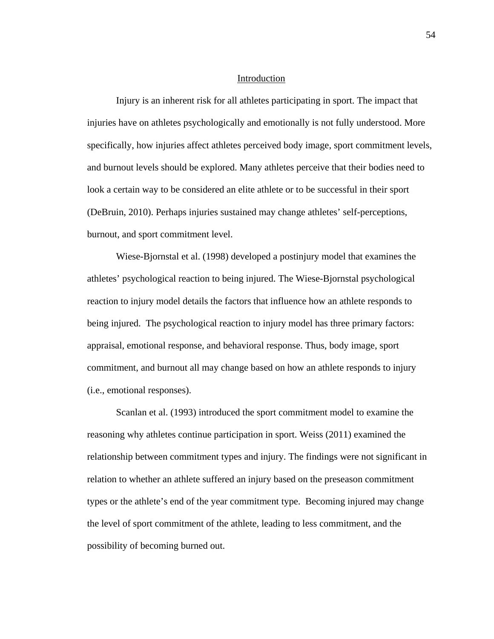#### Introduction

Injury is an inherent risk for all athletes participating in sport. The impact that injuries have on athletes psychologically and emotionally is not fully understood. More specifically, how injuries affect athletes perceived body image, sport commitment levels, and burnout levels should be explored. Many athletes perceive that their bodies need to look a certain way to be considered an elite athlete or to be successful in their sport (DeBruin, 2010). Perhaps injuries sustained may change athletes' self-perceptions, burnout, and sport commitment level.

Wiese-Bjornstal et al. (1998) developed a postinjury model that examines the athletes' psychological reaction to being injured. The Wiese-Bjornstal psychological reaction to injury model details the factors that influence how an athlete responds to being injured. The psychological reaction to injury model has three primary factors: appraisal, emotional response, and behavioral response. Thus, body image, sport commitment, and burnout all may change based on how an athlete responds to injury (i.e., emotional responses).

Scanlan et al. (1993) introduced the sport commitment model to examine the reasoning why athletes continue participation in sport. Weiss (2011) examined the relationship between commitment types and injury. The findings were not significant in relation to whether an athlete suffered an injury based on the preseason commitment types or the athlete's end of the year commitment type. Becoming injured may change the level of sport commitment of the athlete, leading to less commitment, and the possibility of becoming burned out.

54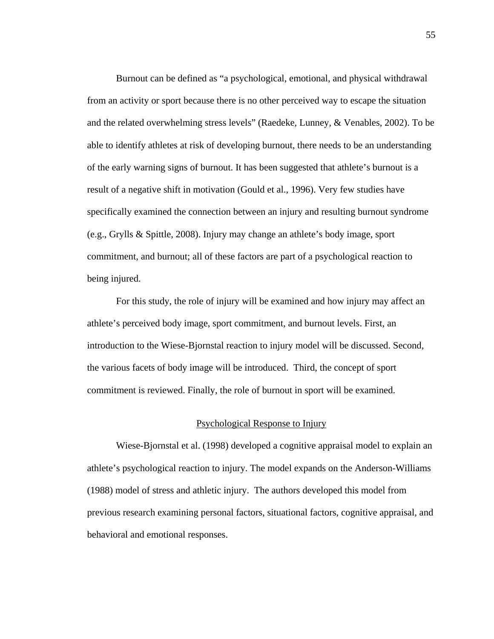Burnout can be defined as "a psychological, emotional, and physical withdrawal from an activity or sport because there is no other perceived way to escape the situation and the related overwhelming stress levels" (Raedeke, Lunney, & Venables, 2002). To be able to identify athletes at risk of developing burnout, there needs to be an understanding of the early warning signs of burnout. It has been suggested that athlete's burnout is a result of a negative shift in motivation (Gould et al., 1996). Very few studies have specifically examined the connection between an injury and resulting burnout syndrome (e.g., Grylls & Spittle, 2008). Injury may change an athlete's body image, sport commitment, and burnout; all of these factors are part of a psychological reaction to being injured.

For this study, the role of injury will be examined and how injury may affect an athlete's perceived body image, sport commitment, and burnout levels. First, an introduction to the Wiese-Bjornstal reaction to injury model will be discussed. Second, the various facets of body image will be introduced. Third, the concept of sport commitment is reviewed. Finally, the role of burnout in sport will be examined.

## Psychological Response to Injury

Wiese-Bjornstal et al. (1998) developed a cognitive appraisal model to explain an athlete's psychological reaction to injury. The model expands on the Anderson-Williams (1988) model of stress and athletic injury. The authors developed this model from previous research examining personal factors, situational factors, cognitive appraisal, and behavioral and emotional responses.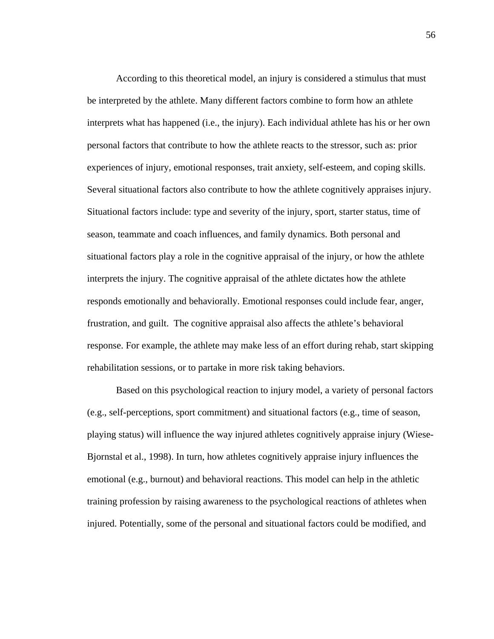According to this theoretical model, an injury is considered a stimulus that must be interpreted by the athlete. Many different factors combine to form how an athlete interprets what has happened (i.e., the injury). Each individual athlete has his or her own personal factors that contribute to how the athlete reacts to the stressor, such as: prior experiences of injury, emotional responses, trait anxiety, self-esteem, and coping skills. Several situational factors also contribute to how the athlete cognitively appraises injury. Situational factors include: type and severity of the injury, sport, starter status, time of season, teammate and coach influences, and family dynamics. Both personal and situational factors play a role in the cognitive appraisal of the injury, or how the athlete interprets the injury. The cognitive appraisal of the athlete dictates how the athlete responds emotionally and behaviorally. Emotional responses could include fear, anger, frustration, and guilt. The cognitive appraisal also affects the athlete's behavioral response. For example, the athlete may make less of an effort during rehab, start skipping rehabilitation sessions, or to partake in more risk taking behaviors.

Based on this psychological reaction to injury model, a variety of personal factors (e.g., self-perceptions, sport commitment) and situational factors (e.g., time of season, playing status) will influence the way injured athletes cognitively appraise injury (Wiese-Bjornstal et al., 1998). In turn, how athletes cognitively appraise injury influences the emotional (e.g., burnout) and behavioral reactions. This model can help in the athletic training profession by raising awareness to the psychological reactions of athletes when injured. Potentially, some of the personal and situational factors could be modified, and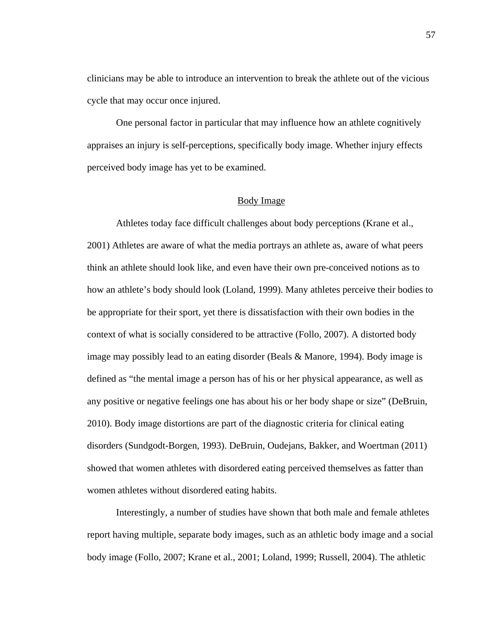clinicians may be able to introduce an intervention to break the athlete out of the vicious cycle that may occur once injured.

 One personal factor in particular that may influence how an athlete cognitively appraises an injury is self-perceptions, specifically body image. Whether injury effects perceived body image has yet to be examined.

## Body Image

Athletes today face difficult challenges about body perceptions (Krane et al., 2001) Athletes are aware of what the media portrays an athlete as, aware of what peers think an athlete should look like, and even have their own pre-conceived notions as to how an athlete's body should look (Loland, 1999). Many athletes perceive their bodies to be appropriate for their sport, yet there is dissatisfaction with their own bodies in the context of what is socially considered to be attractive (Follo, 2007). A distorted body image may possibly lead to an eating disorder (Beals & Manore, 1994). Body image is defined as "the mental image a person has of his or her physical appearance, as well as any positive or negative feelings one has about his or her body shape or size" (DeBruin, 2010). Body image distortions are part of the diagnostic criteria for clinical eating disorders (Sundgodt-Borgen, 1993). DeBruin, Oudejans, Bakker, and Woertman (2011) showed that women athletes with disordered eating perceived themselves as fatter than women athletes without disordered eating habits.

Interestingly, a number of studies have shown that both male and female athletes report having multiple, separate body images, such as an athletic body image and a social body image (Follo, 2007; Krane et al., 2001; Loland, 1999; Russell, 2004). The athletic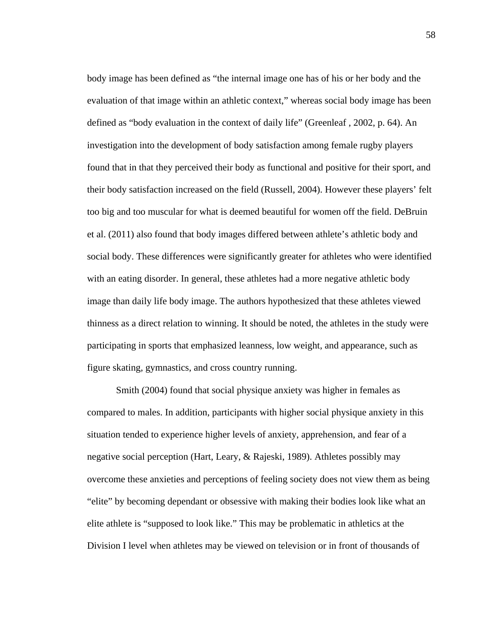body image has been defined as "the internal image one has of his or her body and the evaluation of that image within an athletic context," whereas social body image has been defined as "body evaluation in the context of daily life" (Greenleaf , 2002, p. 64). An investigation into the development of body satisfaction among female rugby players found that in that they perceived their body as functional and positive for their sport, and their body satisfaction increased on the field (Russell, 2004). However these players' felt too big and too muscular for what is deemed beautiful for women off the field. DeBruin et al. (2011) also found that body images differed between athlete's athletic body and social body. These differences were significantly greater for athletes who were identified with an eating disorder. In general, these athletes had a more negative athletic body image than daily life body image. The authors hypothesized that these athletes viewed thinness as a direct relation to winning. It should be noted, the athletes in the study were participating in sports that emphasized leanness, low weight, and appearance, such as figure skating, gymnastics, and cross country running.

Smith (2004) found that social physique anxiety was higher in females as compared to males. In addition, participants with higher social physique anxiety in this situation tended to experience higher levels of anxiety, apprehension, and fear of a negative social perception (Hart, Leary, & Rajeski, 1989). Athletes possibly may overcome these anxieties and perceptions of feeling society does not view them as being "elite" by becoming dependant or obsessive with making their bodies look like what an elite athlete is "supposed to look like." This may be problematic in athletics at the Division I level when athletes may be viewed on television or in front of thousands of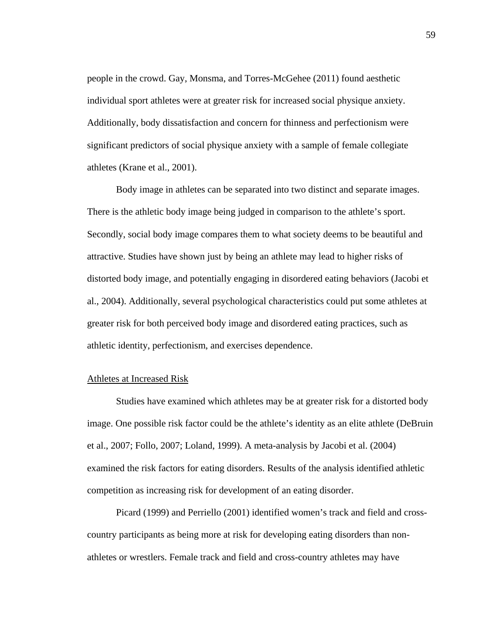people in the crowd. Gay, Monsma, and Torres-McGehee (2011) found aesthetic individual sport athletes were at greater risk for increased social physique anxiety. Additionally, body dissatisfaction and concern for thinness and perfectionism were significant predictors of social physique anxiety with a sample of female collegiate athletes (Krane et al., 2001).

Body image in athletes can be separated into two distinct and separate images. There is the athletic body image being judged in comparison to the athlete's sport. Secondly, social body image compares them to what society deems to be beautiful and attractive. Studies have shown just by being an athlete may lead to higher risks of distorted body image, and potentially engaging in disordered eating behaviors (Jacobi et al., 2004). Additionally, several psychological characteristics could put some athletes at greater risk for both perceived body image and disordered eating practices, such as athletic identity, perfectionism, and exercises dependence.

### Athletes at Increased Risk

 Studies have examined which athletes may be at greater risk for a distorted body image. One possible risk factor could be the athlete's identity as an elite athlete (DeBruin et al., 2007; Follo, 2007; Loland, 1999). A meta-analysis by Jacobi et al. (2004) examined the risk factors for eating disorders. Results of the analysis identified athletic competition as increasing risk for development of an eating disorder.

 Picard (1999) and Perriello (2001) identified women's track and field and crosscountry participants as being more at risk for developing eating disorders than nonathletes or wrestlers. Female track and field and cross-country athletes may have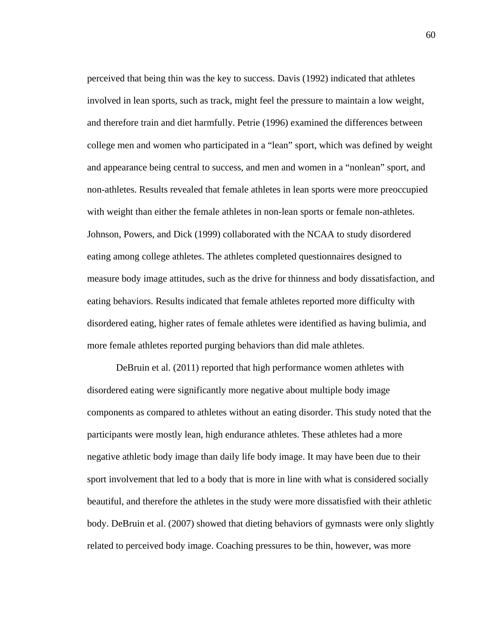perceived that being thin was the key to success. Davis (1992) indicated that athletes involved in lean sports, such as track, might feel the pressure to maintain a low weight, and therefore train and diet harmfully. Petrie (1996) examined the differences between college men and women who participated in a "lean" sport, which was defined by weight and appearance being central to success, and men and women in a "nonlean" sport, and non-athletes. Results revealed that female athletes in lean sports were more preoccupied with weight than either the female athletes in non-lean sports or female non-athletes. Johnson, Powers, and Dick (1999) collaborated with the NCAA to study disordered eating among college athletes. The athletes completed questionnaires designed to measure body image attitudes, such as the drive for thinness and body dissatisfaction, and eating behaviors. Results indicated that female athletes reported more difficulty with disordered eating, higher rates of female athletes were identified as having bulimia, and more female athletes reported purging behaviors than did male athletes.

DeBruin et al. (2011) reported that high performance women athletes with disordered eating were significantly more negative about multiple body image components as compared to athletes without an eating disorder. This study noted that the participants were mostly lean, high endurance athletes. These athletes had a more negative athletic body image than daily life body image. It may have been due to their sport involvement that led to a body that is more in line with what is considered socially beautiful, and therefore the athletes in the study were more dissatisfied with their athletic body. DeBruin et al. (2007) showed that dieting behaviors of gymnasts were only slightly related to perceived body image. Coaching pressures to be thin, however, was more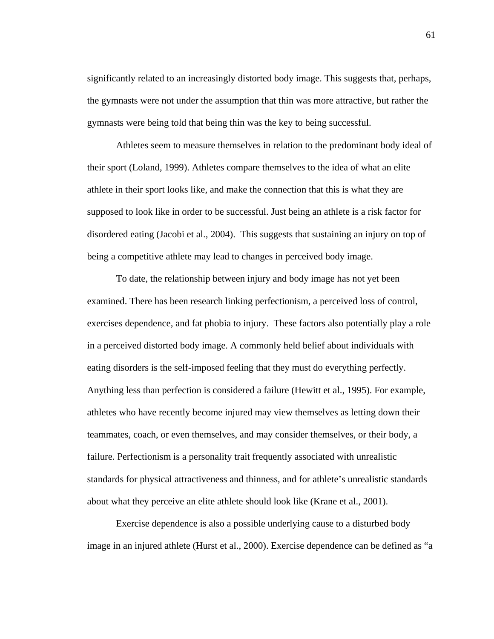significantly related to an increasingly distorted body image. This suggests that, perhaps, the gymnasts were not under the assumption that thin was more attractive, but rather the gymnasts were being told that being thin was the key to being successful.

 Athletes seem to measure themselves in relation to the predominant body ideal of their sport (Loland, 1999). Athletes compare themselves to the idea of what an elite athlete in their sport looks like, and make the connection that this is what they are supposed to look like in order to be successful. Just being an athlete is a risk factor for disordered eating (Jacobi et al., 2004). This suggests that sustaining an injury on top of being a competitive athlete may lead to changes in perceived body image.

 To date, the relationship between injury and body image has not yet been examined. There has been research linking perfectionism, a perceived loss of control, exercises dependence, and fat phobia to injury. These factors also potentially play a role in a perceived distorted body image. A commonly held belief about individuals with eating disorders is the self-imposed feeling that they must do everything perfectly. Anything less than perfection is considered a failure (Hewitt et al., 1995). For example, athletes who have recently become injured may view themselves as letting down their teammates, coach, or even themselves, and may consider themselves, or their body, a failure. Perfectionism is a personality trait frequently associated with unrealistic standards for physical attractiveness and thinness, and for athlete's unrealistic standards about what they perceive an elite athlete should look like (Krane et al., 2001).

Exercise dependence is also a possible underlying cause to a disturbed body image in an injured athlete (Hurst et al., 2000). Exercise dependence can be defined as "a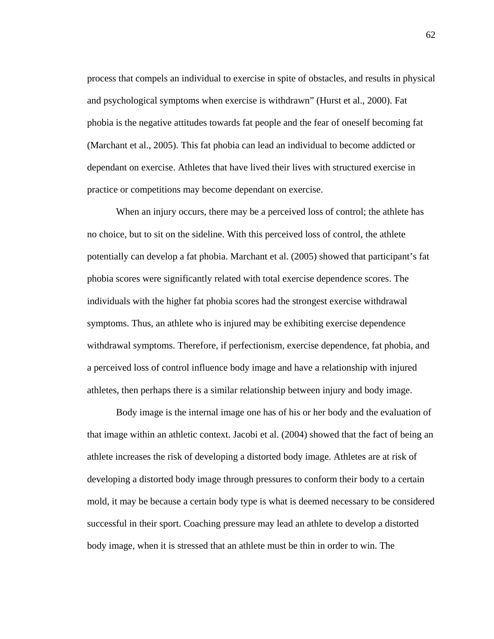process that compels an individual to exercise in spite of obstacles, and results in physical and psychological symptoms when exercise is withdrawn" (Hurst et al., 2000). Fat phobia is the negative attitudes towards fat people and the fear of oneself becoming fat (Marchant et al., 2005). This fat phobia can lead an individual to become addicted or dependant on exercise. Athletes that have lived their lives with structured exercise in practice or competitions may become dependant on exercise.

When an injury occurs, there may be a perceived loss of control; the athlete has no choice, but to sit on the sideline. With this perceived loss of control, the athlete potentially can develop a fat phobia. Marchant et al. (2005) showed that participant's fat phobia scores were significantly related with total exercise dependence scores. The individuals with the higher fat phobia scores had the strongest exercise withdrawal symptoms. Thus, an athlete who is injured may be exhibiting exercise dependence withdrawal symptoms. Therefore, if perfectionism, exercise dependence, fat phobia, and a perceived loss of control influence body image and have a relationship with injured athletes, then perhaps there is a similar relationship between injury and body image.

 Body image is the internal image one has of his or her body and the evaluation of that image within an athletic context. Jacobi et al. (2004) showed that the fact of being an athlete increases the risk of developing a distorted body image. Athletes are at risk of developing a distorted body image through pressures to conform their body to a certain mold, it may be because a certain body type is what is deemed necessary to be considered successful in their sport. Coaching pressure may lead an athlete to develop a distorted body image, when it is stressed that an athlete must be thin in order to win. The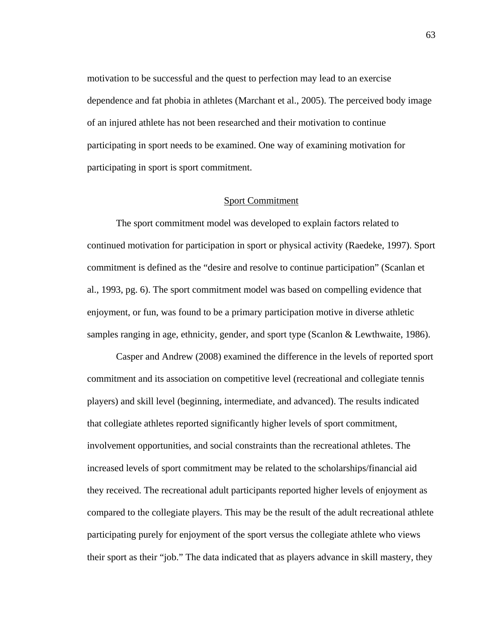motivation to be successful and the quest to perfection may lead to an exercise dependence and fat phobia in athletes (Marchant et al., 2005). The perceived body image of an injured athlete has not been researched and their motivation to continue participating in sport needs to be examined. One way of examining motivation for participating in sport is sport commitment.

#### Sport Commitment

 The sport commitment model was developed to explain factors related to continued motivation for participation in sport or physical activity (Raedeke, 1997). Sport commitment is defined as the "desire and resolve to continue participation" (Scanlan et al., 1993, pg. 6). The sport commitment model was based on compelling evidence that enjoyment, or fun, was found to be a primary participation motive in diverse athletic samples ranging in age, ethnicity, gender, and sport type (Scanlon & Lewthwaite, 1986).

Casper and Andrew (2008) examined the difference in the levels of reported sport commitment and its association on competitive level (recreational and collegiate tennis players) and skill level (beginning, intermediate, and advanced). The results indicated that collegiate athletes reported significantly higher levels of sport commitment, involvement opportunities, and social constraints than the recreational athletes. The increased levels of sport commitment may be related to the scholarships/financial aid they received. The recreational adult participants reported higher levels of enjoyment as compared to the collegiate players. This may be the result of the adult recreational athlete participating purely for enjoyment of the sport versus the collegiate athlete who views their sport as their "job." The data indicated that as players advance in skill mastery, they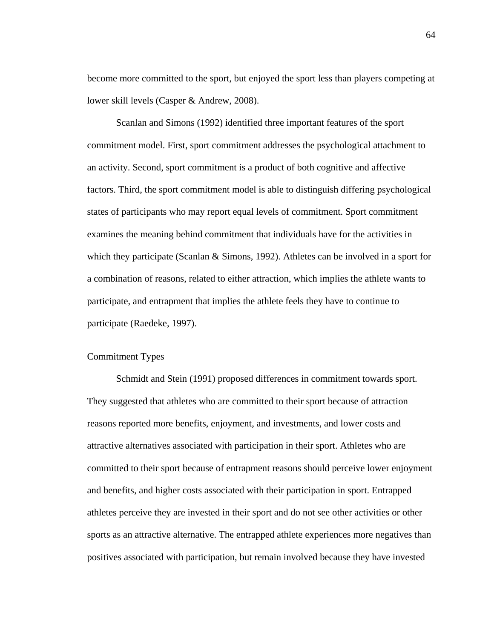become more committed to the sport, but enjoyed the sport less than players competing at lower skill levels (Casper & Andrew, 2008).

 Scanlan and Simons (1992) identified three important features of the sport commitment model. First, sport commitment addresses the psychological attachment to an activity. Second, sport commitment is a product of both cognitive and affective factors. Third, the sport commitment model is able to distinguish differing psychological states of participants who may report equal levels of commitment. Sport commitment examines the meaning behind commitment that individuals have for the activities in which they participate (Scanlan  $&$  Simons, 1992). Athletes can be involved in a sport for a combination of reasons, related to either attraction, which implies the athlete wants to participate, and entrapment that implies the athlete feels they have to continue to participate (Raedeke, 1997).

## Commitment Types

 Schmidt and Stein (1991) proposed differences in commitment towards sport. They suggested that athletes who are committed to their sport because of attraction reasons reported more benefits, enjoyment, and investments, and lower costs and attractive alternatives associated with participation in their sport. Athletes who are committed to their sport because of entrapment reasons should perceive lower enjoyment and benefits, and higher costs associated with their participation in sport. Entrapped athletes perceive they are invested in their sport and do not see other activities or other sports as an attractive alternative. The entrapped athlete experiences more negatives than positives associated with participation, but remain involved because they have invested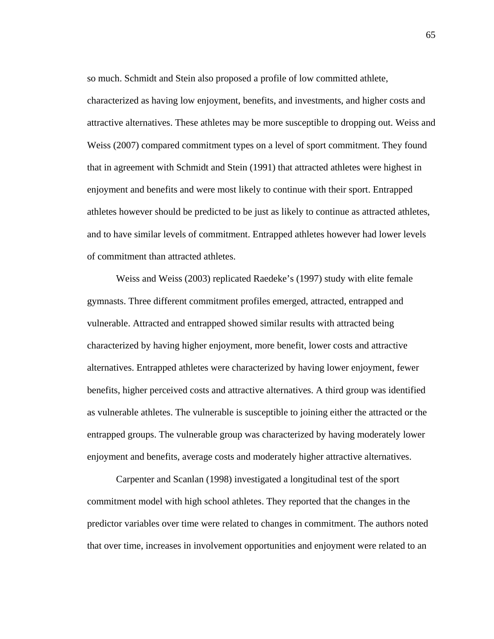so much. Schmidt and Stein also proposed a profile of low committed athlete, characterized as having low enjoyment, benefits, and investments, and higher costs and attractive alternatives. These athletes may be more susceptible to dropping out. Weiss and Weiss (2007) compared commitment types on a level of sport commitment. They found that in agreement with Schmidt and Stein (1991) that attracted athletes were highest in enjoyment and benefits and were most likely to continue with their sport. Entrapped athletes however should be predicted to be just as likely to continue as attracted athletes, and to have similar levels of commitment. Entrapped athletes however had lower levels of commitment than attracted athletes.

 Weiss and Weiss (2003) replicated Raedeke's (1997) study with elite female gymnasts. Three different commitment profiles emerged, attracted, entrapped and vulnerable. Attracted and entrapped showed similar results with attracted being characterized by having higher enjoyment, more benefit, lower costs and attractive alternatives. Entrapped athletes were characterized by having lower enjoyment, fewer benefits, higher perceived costs and attractive alternatives. A third group was identified as vulnerable athletes. The vulnerable is susceptible to joining either the attracted or the entrapped groups. The vulnerable group was characterized by having moderately lower enjoyment and benefits, average costs and moderately higher attractive alternatives.

Carpenter and Scanlan (1998) investigated a longitudinal test of the sport commitment model with high school athletes. They reported that the changes in the predictor variables over time were related to changes in commitment. The authors noted that over time, increases in involvement opportunities and enjoyment were related to an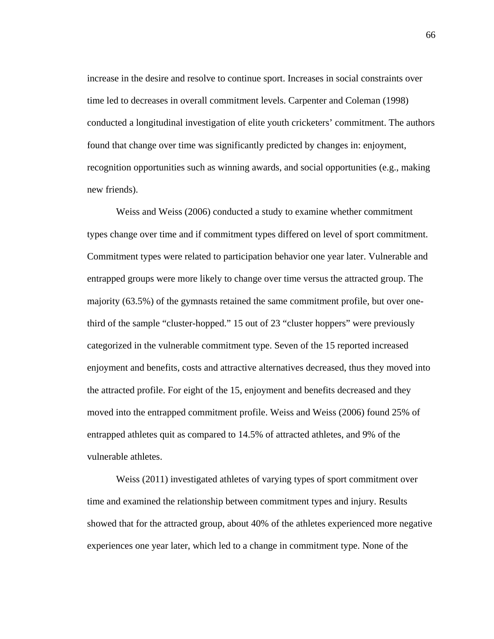increase in the desire and resolve to continue sport. Increases in social constraints over time led to decreases in overall commitment levels. Carpenter and Coleman (1998) conducted a longitudinal investigation of elite youth cricketers' commitment. The authors found that change over time was significantly predicted by changes in: enjoyment, recognition opportunities such as winning awards, and social opportunities (e.g., making new friends).

Weiss and Weiss (2006) conducted a study to examine whether commitment types change over time and if commitment types differed on level of sport commitment. Commitment types were related to participation behavior one year later. Vulnerable and entrapped groups were more likely to change over time versus the attracted group. The majority (63.5%) of the gymnasts retained the same commitment profile, but over onethird of the sample "cluster-hopped." 15 out of 23 "cluster hoppers" were previously categorized in the vulnerable commitment type. Seven of the 15 reported increased enjoyment and benefits, costs and attractive alternatives decreased, thus they moved into the attracted profile. For eight of the 15, enjoyment and benefits decreased and they moved into the entrapped commitment profile. Weiss and Weiss (2006) found 25% of entrapped athletes quit as compared to 14.5% of attracted athletes, and 9% of the vulnerable athletes.

Weiss (2011) investigated athletes of varying types of sport commitment over time and examined the relationship between commitment types and injury. Results showed that for the attracted group, about 40% of the athletes experienced more negative experiences one year later, which led to a change in commitment type. None of the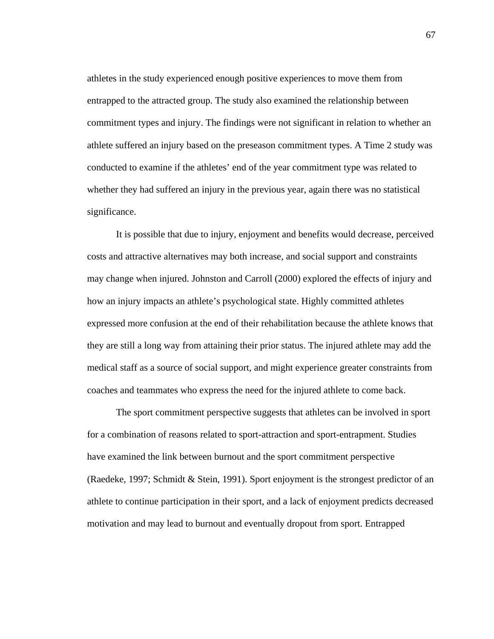athletes in the study experienced enough positive experiences to move them from entrapped to the attracted group. The study also examined the relationship between commitment types and injury. The findings were not significant in relation to whether an athlete suffered an injury based on the preseason commitment types. A Time 2 study was conducted to examine if the athletes' end of the year commitment type was related to whether they had suffered an injury in the previous year, again there was no statistical significance.

It is possible that due to injury, enjoyment and benefits would decrease, perceived costs and attractive alternatives may both increase, and social support and constraints may change when injured. Johnston and Carroll (2000) explored the effects of injury and how an injury impacts an athlete's psychological state. Highly committed athletes expressed more confusion at the end of their rehabilitation because the athlete knows that they are still a long way from attaining their prior status. The injured athlete may add the medical staff as a source of social support, and might experience greater constraints from coaches and teammates who express the need for the injured athlete to come back.

The sport commitment perspective suggests that athletes can be involved in sport for a combination of reasons related to sport-attraction and sport-entrapment. Studies have examined the link between burnout and the sport commitment perspective (Raedeke, 1997; Schmidt & Stein, 1991). Sport enjoyment is the strongest predictor of an athlete to continue participation in their sport, and a lack of enjoyment predicts decreased motivation and may lead to burnout and eventually dropout from sport. Entrapped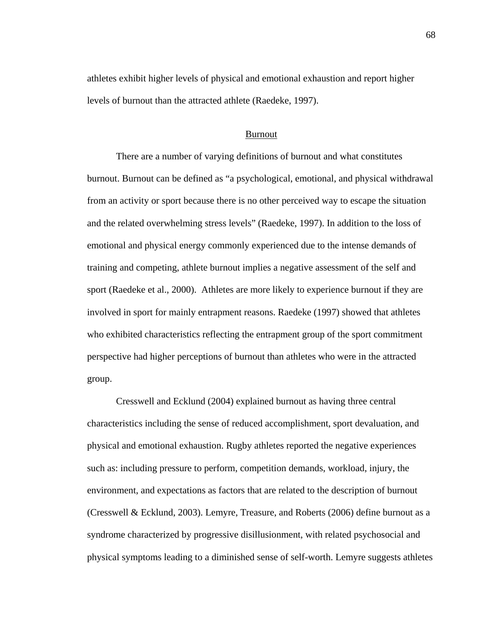athletes exhibit higher levels of physical and emotional exhaustion and report higher levels of burnout than the attracted athlete (Raedeke, 1997).

#### Burnout

 There are a number of varying definitions of burnout and what constitutes burnout. Burnout can be defined as "a psychological, emotional, and physical withdrawal from an activity or sport because there is no other perceived way to escape the situation and the related overwhelming stress levels" (Raedeke, 1997). In addition to the loss of emotional and physical energy commonly experienced due to the intense demands of training and competing, athlete burnout implies a negative assessment of the self and sport (Raedeke et al., 2000). Athletes are more likely to experience burnout if they are involved in sport for mainly entrapment reasons. Raedeke (1997) showed that athletes who exhibited characteristics reflecting the entrapment group of the sport commitment perspective had higher perceptions of burnout than athletes who were in the attracted group.

Cresswell and Ecklund (2004) explained burnout as having three central characteristics including the sense of reduced accomplishment, sport devaluation, and physical and emotional exhaustion. Rugby athletes reported the negative experiences such as: including pressure to perform, competition demands, workload, injury, the environment, and expectations as factors that are related to the description of burnout (Cresswell & Ecklund, 2003). Lemyre, Treasure, and Roberts (2006) define burnout as a syndrome characterized by progressive disillusionment, with related psychosocial and physical symptoms leading to a diminished sense of self-worth. Lemyre suggests athletes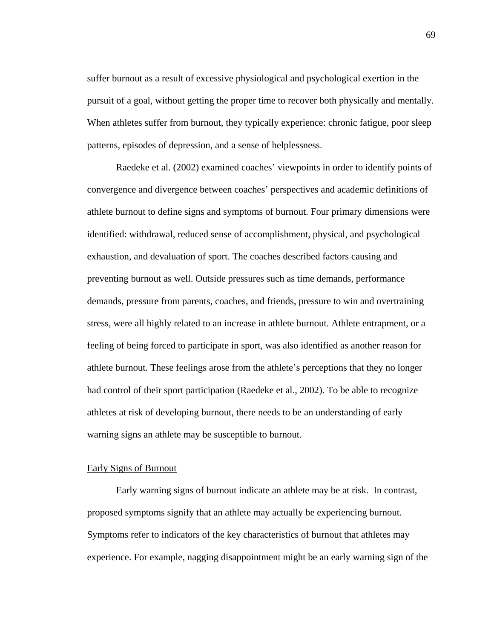suffer burnout as a result of excessive physiological and psychological exertion in the pursuit of a goal, without getting the proper time to recover both physically and mentally. When athletes suffer from burnout, they typically experience: chronic fatigue, poor sleep patterns, episodes of depression, and a sense of helplessness.

Raedeke et al. (2002) examined coaches' viewpoints in order to identify points of convergence and divergence between coaches' perspectives and academic definitions of athlete burnout to define signs and symptoms of burnout. Four primary dimensions were identified: withdrawal, reduced sense of accomplishment, physical, and psychological exhaustion, and devaluation of sport. The coaches described factors causing and preventing burnout as well. Outside pressures such as time demands, performance demands, pressure from parents, coaches, and friends, pressure to win and overtraining stress, were all highly related to an increase in athlete burnout. Athlete entrapment, or a feeling of being forced to participate in sport, was also identified as another reason for athlete burnout. These feelings arose from the athlete's perceptions that they no longer had control of their sport participation (Raedeke et al., 2002). To be able to recognize athletes at risk of developing burnout, there needs to be an understanding of early warning signs an athlete may be susceptible to burnout.

#### Early Signs of Burnout

 Early warning signs of burnout indicate an athlete may be at risk. In contrast, proposed symptoms signify that an athlete may actually be experiencing burnout. Symptoms refer to indicators of the key characteristics of burnout that athletes may experience. For example, nagging disappointment might be an early warning sign of the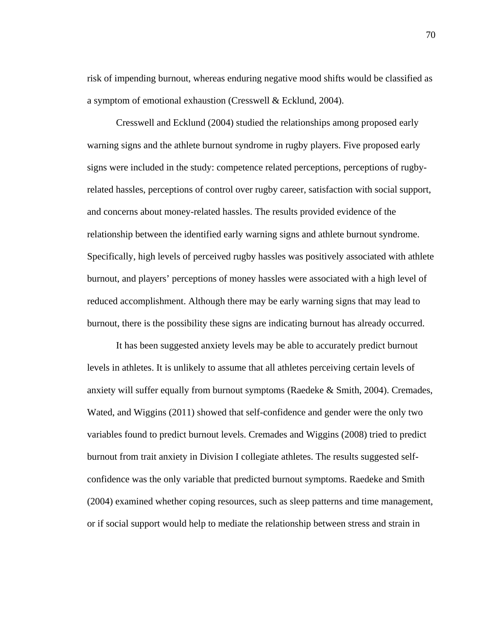risk of impending burnout, whereas enduring negative mood shifts would be classified as a symptom of emotional exhaustion (Cresswell & Ecklund, 2004).

 Cresswell and Ecklund (2004) studied the relationships among proposed early warning signs and the athlete burnout syndrome in rugby players. Five proposed early signs were included in the study: competence related perceptions, perceptions of rugbyrelated hassles, perceptions of control over rugby career, satisfaction with social support, and concerns about money-related hassles. The results provided evidence of the relationship between the identified early warning signs and athlete burnout syndrome. Specifically, high levels of perceived rugby hassles was positively associated with athlete burnout, and players' perceptions of money hassles were associated with a high level of reduced accomplishment. Although there may be early warning signs that may lead to burnout, there is the possibility these signs are indicating burnout has already occurred.

It has been suggested anxiety levels may be able to accurately predict burnout levels in athletes. It is unlikely to assume that all athletes perceiving certain levels of anxiety will suffer equally from burnout symptoms (Raedeke & Smith, 2004). Cremades, Wated, and Wiggins (2011) showed that self-confidence and gender were the only two variables found to predict burnout levels. Cremades and Wiggins (2008) tried to predict burnout from trait anxiety in Division I collegiate athletes. The results suggested selfconfidence was the only variable that predicted burnout symptoms. Raedeke and Smith (2004) examined whether coping resources, such as sleep patterns and time management, or if social support would help to mediate the relationship between stress and strain in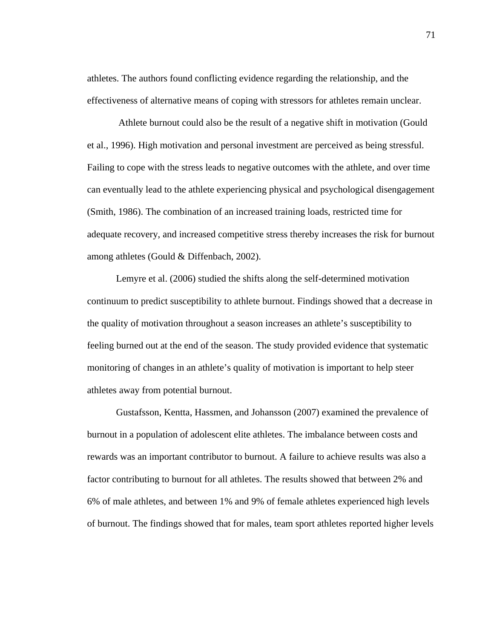athletes. The authors found conflicting evidence regarding the relationship, and the effectiveness of alternative means of coping with stressors for athletes remain unclear.

 Athlete burnout could also be the result of a negative shift in motivation (Gould et al., 1996). High motivation and personal investment are perceived as being stressful. Failing to cope with the stress leads to negative outcomes with the athlete, and over time can eventually lead to the athlete experiencing physical and psychological disengagement (Smith, 1986). The combination of an increased training loads, restricted time for adequate recovery, and increased competitive stress thereby increases the risk for burnout among athletes (Gould & Diffenbach, 2002).

 Lemyre et al. (2006) studied the shifts along the self-determined motivation continuum to predict susceptibility to athlete burnout. Findings showed that a decrease in the quality of motivation throughout a season increases an athlete's susceptibility to feeling burned out at the end of the season. The study provided evidence that systematic monitoring of changes in an athlete's quality of motivation is important to help steer athletes away from potential burnout.

 Gustafsson, Kentta, Hassmen, and Johansson (2007) examined the prevalence of burnout in a population of adolescent elite athletes. The imbalance between costs and rewards was an important contributor to burnout. A failure to achieve results was also a factor contributing to burnout for all athletes. The results showed that between 2% and 6% of male athletes, and between 1% and 9% of female athletes experienced high levels of burnout. The findings showed that for males, team sport athletes reported higher levels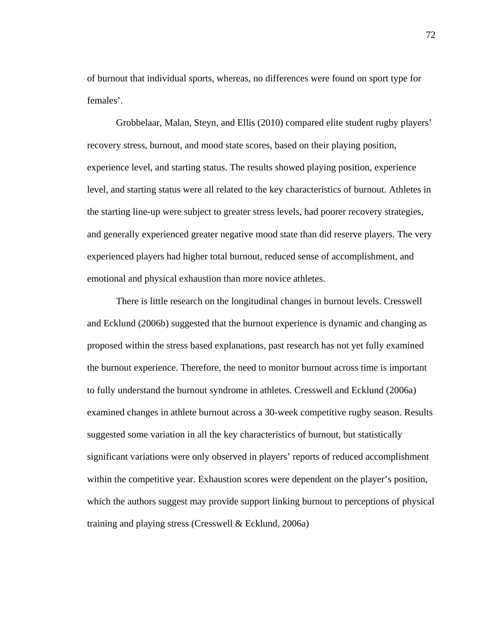of burnout that individual sports, whereas, no differences were found on sport type for females'.

 Grobbelaar, Malan, Steyn, and Ellis (2010) compared elite student rugby players' recovery stress, burnout, and mood state scores, based on their playing position, experience level, and starting status. The results showed playing position, experience level, and starting status were all related to the key characteristics of burnout. Athletes in the starting line-up were subject to greater stress levels, had poorer recovery strategies, and generally experienced greater negative mood state than did reserve players. The very experienced players had higher total burnout, reduced sense of accomplishment, and emotional and physical exhaustion than more novice athletes.

 There is little research on the longitudinal changes in burnout levels. Cresswell and Ecklund (2006b) suggested that the burnout experience is dynamic and changing as proposed within the stress based explanations, past research has not yet fully examined the burnout experience. Therefore, the need to monitor burnout across time is important to fully understand the burnout syndrome in athletes. Cresswell and Ecklund (2006a) examined changes in athlete burnout across a 30-week competitive rugby season. Results suggested some variation in all the key characteristics of burnout, but statistically significant variations were only observed in players' reports of reduced accomplishment within the competitive year. Exhaustion scores were dependent on the player's position, which the authors suggest may provide support linking burnout to perceptions of physical training and playing stress (Cresswell & Ecklund, 2006a)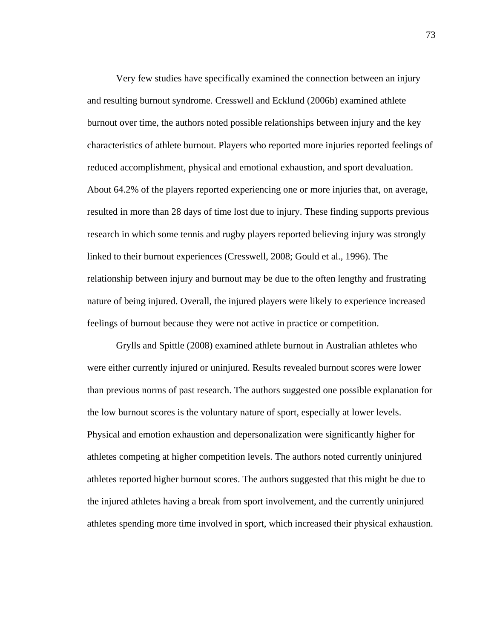Very few studies have specifically examined the connection between an injury and resulting burnout syndrome. Cresswell and Ecklund (2006b) examined athlete burnout over time, the authors noted possible relationships between injury and the key characteristics of athlete burnout. Players who reported more injuries reported feelings of reduced accomplishment, physical and emotional exhaustion, and sport devaluation. About 64.2% of the players reported experiencing one or more injuries that, on average, resulted in more than 28 days of time lost due to injury. These finding supports previous research in which some tennis and rugby players reported believing injury was strongly linked to their burnout experiences (Cresswell, 2008; Gould et al., 1996). The relationship between injury and burnout may be due to the often lengthy and frustrating nature of being injured. Overall, the injured players were likely to experience increased feelings of burnout because they were not active in practice or competition.

 Grylls and Spittle (2008) examined athlete burnout in Australian athletes who were either currently injured or uninjured. Results revealed burnout scores were lower than previous norms of past research. The authors suggested one possible explanation for the low burnout scores is the voluntary nature of sport, especially at lower levels. Physical and emotion exhaustion and depersonalization were significantly higher for athletes competing at higher competition levels. The authors noted currently uninjured athletes reported higher burnout scores. The authors suggested that this might be due to the injured athletes having a break from sport involvement, and the currently uninjured athletes spending more time involved in sport, which increased their physical exhaustion.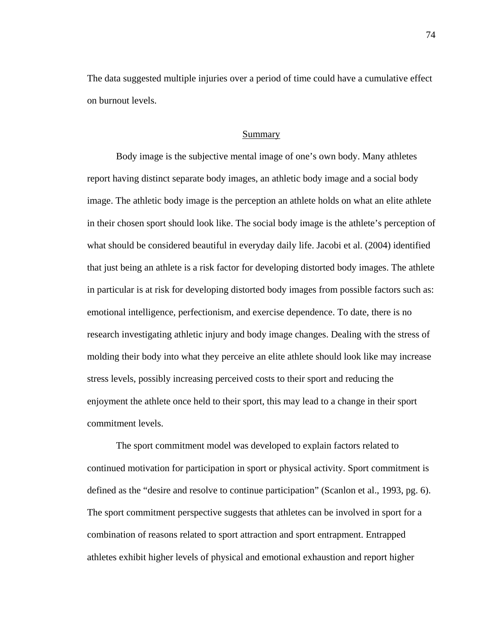The data suggested multiple injuries over a period of time could have a cumulative effect on burnout levels.

#### Summary

 Body image is the subjective mental image of one's own body. Many athletes report having distinct separate body images, an athletic body image and a social body image. The athletic body image is the perception an athlete holds on what an elite athlete in their chosen sport should look like. The social body image is the athlete's perception of what should be considered beautiful in everyday daily life. Jacobi et al. (2004) identified that just being an athlete is a risk factor for developing distorted body images. The athlete in particular is at risk for developing distorted body images from possible factors such as: emotional intelligence, perfectionism, and exercise dependence. To date, there is no research investigating athletic injury and body image changes. Dealing with the stress of molding their body into what they perceive an elite athlete should look like may increase stress levels, possibly increasing perceived costs to their sport and reducing the enjoyment the athlete once held to their sport, this may lead to a change in their sport commitment levels.

The sport commitment model was developed to explain factors related to continued motivation for participation in sport or physical activity. Sport commitment is defined as the "desire and resolve to continue participation" (Scanlon et al., 1993, pg. 6). The sport commitment perspective suggests that athletes can be involved in sport for a combination of reasons related to sport attraction and sport entrapment. Entrapped athletes exhibit higher levels of physical and emotional exhaustion and report higher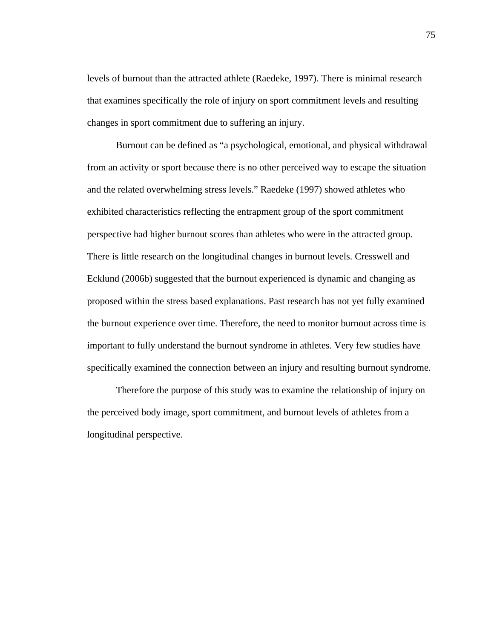levels of burnout than the attracted athlete (Raedeke, 1997). There is minimal research that examines specifically the role of injury on sport commitment levels and resulting changes in sport commitment due to suffering an injury.

Burnout can be defined as "a psychological, emotional, and physical withdrawal from an activity or sport because there is no other perceived way to escape the situation and the related overwhelming stress levels." Raedeke (1997) showed athletes who exhibited characteristics reflecting the entrapment group of the sport commitment perspective had higher burnout scores than athletes who were in the attracted group. There is little research on the longitudinal changes in burnout levels. Cresswell and Ecklund (2006b) suggested that the burnout experienced is dynamic and changing as proposed within the stress based explanations. Past research has not yet fully examined the burnout experience over time. Therefore, the need to monitor burnout across time is important to fully understand the burnout syndrome in athletes. Very few studies have specifically examined the connection between an injury and resulting burnout syndrome.

Therefore the purpose of this study was to examine the relationship of injury on the perceived body image, sport commitment, and burnout levels of athletes from a longitudinal perspective.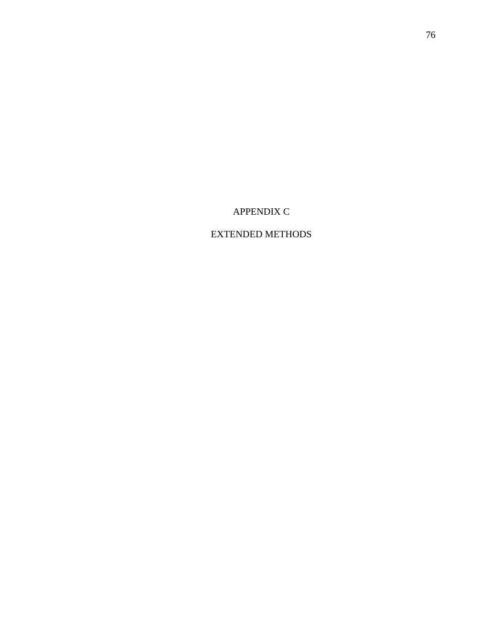APPENDIX C

EXTENDED METHODS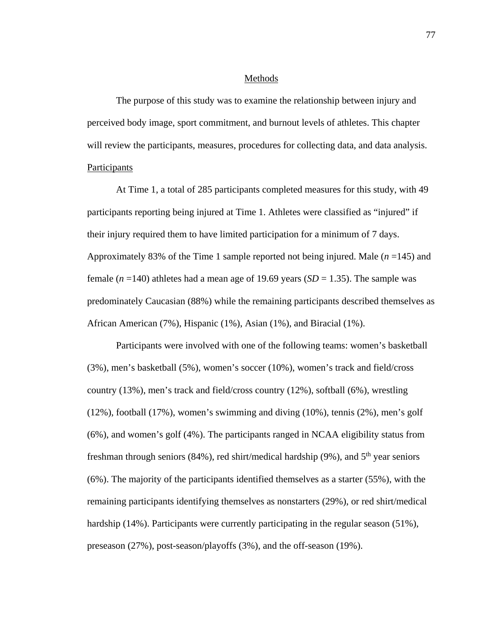#### Methods

The purpose of this study was to examine the relationship between injury and perceived body image, sport commitment, and burnout levels of athletes. This chapter will review the participants, measures, procedures for collecting data, and data analysis. Participants

At Time 1, a total of 285 participants completed measures for this study, with 49 participants reporting being injured at Time 1. Athletes were classified as "injured" if their injury required them to have limited participation for a minimum of 7 days. Approximately 83% of the Time 1 sample reported not being injured. Male (*n* =145) and female  $(n = 140)$  athletes had a mean age of 19.69 years  $(SD = 1.35)$ . The sample was predominately Caucasian (88%) while the remaining participants described themselves as African American (7%), Hispanic (1%), Asian (1%), and Biracial (1%).

 Participants were involved with one of the following teams: women's basketball (3%), men's basketball (5%), women's soccer (10%), women's track and field/cross country (13%), men's track and field/cross country (12%), softball (6%), wrestling (12%), football (17%), women's swimming and diving (10%), tennis (2%), men's golf (6%), and women's golf (4%). The participants ranged in NCAA eligibility status from freshman through seniors (84%), red shirt/medical hardship (9%), and  $5<sup>th</sup>$  year seniors (6%). The majority of the participants identified themselves as a starter (55%), with the remaining participants identifying themselves as nonstarters (29%), or red shirt/medical hardship (14%). Participants were currently participating in the regular season (51%), preseason (27%), post-season/playoffs (3%), and the off-season (19%).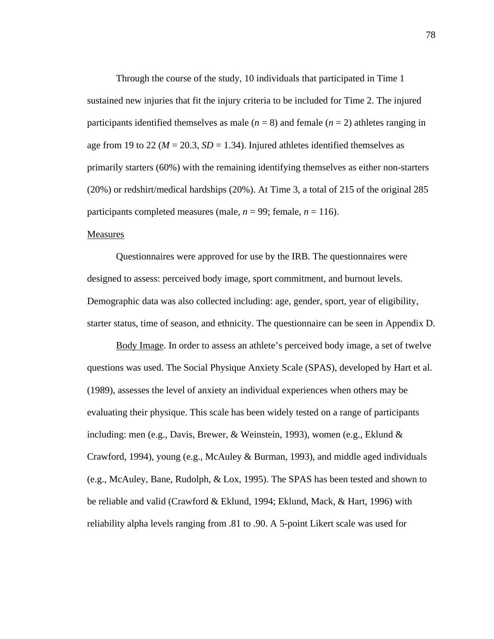Through the course of the study, 10 individuals that participated in Time 1 sustained new injuries that fit the injury criteria to be included for Time 2. The injured participants identified themselves as male  $(n = 8)$  and female  $(n = 2)$  athletes ranging in age from 19 to 22 ( $M = 20.3$ ,  $SD = 1.34$ ). Injured athletes identified themselves as primarily starters (60%) with the remaining identifying themselves as either non-starters (20%) or redshirt/medical hardships (20%). At Time 3, a total of 215 of the original 285 participants completed measures (male,  $n = 99$ ; female,  $n = 116$ ).

## Measures

Questionnaires were approved for use by the IRB. The questionnaires were designed to assess: perceived body image, sport commitment, and burnout levels. Demographic data was also collected including: age, gender, sport, year of eligibility, starter status, time of season, and ethnicity. The questionnaire can be seen in Appendix D.

Body Image. In order to assess an athlete's perceived body image, a set of twelve questions was used. The Social Physique Anxiety Scale (SPAS), developed by Hart et al. (1989), assesses the level of anxiety an individual experiences when others may be evaluating their physique. This scale has been widely tested on a range of participants including: men (e.g., Davis, Brewer, & Weinstein, 1993), women (e.g., Eklund & Crawford, 1994), young (e.g., McAuley & Burman, 1993), and middle aged individuals (e.g., McAuley, Bane, Rudolph, & Lox, 1995). The SPAS has been tested and shown to be reliable and valid (Crawford & Eklund, 1994; Eklund, Mack, & Hart, 1996) with reliability alpha levels ranging from .81 to .90. A 5-point Likert scale was used for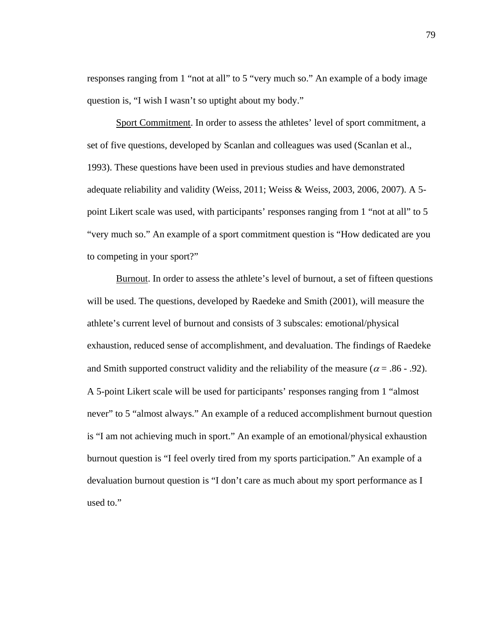responses ranging from 1 "not at all" to 5 "very much so." An example of a body image question is, "I wish I wasn't so uptight about my body."

Sport Commitment. In order to assess the athletes' level of sport commitment, a set of five questions, developed by Scanlan and colleagues was used (Scanlan et al., 1993). These questions have been used in previous studies and have demonstrated adequate reliability and validity (Weiss, 2011; Weiss & Weiss, 2003, 2006, 2007). A 5 point Likert scale was used, with participants' responses ranging from 1 "not at all" to 5 "very much so." An example of a sport commitment question is "How dedicated are you to competing in your sport?"

Burnout. In order to assess the athlete's level of burnout, a set of fifteen questions will be used. The questions, developed by Raedeke and Smith (2001), will measure the athlete's current level of burnout and consists of 3 subscales: emotional/physical exhaustion, reduced sense of accomplishment, and devaluation. The findings of Raedeke and Smith supported construct validity and the reliability of the measure ( $\alpha$  = .86 - .92). A 5-point Likert scale will be used for participants' responses ranging from 1 "almost never" to 5 "almost always." An example of a reduced accomplishment burnout question is "I am not achieving much in sport." An example of an emotional/physical exhaustion burnout question is "I feel overly tired from my sports participation." An example of a devaluation burnout question is "I don't care as much about my sport performance as I used to."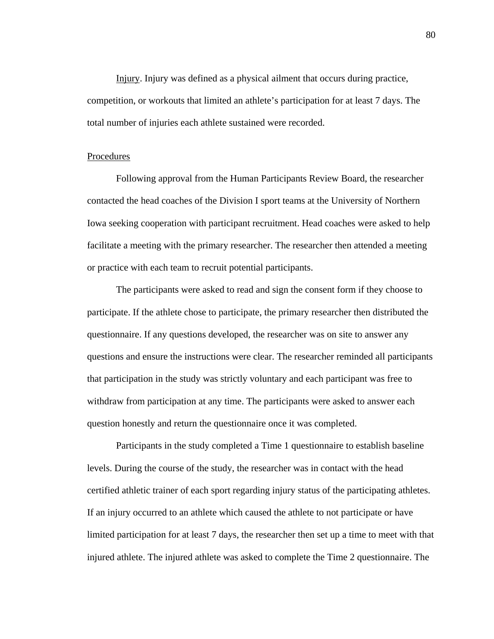Injury. Injury was defined as a physical ailment that occurs during practice, competition, or workouts that limited an athlete's participation for at least 7 days. The total number of injuries each athlete sustained were recorded.

## Procedures

 Following approval from the Human Participants Review Board, the researcher contacted the head coaches of the Division I sport teams at the University of Northern Iowa seeking cooperation with participant recruitment. Head coaches were asked to help facilitate a meeting with the primary researcher. The researcher then attended a meeting or practice with each team to recruit potential participants.

The participants were asked to read and sign the consent form if they choose to participate. If the athlete chose to participate, the primary researcher then distributed the questionnaire. If any questions developed, the researcher was on site to answer any questions and ensure the instructions were clear. The researcher reminded all participants that participation in the study was strictly voluntary and each participant was free to withdraw from participation at any time. The participants were asked to answer each question honestly and return the questionnaire once it was completed.

Participants in the study completed a Time 1 questionnaire to establish baseline levels. During the course of the study, the researcher was in contact with the head certified athletic trainer of each sport regarding injury status of the participating athletes. If an injury occurred to an athlete which caused the athlete to not participate or have limited participation for at least 7 days, the researcher then set up a time to meet with that injured athlete. The injured athlete was asked to complete the Time 2 questionnaire. The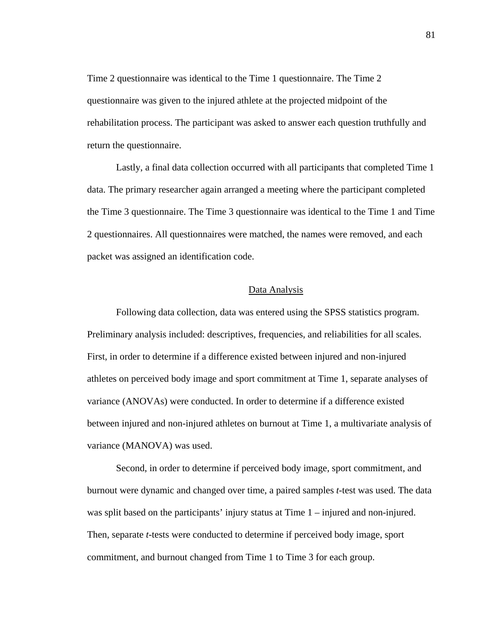Time 2 questionnaire was identical to the Time 1 questionnaire. The Time 2 questionnaire was given to the injured athlete at the projected midpoint of the rehabilitation process. The participant was asked to answer each question truthfully and return the questionnaire.

Lastly, a final data collection occurred with all participants that completed Time 1 data. The primary researcher again arranged a meeting where the participant completed the Time 3 questionnaire. The Time 3 questionnaire was identical to the Time 1 and Time 2 questionnaires. All questionnaires were matched, the names were removed, and each packet was assigned an identification code.

#### Data Analysis

Following data collection, data was entered using the SPSS statistics program. Preliminary analysis included: descriptives, frequencies, and reliabilities for all scales. First, in order to determine if a difference existed between injured and non-injured athletes on perceived body image and sport commitment at Time 1, separate analyses of variance (ANOVAs) were conducted. In order to determine if a difference existed between injured and non-injured athletes on burnout at Time 1, a multivariate analysis of variance (MANOVA) was used.

Second, in order to determine if perceived body image, sport commitment, and burnout were dynamic and changed over time, a paired samples *t*-test was used. The data was split based on the participants' injury status at Time 1 – injured and non-injured. Then, separate *t*-tests were conducted to determine if perceived body image, sport commitment, and burnout changed from Time 1 to Time 3 for each group.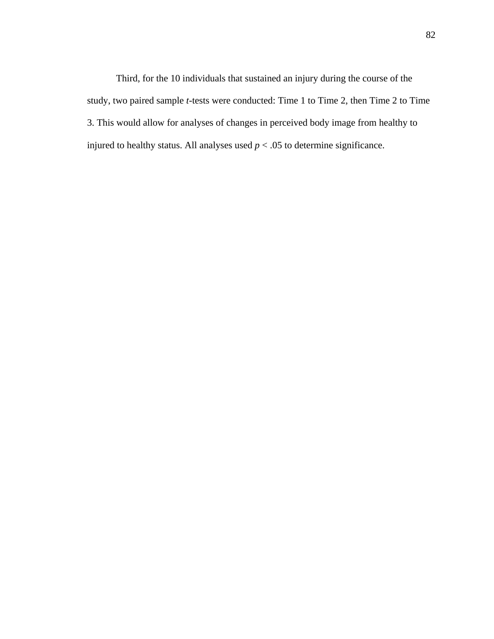Third, for the 10 individuals that sustained an injury during the course of the study, two paired sample *t*-tests were conducted: Time 1 to Time 2, then Time 2 to Time 3. This would allow for analyses of changes in perceived body image from healthy to injured to healthy status. All analyses used  $p < .05$  to determine significance.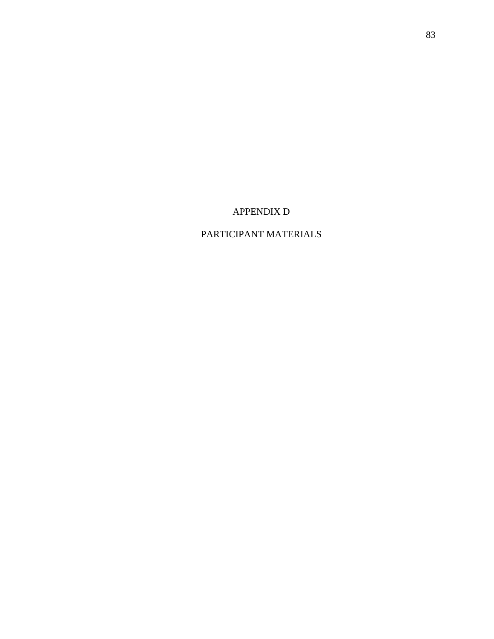APPENDIX D

# PARTICIPANT MATERIALS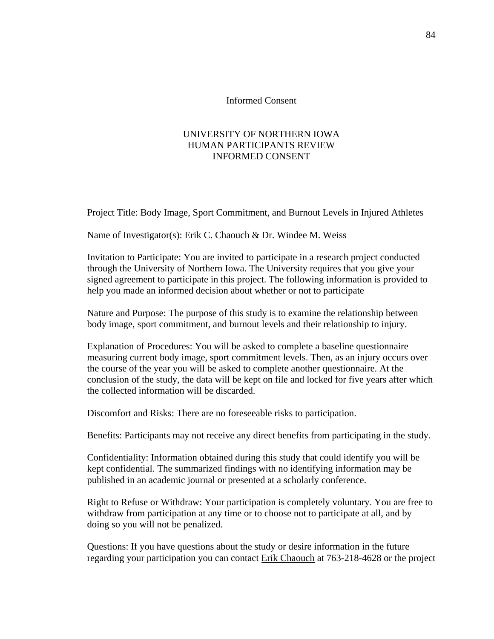#### Informed Consent

# UNIVERSITY OF NORTHERN IOWA HUMAN PARTICIPANTS REVIEW INFORMED CONSENT

Project Title: Body Image, Sport Commitment, and Burnout Levels in Injured Athletes

Name of Investigator(s): Erik C. Chaouch & Dr. Windee M. Weiss

Invitation to Participate: You are invited to participate in a research project conducted through the University of Northern Iowa. The University requires that you give your signed agreement to participate in this project. The following information is provided to help you made an informed decision about whether or not to participate

Nature and Purpose: The purpose of this study is to examine the relationship between body image, sport commitment, and burnout levels and their relationship to injury.

Explanation of Procedures: You will be asked to complete a baseline questionnaire measuring current body image, sport commitment levels. Then, as an injury occurs over the course of the year you will be asked to complete another questionnaire. At the conclusion of the study, the data will be kept on file and locked for five years after which the collected information will be discarded.

Discomfort and Risks: There are no foreseeable risks to participation.

Benefits: Participants may not receive any direct benefits from participating in the study.

Confidentiality: Information obtained during this study that could identify you will be kept confidential. The summarized findings with no identifying information may be published in an academic journal or presented at a scholarly conference.

Right to Refuse or Withdraw: Your participation is completely voluntary. You are free to withdraw from participation at any time or to choose not to participate at all, and by doing so you will not be penalized.

Questions: If you have questions about the study or desire information in the future regarding your participation you can contact Erik Chaouch at 763-218-4628 or the project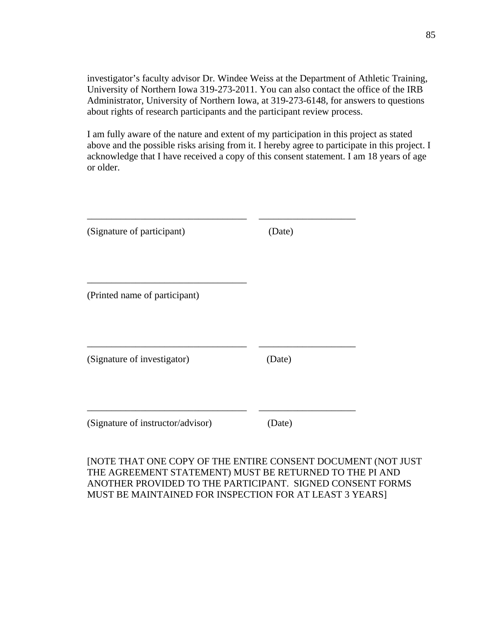investigator's faculty advisor Dr. Windee Weiss at the Department of Athletic Training, University of Northern Iowa 319-273-2011. You can also contact the office of the IRB Administrator, University of Northern Iowa, at 319-273-6148, for answers to questions about rights of research participants and the participant review process.

I am fully aware of the nature and extent of my participation in this project as stated above and the possible risks arising from it. I hereby agree to participate in this project. I acknowledge that I have received a copy of this consent statement. I am 18 years of age or older.

| (Signature of participant)        | (Date) |  |
|-----------------------------------|--------|--|
|                                   |        |  |
| (Printed name of participant)     |        |  |
| (Signature of investigator)       | (Date) |  |
| (Signature of instructor/advisor) | (Date) |  |

[NOTE THAT ONE COPY OF THE ENTIRE CONSENT DOCUMENT (NOT JUST THE AGREEMENT STATEMENT) MUST BE RETURNED TO THE PI AND ANOTHER PROVIDED TO THE PARTICIPANT. SIGNED CONSENT FORMS MUST BE MAINTAINED FOR INSPECTION FOR AT LEAST 3 YEARS]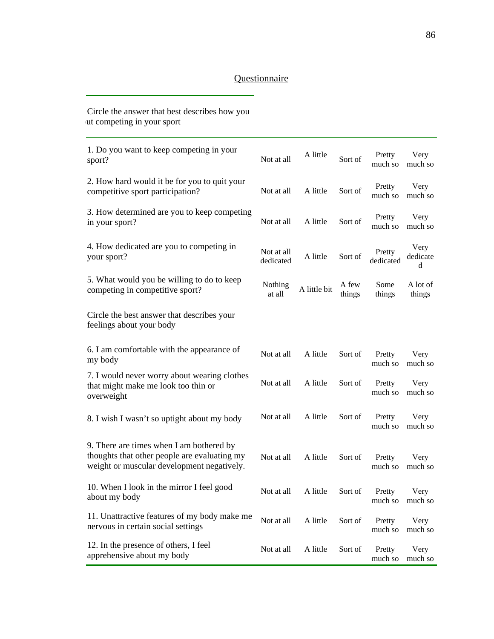# **Questionnaire**

| Circle the answer that best describes how you<br>ut competing in your sport                                                            |                         |              |                 |                     |                         |
|----------------------------------------------------------------------------------------------------------------------------------------|-------------------------|--------------|-----------------|---------------------|-------------------------|
| 1. Do you want to keep competing in your<br>sport?                                                                                     | Not at all              | A little     | Sort of         | Pretty<br>much so   | Very<br>much so         |
| 2. How hard would it be for you to quit your<br>competitive sport participation?                                                       | Not at all              | A little     | Sort of         | Pretty<br>much so   | Very<br>much so         |
| 3. How determined are you to keep competing<br>in your sport?                                                                          | Not at all              | A little     | Sort of         | Pretty<br>much so   | Very<br>much so         |
| 4. How dedicated are you to competing in<br>your sport?                                                                                | Not at all<br>dedicated | A little     | Sort of         | Pretty<br>dedicated | Very<br>dedicate<br>d   |
| 5. What would you be willing to do to keep<br>competing in competitive sport?                                                          | Nothing<br>at all       | A little bit | A few<br>things | Some<br>things      | A lot of<br>things      |
| Circle the best answer that describes your<br>feelings about your body                                                                 |                         |              |                 |                     |                         |
| 6. I am comfortable with the appearance of<br>my body                                                                                  | Not at all              | A little     | Sort of         | Pretty<br>much so   | Very<br>much so         |
| 7. I would never worry about wearing clothes<br>that might make me look too thin or<br>overweight                                      | Not at all              | A little     | Sort of         | Pretty<br>much so   | Very<br>much so         |
| 8. I wish I wasn't so uptight about my body                                                                                            | Not at all              | A little     | Sort of         | Pretty<br>much so   | Very<br>much so         |
| 9. There are times when I am bothered by<br>thoughts that other people are evaluating my<br>weight or muscular development negatively. | Not at all              | A little     | Sort of         | Pretty              | Very<br>much so much so |
| 10. When I look in the mirror I feel good<br>about my body                                                                             | Not at all              | A little     | Sort of         | Pretty<br>much so   | Very<br>much so         |
| 11. Unattractive features of my body make me<br>nervous in certain social settings                                                     | Not at all              | A little     | Sort of         | Pretty<br>much so   | Very<br>much so         |
| 12. In the presence of others, I feel<br>apprehensive about my body                                                                    | Not at all              | A little     | Sort of         | Pretty<br>much so   | Very<br>much so         |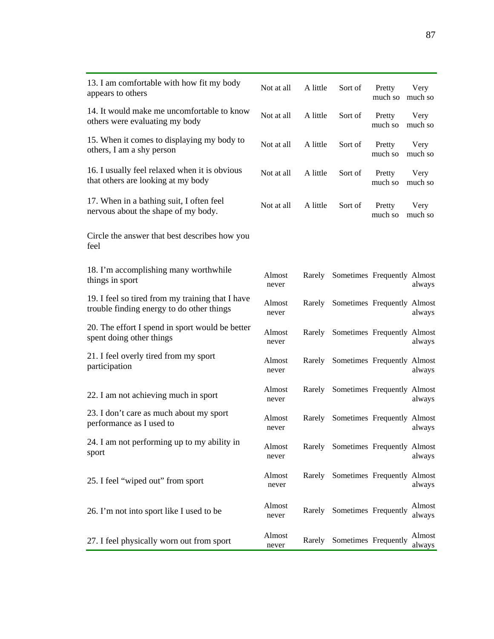| 13. I am comfortable with how fit my body<br>appears to others                                | Not at all      | A little | Sort of                            | Pretty<br>much so | Very<br>much so  |
|-----------------------------------------------------------------------------------------------|-----------------|----------|------------------------------------|-------------------|------------------|
| 14. It would make me uncomfortable to know<br>others were evaluating my body                  | Not at all      | A little | Sort of                            | Pretty<br>much so | Very<br>much so  |
| 15. When it comes to displaying my body to<br>others, I am a shy person                       | Not at all      | A little | Sort of                            | Pretty<br>much so | Very<br>much so  |
| 16. I usually feel relaxed when it is obvious<br>that others are looking at my body           | Not at all      | A little | Sort of                            | Pretty<br>much so | Very<br>much so  |
| 17. When in a bathing suit, I often feel<br>nervous about the shape of my body.               | Not at all      | A little | Sort of                            | Pretty<br>much so | Very<br>much so  |
| Circle the answer that best describes how you<br>feel                                         |                 |          |                                    |                   |                  |
| 18. I'm accomplishing many worthwhile<br>things in sport                                      | Almost<br>never | Rarely   | Sometimes Frequently Almost        |                   | always           |
| 19. I feel so tired from my training that I have<br>trouble finding energy to do other things | Almost<br>never | Rarely   | Sometimes Frequently Almost        |                   | always           |
| 20. The effort I spend in sport would be better<br>spent doing other things                   | Almost<br>never | Rarely   | Sometimes Frequently Almost        |                   | always           |
| 21. I feel overly tired from my sport<br>participation                                        | Almost<br>never | Rarely   | Sometimes Frequently Almost        |                   | always           |
| 22. I am not achieving much in sport                                                          | Almost<br>never | Rarely   | Sometimes Frequently Almost        |                   | always           |
| 23. I don't care as much about my sport<br>performance as I used to                           | Almost<br>never | Rarely   | Sometimes Frequently Almost        |                   | always           |
| 24. I am not performing up to my ability in<br>sport                                          | Almost<br>never |          | Rarely Sometimes Frequently Almost |                   | always           |
| 25. I feel "wiped out" from sport                                                             | Almost<br>never | Rarely   | Sometimes Frequently Almost        |                   | always           |
| 26. I'm not into sport like I used to be                                                      | Almost<br>never | Rarely   | Sometimes Frequently               |                   | Almost<br>always |
| 27. I feel physically worn out from sport                                                     | Almost<br>never | Rarely   | Sometimes Frequently               |                   | Almost<br>always |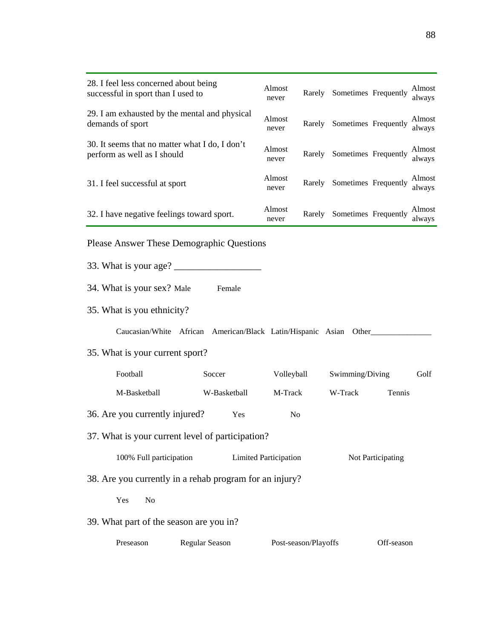| 28. I feel less concerned about being<br>successful in sport than I used to   |                                                               | Almost<br>never |                      | Rarely Sometimes Frequently |            | Almost<br>always |  |
|-------------------------------------------------------------------------------|---------------------------------------------------------------|-----------------|----------------------|-----------------------------|------------|------------------|--|
| demands of sport                                                              | 29. I am exhausted by the mental and physical                 |                 |                      | Rarely Sometimes Frequently |            | Almost<br>always |  |
| 30. It seems that no matter what I do, I don't<br>perform as well as I should |                                                               | Almost<br>never | Rarely               | Sometimes Frequently        |            | Almost<br>always |  |
| 31. I feel successful at sport                                                |                                                               | Almost<br>never | Rarely               | Sometimes Frequently        |            | Almost<br>always |  |
|                                                                               | Almost<br>32. I have negative feelings toward sport.<br>never |                 | Rarely               | Sometimes Frequently        |            | Almost<br>always |  |
| <b>Please Answer These Demographic Questions</b>                              |                                                               |                 |                      |                             |            |                  |  |
| 33. What is your age?                                                         |                                                               |                 |                      |                             |            |                  |  |
| 34. What is your sex? Male                                                    | Female                                                        |                 |                      |                             |            |                  |  |
| 35. What is you ethnicity?                                                    |                                                               |                 |                      |                             |            |                  |  |
| Caucasian/White African American/Black Latin/Hispanic Asian Other___          |                                                               |                 |                      |                             |            |                  |  |
| 35. What is your current sport?                                               |                                                               |                 |                      |                             |            |                  |  |
| Football<br>Soccer                                                            |                                                               | Volleyball      |                      | Swimming/Diving             |            | Golf             |  |
| M-Basketball                                                                  | W-Basketball                                                  | M-Track         |                      | W-Track                     | Tennis     |                  |  |
| 36. Are you currently injured?<br>Yes<br>N <sub>0</sub>                       |                                                               |                 |                      |                             |            |                  |  |
| 37. What is your current level of participation?                              |                                                               |                 |                      |                             |            |                  |  |
| 100% Full participation<br><b>Limited Participation</b><br>Not Participating  |                                                               |                 |                      |                             |            |                  |  |
| 38. Are you currently in a rehab program for an injury?                       |                                                               |                 |                      |                             |            |                  |  |
| Yes<br>N <sub>0</sub>                                                         |                                                               |                 |                      |                             |            |                  |  |
| 39. What part of the season are you in?                                       |                                                               |                 |                      |                             |            |                  |  |
| Preseason                                                                     | Regular Season                                                |                 | Post-season/Playoffs |                             | Off-season |                  |  |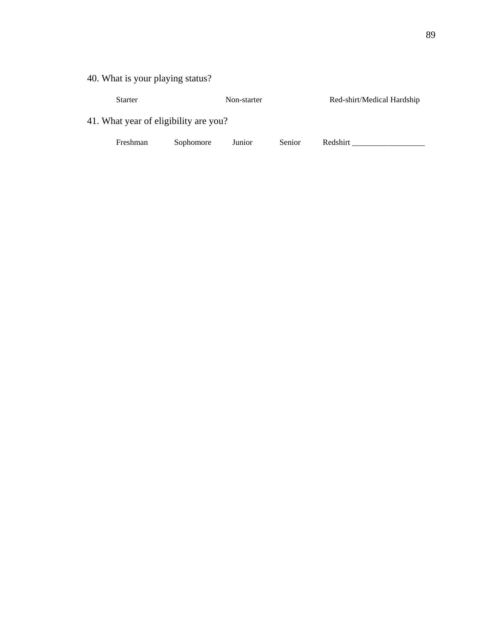40. What is your playing status?

| <b>Starter</b>                        |           | Non-starter |        | Red-shirt/Medical Hardship |
|---------------------------------------|-----------|-------------|--------|----------------------------|
| 41. What year of eligibility are you? |           |             |        |                            |
| Freshman                              | Sophomore | Junior      | Senior | Redshirt                   |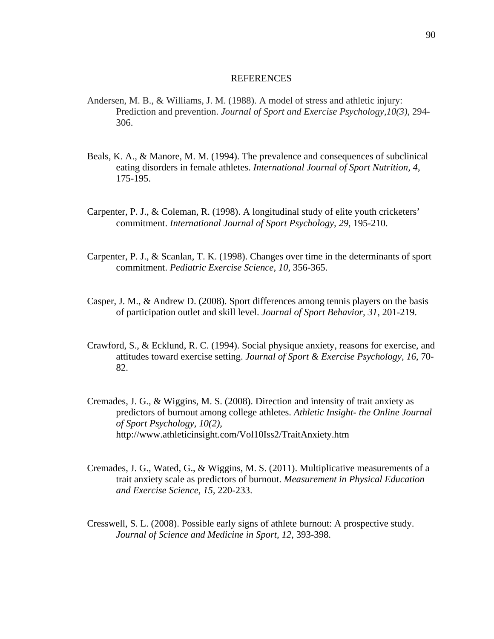#### REFERENCES

- Andersen, M. B., & Williams, J. M. (1988). A model of stress and athletic injury: Prediction and prevention. *Journal of Sport and Exercise Psychology,10(3)*, 294- 306.
- Beals, K. A., & Manore, M. M. (1994). The prevalence and consequences of subclinical eating disorders in female athletes. *International Journal of Sport Nutrition, 4*, 175-195.
- Carpenter, P. J., & Coleman, R. (1998). A longitudinal study of elite youth cricketers' commitment. *International Journal of Sport Psychology, 29*, 195-210.
- Carpenter, P. J., & Scanlan, T. K. (1998). Changes over time in the determinants of sport commitment. *Pediatric Exercise Science, 10,* 356-365.
- Casper, J. M., & Andrew D. (2008). Sport differences among tennis players on the basis of participation outlet and skill level. *Journal of Sport Behavior, 31*, 201-219.
- Crawford, S., & Ecklund, R. C. (1994). Social physique anxiety, reasons for exercise, and attitudes toward exercise setting. *Journal of Sport & Exercise Psychology, 16*, 70- 82.
- Cremades, J. G., & Wiggins, M. S. (2008). Direction and intensity of trait anxiety as predictors of burnout among college athletes. *Athletic Insight- the Online Journal of Sport Psychology, 10(2),*  http://www.athleticinsight.com/Vol10Iss2/TraitAnxiety.htm
- Cremades, J. G., Wated, G., & Wiggins, M. S. (2011). Multiplicative measurements of a trait anxiety scale as predictors of burnout. *Measurement in Physical Education and Exercise Science, 15,* 220-233.
- Cresswell, S. L. (2008). Possible early signs of athlete burnout: A prospective study. *Journal of Science and Medicine in Sport, 12*, 393-398.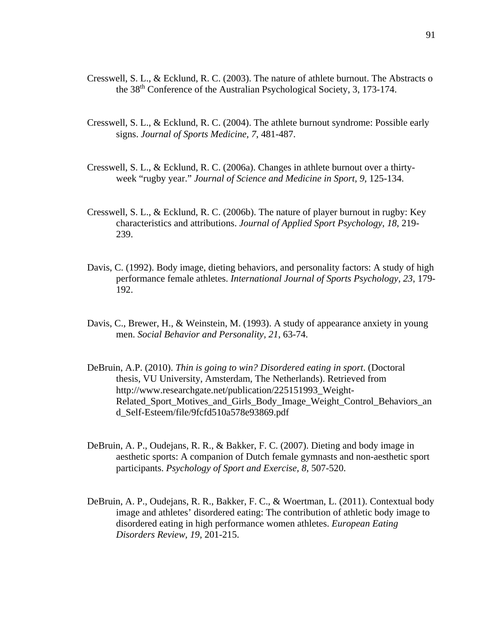- Cresswell, S. L., & Ecklund, R. C. (2003). The nature of athlete burnout. The Abstracts o the 38th Conference of the Australian Psychological Society, 3, 173-174.
- Cresswell, S. L., & Ecklund, R. C. (2004). The athlete burnout syndrome: Possible early signs. *Journal of Sports Medicine, 7*, 481-487.
- Cresswell, S. L., & Ecklund, R. C. (2006a). Changes in athlete burnout over a thirtyweek "rugby year." *Journal of Science and Medicine in Sport, 9,* 125-134.
- Cresswell, S. L., & Ecklund, R. C. (2006b). The nature of player burnout in rugby: Key characteristics and attributions. *Journal of Applied Sport Psychology, 18*, 219- 239.
- Davis, C. (1992). Body image, dieting behaviors, and personality factors: A study of high performance female athletes. *International Journal of Sports Psychology, 23*, 179- 192.
- Davis, C., Brewer, H., & Weinstein, M. (1993). A study of appearance anxiety in young men. *Social Behavior and Personality, 21*, 63-74.
- DeBruin, A.P. (2010). *Thin is going to win? Disordered eating in sport*. (Doctoral thesis, VU University, Amsterdam, The Netherlands). Retrieved from http://www.researchgate.net/publication/225151993\_Weight-Related\_Sport\_Motives\_and\_Girls\_Body\_Image\_Weight\_Control\_Behaviors\_an d\_Self-Esteem/file/9fcfd510a578e93869.pdf
- DeBruin, A. P., Oudejans, R. R., & Bakker, F. C. (2007). Dieting and body image in aesthetic sports: A companion of Dutch female gymnasts and non-aesthetic sport participants. *Psychology of Sport and Exercise, 8*, 507-520.
- DeBruin, A. P., Oudejans, R. R., Bakker, F. C., & Woertman, L. (2011). Contextual body image and athletes' disordered eating: The contribution of athletic body image to disordered eating in high performance women athletes. *European Eating Disorders Review, 19,* 201-215.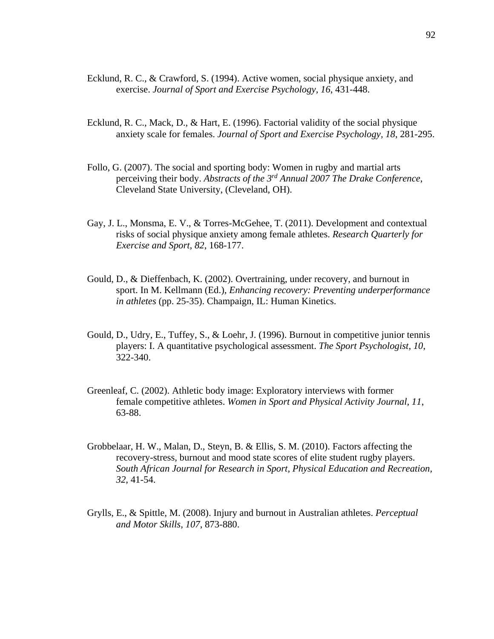- Ecklund, R. C., & Crawford, S. (1994). Active women, social physique anxiety, and exercise. *Journal of Sport and Exercise Psychology, 16*, 431-448.
- Ecklund, R. C., Mack, D., & Hart, E. (1996). Factorial validity of the social physique anxiety scale for females. *Journal of Sport and Exercise Psychology, 18*, 281-295.
- Follo, G. (2007). The social and sporting body: Women in rugby and martial arts perceiving their body. *Abstracts of the 3rd Annual 2007 The Drake Conference*, Cleveland State University, (Cleveland, OH).
- Gay, J. L., Monsma, E. V., & Torres-McGehee, T. (2011). Development and contextual risks of social physique anxiety among female athletes. *Research Quarterly for Exercise and Sport, 82*, 168-177.
- Gould, D., & Dieffenbach, K. (2002). Overtraining, under recovery, and burnout in sport. In M. Kellmann (Ed.), *Enhancing recovery: Preventing underperformance in athletes* (pp. 25-35). Champaign, IL: Human Kinetics.
- Gould, D., Udry, E., Tuffey, S., & Loehr, J. (1996). Burnout in competitive junior tennis players: I. A quantitative psychological assessment. *The Sport Psychologist, 10*, 322-340.
- Greenleaf, C. (2002). Athletic body image: Exploratory interviews with former female competitive athletes. *Women in Sport and Physical Activity Journal, 11*, 63-88.
- Grobbelaar, H. W., Malan, D., Steyn, B. & Ellis, S. M. (2010). Factors affecting the recovery-stress, burnout and mood state scores of elite student rugby players. *South African Journal for Research in Sport, Physical Education and Recreation, 32*, 41-54.
- Grylls, E., & Spittle, M. (2008). Injury and burnout in Australian athletes. *Perceptual and Motor Skills, 107*, 873-880.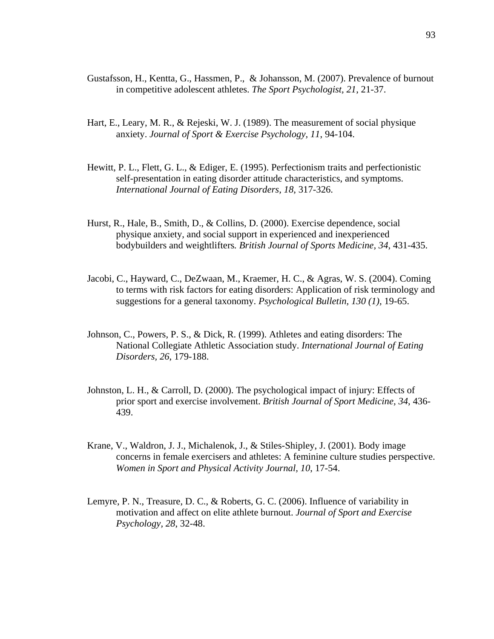- Gustafsson, H., Kentta, G., Hassmen, P., & Johansson, M. (2007). Prevalence of burnout in competitive adolescent athletes. *The Sport Psychologist, 21*, 21-37.
- Hart, E., Leary, M. R., & Rejeski, W. J. (1989). The measurement of social physique anxiety. *Journal of Sport & Exercise Psychology, 11*, 94-104.
- Hewitt, P. L., Flett, G. L., & Ediger, E. (1995). Perfectionism traits and perfectionistic self-presentation in eating disorder attitude characteristics, and symptoms. *International Journal of Eating Disorders, 18*, 317-326.
- Hurst, R., Hale, B., Smith, D., & Collins, D. (2000). Exercise dependence, social physique anxiety, and social support in experienced and inexperienced bodybuilders and weightlifters*. British Journal of Sports Medicine, 34*, 431-435.
- Jacobi, C., Hayward, C., DeZwaan, M., Kraemer, H. C., & Agras, W. S. (2004). Coming to terms with risk factors for eating disorders: Application of risk terminology and suggestions for a general taxonomy. *Psychological Bulletin, 130 (1),* 19-65.
- Johnson, C., Powers, P. S., & Dick, R. (1999). Athletes and eating disorders: The National Collegiate Athletic Association study. *International Journal of Eating Disorders, 26*, 179-188.
- Johnston, L. H., & Carroll, D. (2000). The psychological impact of injury: Effects of prior sport and exercise involvement. *British Journal of Sport Medicine, 34*, 436- 439.
- Krane, V., Waldron, J. J., Michalenok, J., & Stiles-Shipley, J. (2001). Body image concerns in female exercisers and athletes: A feminine culture studies perspective. *Women in Sport and Physical Activity Journal, 10*, 17-54.
- Lemyre, P. N., Treasure, D. C., & Roberts, G. C. (2006). Influence of variability in motivation and affect on elite athlete burnout. *Journal of Sport and Exercise Psychology, 28*, 32-48.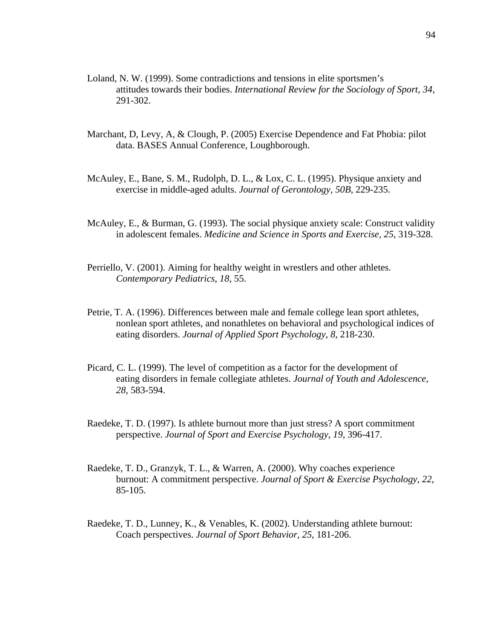- Loland, N. W. (1999). Some contradictions and tensions in elite sportsmen's attitudes towards their bodies. *International Review for the Sociology of Sport, 34,* 291-302.
- Marchant, D, Levy, A, & Clough, P. (2005) Exercise Dependence and Fat Phobia: pilot data. BASES Annual Conference, Loughborough.
- McAuley, E., Bane, S. M., Rudolph, D. L., & Lox, C. L. (1995). Physique anxiety and exercise in middle-aged adults. *Journal of Gerontology, 50B*, 229-235.
- McAuley, E., & Burman, G. (1993). The social physique anxiety scale: Construct validity in adolescent females. *Medicine and Science in Sports and Exercise, 25*, 319-328.
- Perriello, V. (2001). Aiming for healthy weight in wrestlers and other athletes. *Contemporary Pediatrics, 18*, 55.
- Petrie, T. A. (1996). Differences between male and female college lean sport athletes, nonlean sport athletes, and nonathletes on behavioral and psychological indices of eating disorders. *Journal of Applied Sport Psychology, 8*, 218-230.
- Picard, C. L. (1999). The level of competition as a factor for the development of eating disorders in female collegiate athletes. *Journal of Youth and Adolescence, 28*, 583-594.
- Raedeke, T. D. (1997). Is athlete burnout more than just stress? A sport commitment perspective. *Journal of Sport and Exercise Psychology, 19*, 396-417.
- Raedeke, T. D., Granzyk, T. L., & Warren, A. (2000). Why coaches experience burnout: A commitment perspective. *Journal of Sport & Exercise Psychology, 22*, 85-105.
- Raedeke, T. D., Lunney, K., & Venables, K. (2002). Understanding athlete burnout: Coach perspectives. *Journal of Sport Behavior, 25*, 181-206.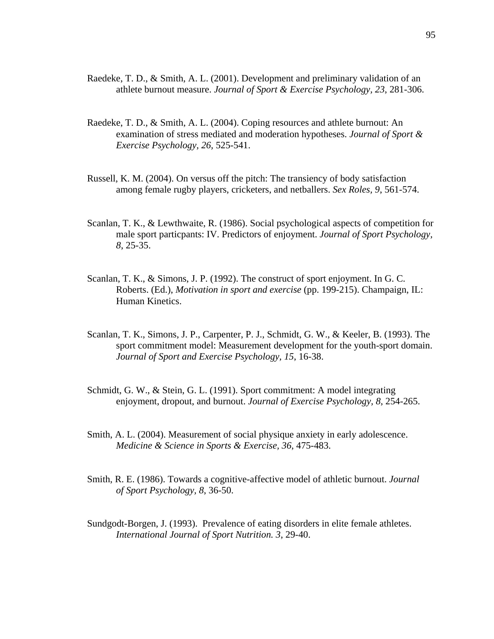- Raedeke, T. D., & Smith, A. L. (2001). Development and preliminary validation of an athlete burnout measure. *Journal of Sport & Exercise Psychology, 23*, 281-306.
- Raedeke, T. D., & Smith, A. L. (2004). Coping resources and athlete burnout: An examination of stress mediated and moderation hypotheses. *Journal of Sport & Exercise Psychology, 26,* 525-541.
- Russell, K. M. (2004). On versus off the pitch: The transiency of body satisfaction among female rugby players, cricketers, and netballers. *Sex Roles, 9*, 561-574.
- Scanlan, T. K., & Lewthwaite, R. (1986). Social psychological aspects of competition for male sport particpants: IV. Predictors of enjoyment. *Journal of Sport Psychology, 8*, 25-35.
- Scanlan, T. K., & Simons, J. P. (1992). The construct of sport enjoyment. In G. C. Roberts. (Ed.), *Motivation in sport and exercise* (pp. 199-215). Champaign, IL: Human Kinetics.
- Scanlan, T. K., Simons, J. P., Carpenter, P. J., Schmidt, G. W., & Keeler, B. (1993). The sport commitment model: Measurement development for the youth-sport domain. *Journal of Sport and Exercise Psychology, 15*, 16-38.
- Schmidt, G. W., & Stein, G. L. (1991). Sport commitment: A model integrating enjoyment, dropout, and burnout. *Journal of Exercise Psychology, 8*, 254-265.
- Smith, A. L. (2004). Measurement of social physique anxiety in early adolescence. *Medicine & Science in Sports & Exercise, 36*, 475-483.
- Smith, R. E. (1986). Towards a cognitive-affective model of athletic burnout. *Journal of Sport Psychology, 8*, 36-50.
- Sundgodt-Borgen, J. (1993). Prevalence of eating disorders in elite female athletes. *International Journal of Sport Nutrition. 3*, 29-40.